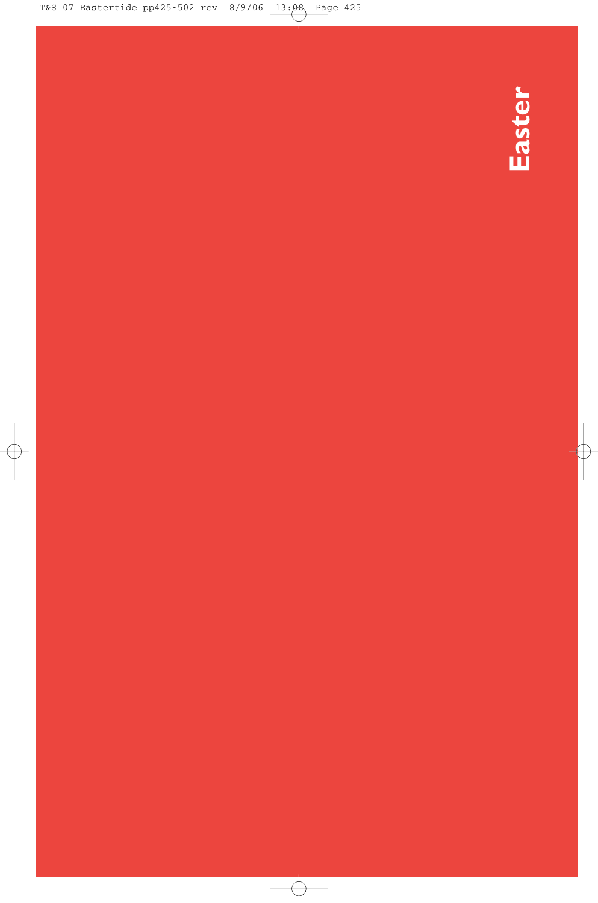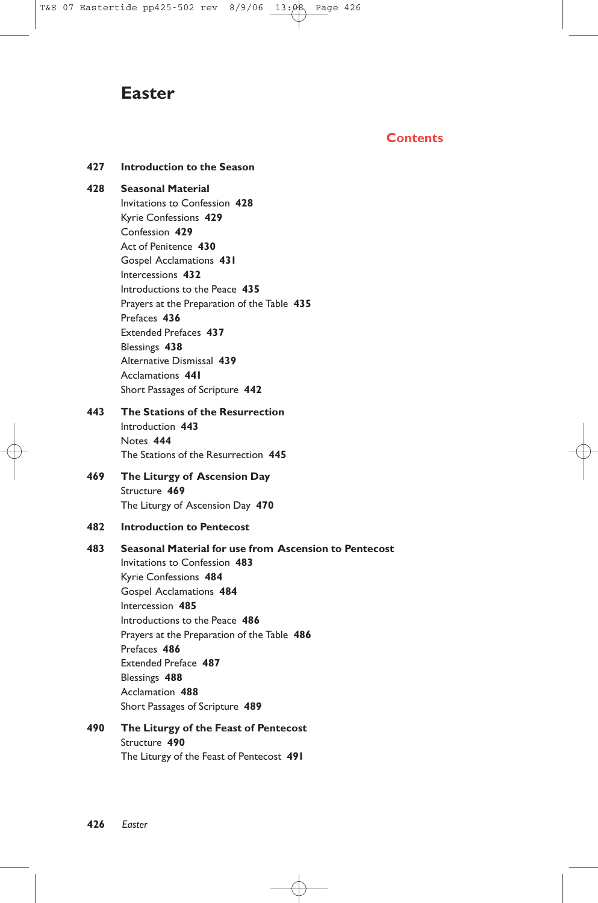# **Easter**

## **Contents**

# **427 Introduction to the Season 428 Seasonal Material** Invitations to Confession **428** Kyrie Confessions **429** Confession **429** Act of Penitence **430** Gospel Acclamations **431** Intercessions **432** Introductions to the Peace **435** Prayers at the Preparation of the Table **435** Prefaces **436** Extended Prefaces **437** Blessings **438** Alternative Dismissal **439** Acclamations **441** Short Passages of Scripture **442 443 The Stations of the Resurrection** Introduction **443** Notes **444** The Stations of the Resurrection **445 469 The Liturgy of Ascension Day** Structure **469** The Liturgy of Ascension Day **470 482 Introduction to Pentecost 483 Seasonal Material for use from Ascension to Pentecost** Invitations to Confession **483** Kyrie Confessions **484** Gospel Acclamations **484** Intercession **485** Introductions to the Peace **486** Prayers at the Preparation of the Table **486** Prefaces **486** Extended Preface **487** Blessings **488** Acclamation **488** Short Passages of Scripture **489 490 The Liturgy of the Feast of Pentecost** Structure **490**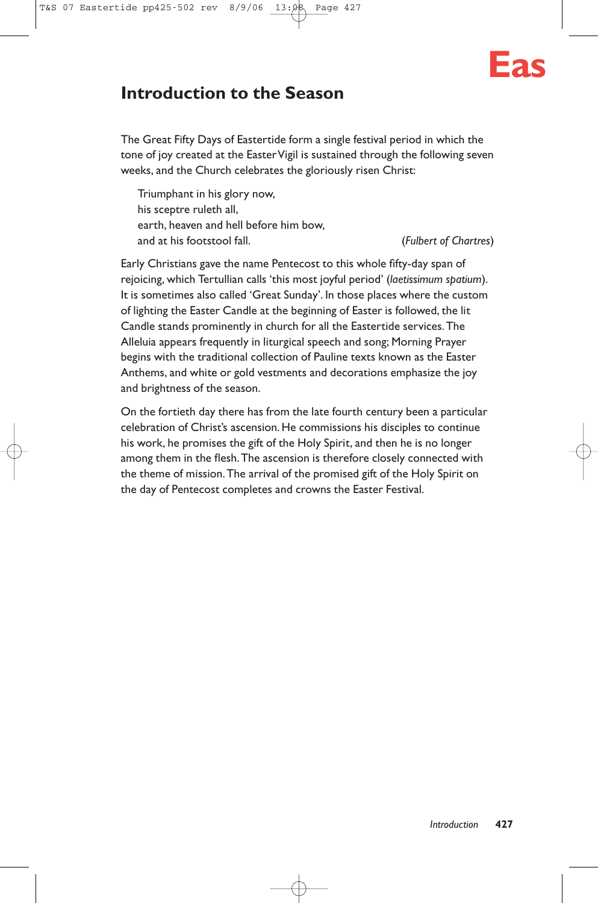

# **Introduction to the Season**

The Great Fifty Days of Eastertide form a single festival period in which the tone of joy created at the EasterVigil is sustained through the following seven weeks, and the Church celebrates the gloriously risen Christ:

Triumphant in his glory now, his sceptre ruleth all, earth, heaven and hell before him bow, and at his footstool fall. (*Fulbert of Chartres*)

Early Christians gave the name Pentecost to this whole fifty-day span of rejoicing, which Tertullian calls 'this most joyful period' (*laetissimum spatium*). It is sometimes also called 'Great Sunday'. In those places where the custom of lighting the Easter Candle at the beginning of Easter is followed, the lit Candle stands prominently in church for all the Eastertide services.The Alleluia appears frequently in liturgical speech and song; Morning Prayer begins with the traditional collection of Pauline texts known as the Easter Anthems, and white or gold vestments and decorations emphasize the joy and brightness of the season.

On the fortieth day there has from the late fourth century been a particular celebration of Christ's ascension. He commissions his disciples to continue his work, he promises the gift of the Holy Spirit, and then he is no longer among them in the flesh. The ascension is therefore closely connected with the theme of mission.The arrival of the promised gift of the Holy Spirit on the day of Pentecost completes and crowns the Easter Festival.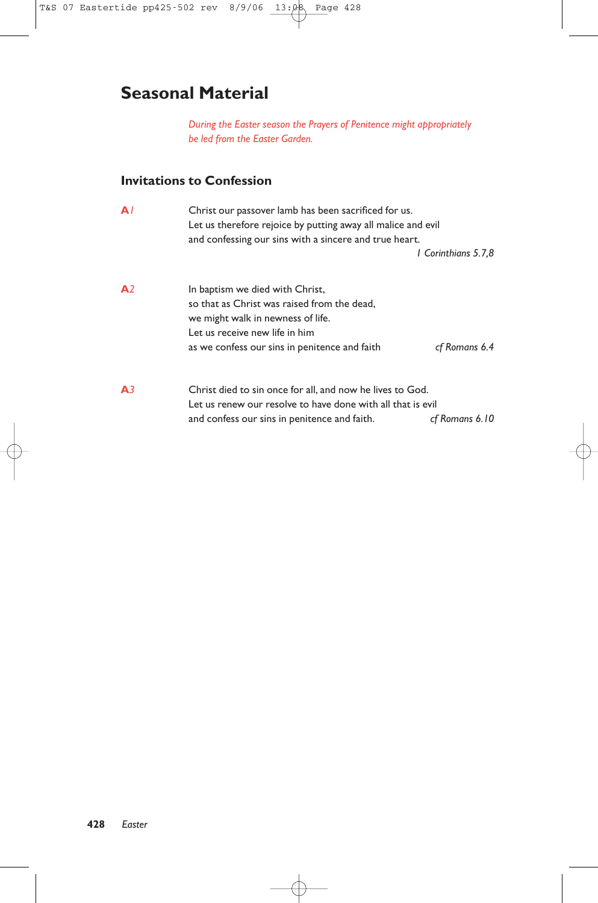# **Seasonal Material**

*During the Easter season the Prayers of Penitence might appropriately be led from the Easter Garden.*

# **Invitations to Confession**

| $\mathbf{A}$   | Christ our passover lamb has been sacrificed for us.<br>Let us therefore rejoice by putting away all malice and evil<br>and confessing our sins with a sincere and true heart.<br>1 Corinthians 5.7,8                   |  |
|----------------|-------------------------------------------------------------------------------------------------------------------------------------------------------------------------------------------------------------------------|--|
| A <sub>2</sub> | In baptism we died with Christ,<br>so that as Christ was raised from the dead.<br>we might walk in newness of life.<br>Let us receive new life in him<br>cf Romans 6.4<br>as we confess our sins in penitence and faith |  |
| A <sub>3</sub> | Christ died to sin once for all, and now he lives to God.<br>Let us renew our resolve to have done with all that is evil<br>cf Romans 6.10<br>and confess our sins in penitence and faith.                              |  |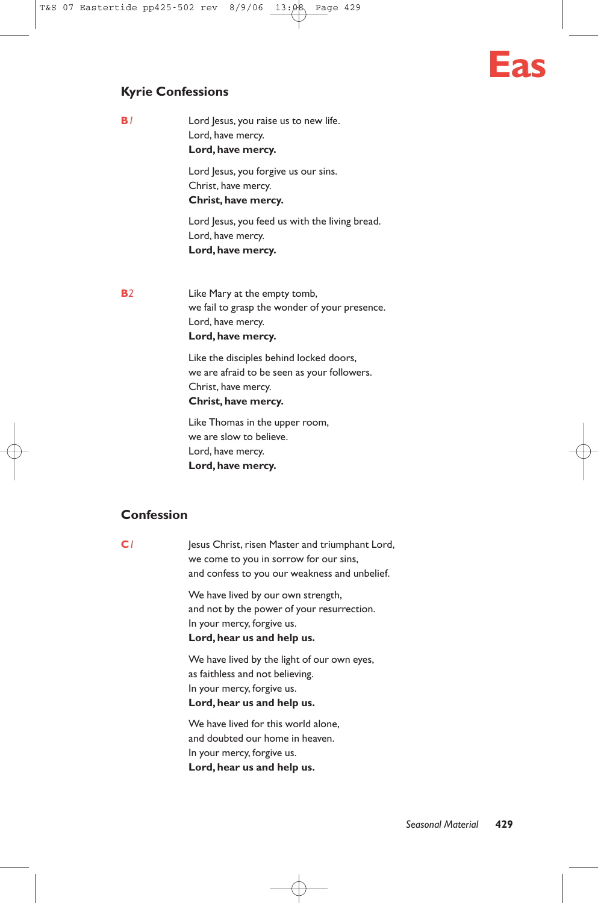## **Kyrie Confessions**

**B**<sup>1</sup> Lord Jesus, you raise us to new life. Lord, have mercy. **Lord, have mercy.**

> Lord Jesus, you forgive us our sins. Christ, have mercy. **Christ, have mercy.**

Lord Jesus, you feed us with the living bread. Lord, have mercy. **Lord, have mercy.**

**B**<sup>2</sup> Like Mary at the empty tomb, we fail to grasp the wonder of your presence. Lord, have mercy. **Lord, have mercy.**

> Like the disciples behind locked doors, we are afraid to be seen as your followers. Christ, have mercy. **Christ, have mercy.**

Like Thomas in the upper room, we are slow to believe. Lord, have mercy. **Lord, have mercy.**

### **Confession**

**C***1* Jesus Christ, risen Master and triumphant Lord, we come to you in sorrow for our sins, and confess to you our weakness and unbelief.

> We have lived by our own strength, and not by the power of your resurrection. In your mercy, forgive us. **Lord, hear us and help us.**

> We have lived by the light of our own eyes, as faithless and not believing. In your mercy, forgive us. **Lord, hear us and help us.**

We have lived for this world alone, and doubted our home in heaven. In your mercy, forgive us. **Lord, hear us and help us.**

**Eas**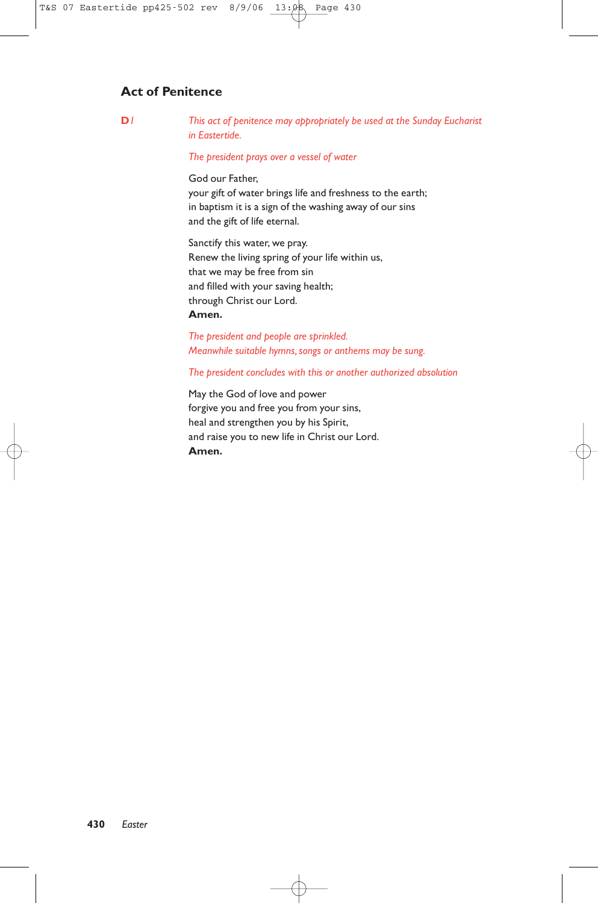## **Act of Penitence**

**D***1 This act of penitence may appropriately be used at the Sunday Eucharist in Eastertide.*

#### *The president prays over a vessel of water*

God our Father, your gift of water brings life and freshness to the earth; in baptism it is a sign of the washing away of our sins and the gift of life eternal.

Sanctify this water, we pray. Renew the living spring of your life within us, that we may be free from sin and filled with your saving health; through Christ our Lord. **Amen.**

*The president and people are sprinkled. Meanwhile suitable hymns, songs or anthems may be sung.*

#### *The president concludes with this or another authorized absolution*

May the God of love and power forgive you and free you from your sins, heal and strengthen you by his Spirit, and raise you to new life in Christ our Lord. **Amen.**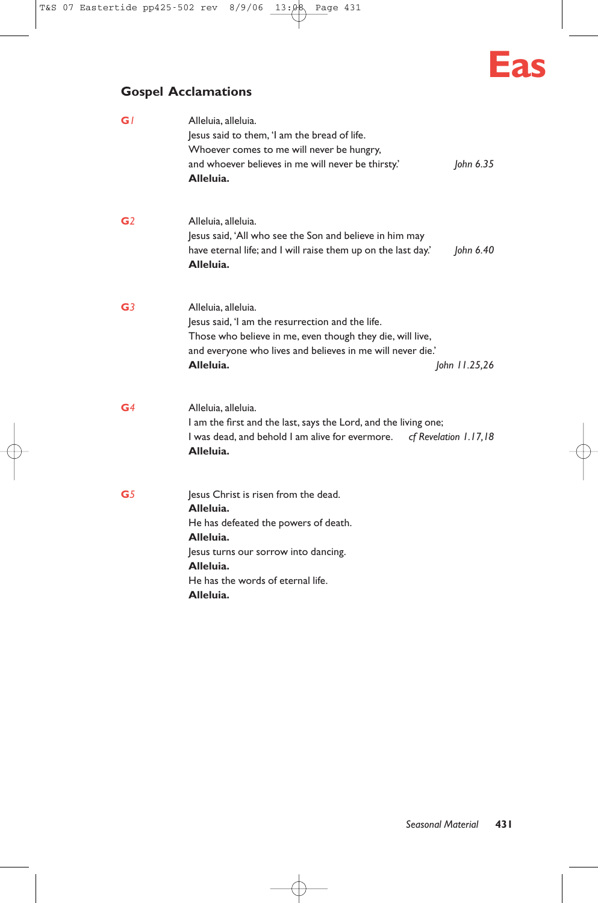# **Gospel Acclamations**

| G l            | Alleluia, alleluia.<br>lesus said to them, 'I am the bread of life.<br>Whoever comes to me will never be hungry,<br>and whoever believes in me will never be thirsty.'<br>John 6.35<br>Alleluia.                                 |
|----------------|----------------------------------------------------------------------------------------------------------------------------------------------------------------------------------------------------------------------------------|
| G <sub>2</sub> | Alleluia, alleluia.<br>lesus said, 'All who see the Son and believe in him may<br>John 6.40<br>have eternal life; and I will raise them up on the last day.'<br>Alleluia.                                                        |
| G <sub>3</sub> | Alleluia, alleluia.<br>Jesus said, 'I am the resurrection and the life.<br>Those who believe in me, even though they die, will live,<br>and everyone who lives and believes in me will never die.'<br>Alleluia.<br>John 11.25,26 |
| G <sub>4</sub> | Alleluia, alleluia.<br>I am the first and the last, says the Lord, and the living one;<br>I was dead, and behold I am alive for evermore.<br>cf Revelation 1.17,18<br>Alleluia.                                                  |
| G <sub>5</sub> | Jesus Christ is risen from the dead.<br>Alleluia.<br>He has defeated the powers of death.<br>Alleluia.<br>Jesus turns our sorrow into dancing.<br>Alleluia.<br>He has the words of eternal life.<br>Alleluia.                    |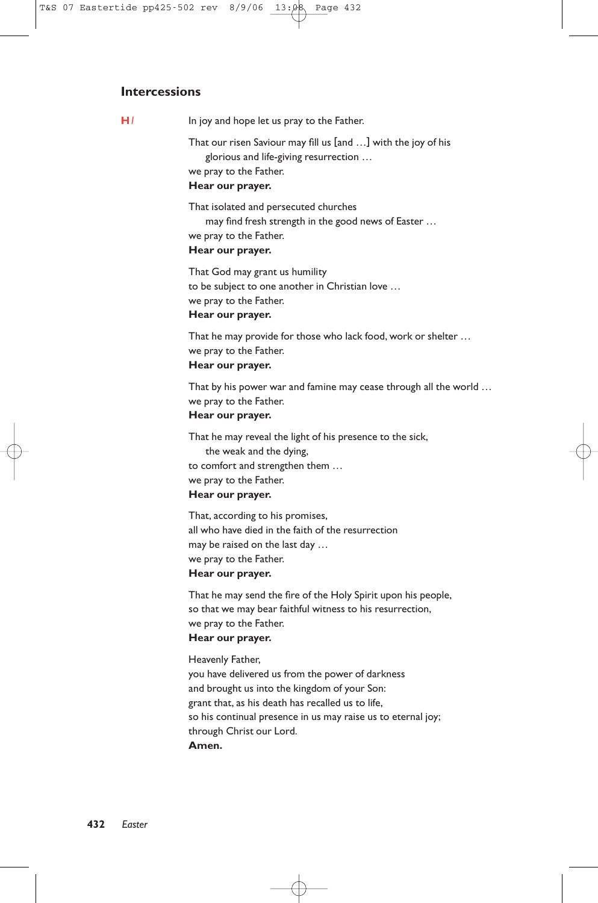#### **Intercessions**

**H**<sup>1</sup> In joy and hope let us pray to the Father.

That our risen Saviour may fill us [and …] with the joy of his glorious and life-giving resurrection …

we pray to the Father.

#### **Hear our prayer.**

That isolated and persecuted churches may find fresh strength in the good news of Easter … we pray to the Father. **Hear our prayer.**

That God may grant us humility to be subject to one another in Christian love … we pray to the Father. **Hear our prayer.**

That he may provide for those who lack food, work or shelter … we pray to the Father. **Hear our prayer.**

That by his power war and famine may cease through all the world … we pray to the Father.

#### **Hear our prayer.**

That he may reveal the light of his presence to the sick,

the weak and the dying, to comfort and strengthen them … we pray to the Father.

#### **Hear our prayer.**

That, according to his promises, all who have died in the faith of the resurrection may be raised on the last day … we pray to the Father. **Hear our prayer.**

That he may send the fire of the Holy Spirit upon his people, so that we may bear faithful witness to his resurrection, we pray to the Father. **Hear our prayer.**

# Heavenly Father,

you have delivered us from the power of darkness and brought us into the kingdom of your Son: grant that, as his death has recalled us to life, so his continual presence in us may raise us to eternal joy; through Christ our Lord. **Amen.**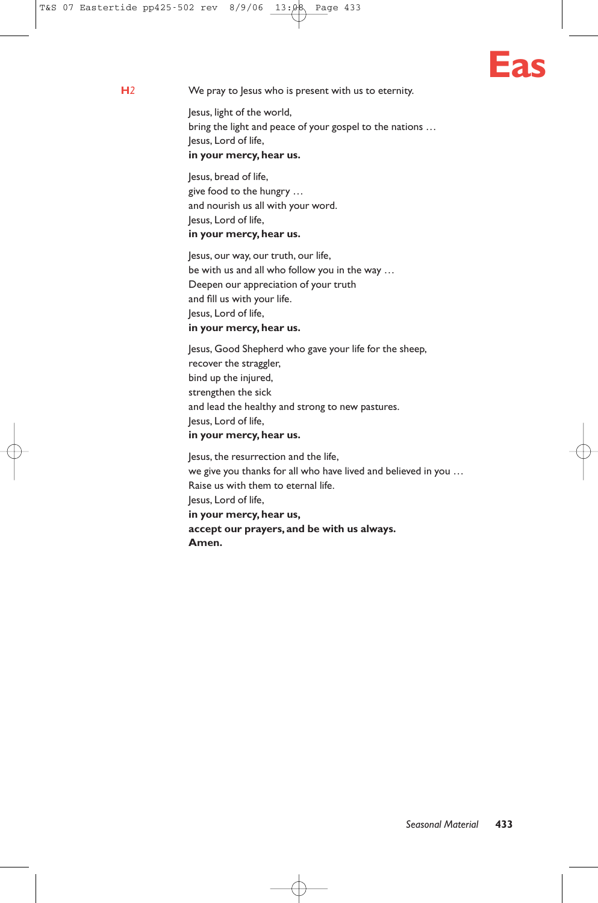

**H***2* We pray to Jesus who is present with us to eternity.

Jesus, light of the world, bring the light and peace of your gospel to the nations … Jesus, Lord of life, **in your mercy, hear us.**

Jesus, bread of life, give food to the hungry … and nourish us all with your word. Jesus, Lord of life, **in your mercy, hear us.**

Jesus, our way, our truth, our life, be with us and all who follow you in the way … Deepen our appreciation of your truth and fill us with your life. Jesus, Lord of life, **in your mercy, hear us.**

Jesus, Good Shepherd who gave your life for the sheep, recover the straggler, bind up the injured, strengthen the sick and lead the healthy and strong to new pastures. Jesus, Lord of life, **in your mercy, hear us.**

Jesus, the resurrection and the life, we give you thanks for all who have lived and believed in you … Raise us with them to eternal life. Jesus, Lord of life, **in your mercy, hear us, accept our prayers, and be with us always. Amen.**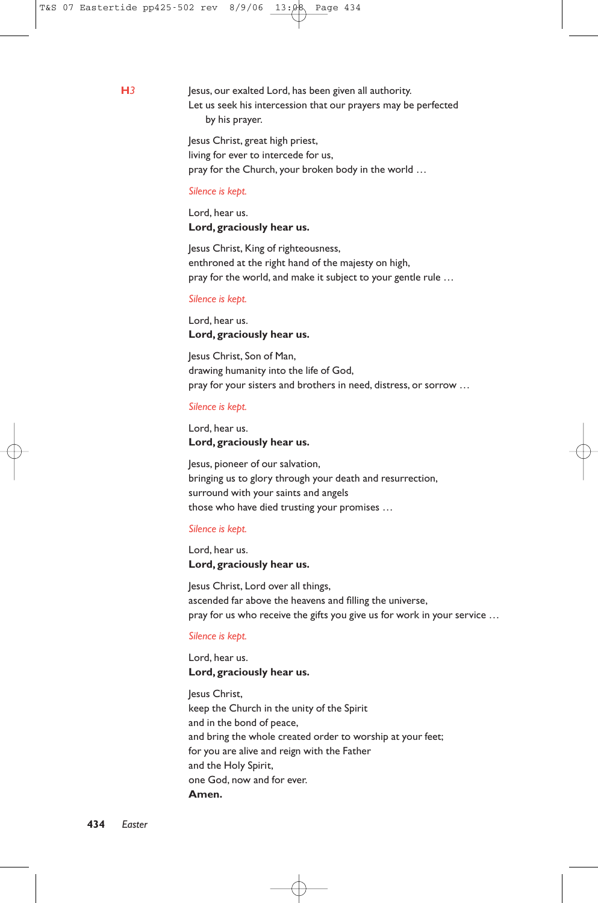**H**<sub>3</sub> Jesus, our exalted Lord, has been given all authority. Let us seek his intercession that our prayers may be perfected by his prayer.

> Jesus Christ, great high priest, living for ever to intercede for us, pray for the Church, your broken body in the world …

#### *Silence is kept.*

Lord, hear us. **Lord, graciously hear us.**

Jesus Christ, King of righteousness, enthroned at the right hand of the majesty on high, pray for the world, and make it subject to your gentle rule ...

#### *Silence is kept.*

Lord, hear us. **Lord, graciously hear us.**

Jesus Christ, Son of Man, drawing humanity into the life of God, pray for your sisters and brothers in need, distress, or sorrow …

#### *Silence is kept.*

Lord, hear us. **Lord, graciously hear us.**

Jesus, pioneer of our salvation, bringing us to glory through your death and resurrection, surround with your saints and angels those who have died trusting your promises …

#### *Silence is kept.*

Lord, hear us. **Lord, graciously hear us.**

Jesus Christ, Lord over all things, ascended far above the heavens and filling the universe, pray for us who receive the gifts you give us for work in your service …

#### *Silence is kept.*

#### Lord, hear us. **Lord, graciously hear us.**

Jesus Christ, keep the Church in the unity of the Spirit and in the bond of peace, and bring the whole created order to worship at your feet; for you are alive and reign with the Father and the Holy Spirit, one God, now and for ever. **Amen.**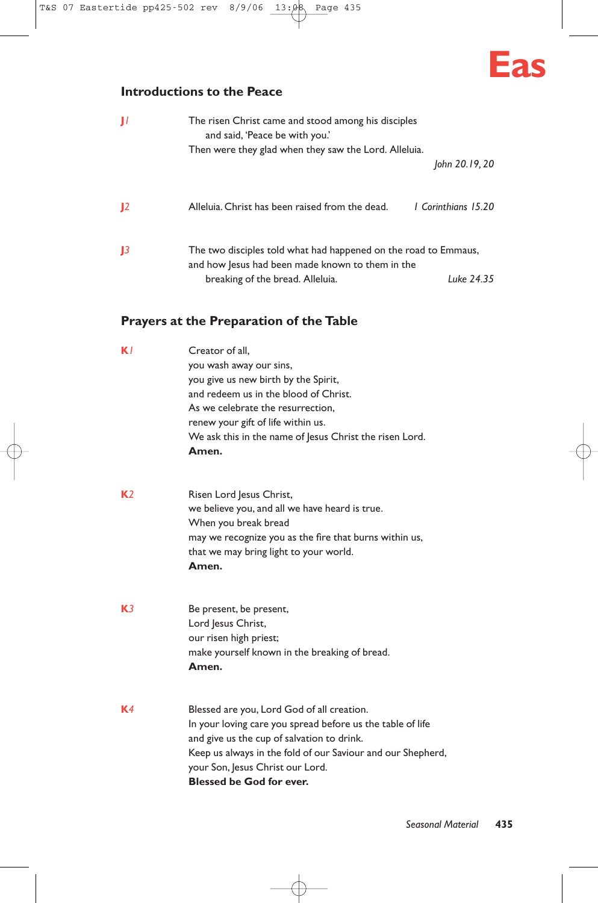# **Introductions to the Peace**

| Ħ              | The risen Christ came and stood among his disciples<br>and said, 'Peace be with you.'<br>Then were they glad when they saw the Lord. Alleluia. |  |
|----------------|------------------------------------------------------------------------------------------------------------------------------------------------|--|
|                | John 20.19, 20                                                                                                                                 |  |
| 12             | Alleluia. Christ has been raised from the dead.<br>1 Corinthians 15.20                                                                         |  |
| $\mathbf{J}$ 3 | The two disciples told what had happened on the road to Emmaus,<br>and how Jesus had been made known to them in the                            |  |
|                | Luke 24.35<br>breaking of the bread. Alleluia.                                                                                                 |  |

# **Prayers at the Preparation of the Table**

| K/             | Creator of all,<br>you wash away our sins,<br>you give us new birth by the Spirit,<br>and redeem us in the blood of Christ.<br>As we celebrate the resurrection,<br>renew your gift of life within us.<br>We ask this in the name of Jesus Christ the risen Lord.<br>Amen.                   |
|----------------|----------------------------------------------------------------------------------------------------------------------------------------------------------------------------------------------------------------------------------------------------------------------------------------------|
| K <sub>2</sub> | Risen Lord Jesus Christ,<br>we believe you, and all we have heard is true.<br>When you break bread<br>may we recognize you as the fire that burns within us,<br>that we may bring light to your world.<br>Amen.                                                                              |
| K <sub>3</sub> | Be present, be present,<br>Lord Jesus Christ,<br>our risen high priest;<br>make yourself known in the breaking of bread.<br>Amen.                                                                                                                                                            |
| K <sub>4</sub> | Blessed are you, Lord God of all creation.<br>In your loving care you spread before us the table of life<br>and give us the cup of salvation to drink.<br>Keep us always in the fold of our Saviour and our Shepherd,<br>your Son, Jesus Christ our Lord.<br><b>Blessed be God for ever.</b> |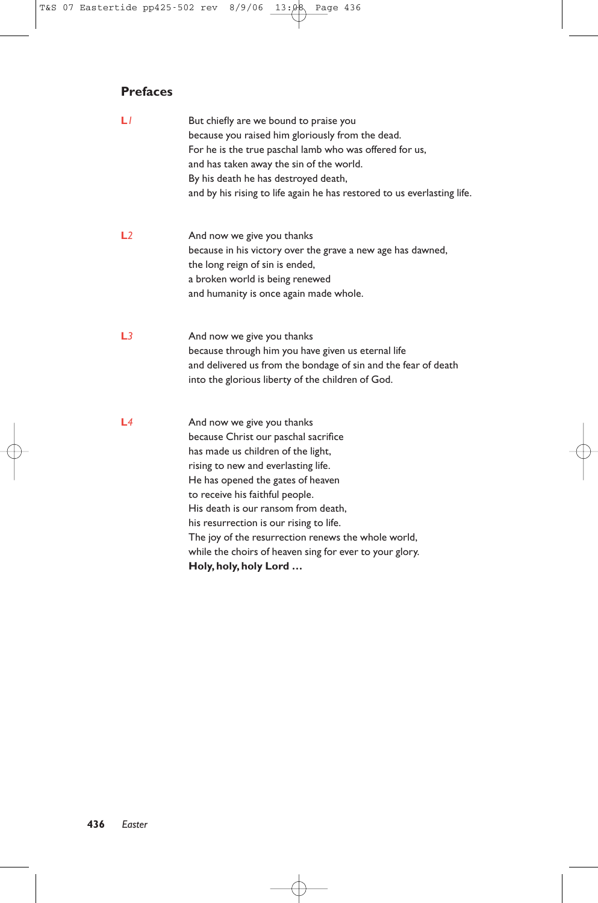# **Prefaces**

| LI | But chiefly are we bound to praise you<br>because you raised him gloriously from the dead.<br>For he is the true paschal lamb who was offered for us,<br>and has taken away the sin of the world.<br>By his death he has destroyed death,<br>and by his rising to life again he has restored to us everlasting life.                                                                                                                                 |
|----|------------------------------------------------------------------------------------------------------------------------------------------------------------------------------------------------------------------------------------------------------------------------------------------------------------------------------------------------------------------------------------------------------------------------------------------------------|
| L2 | And now we give you thanks<br>because in his victory over the grave a new age has dawned,<br>the long reign of sin is ended,<br>a broken world is being renewed<br>and humanity is once again made whole.                                                                                                                                                                                                                                            |
| L3 | And now we give you thanks<br>because through him you have given us eternal life<br>and delivered us from the bondage of sin and the fear of death<br>into the glorious liberty of the children of God.                                                                                                                                                                                                                                              |
| L4 | And now we give you thanks<br>because Christ our paschal sacrifice<br>has made us children of the light,<br>rising to new and everlasting life.<br>He has opened the gates of heaven<br>to receive his faithful people.<br>His death is our ransom from death,<br>his resurrection is our rising to life.<br>The joy of the resurrection renews the whole world,<br>while the choirs of heaven sing for ever to your glory.<br>Holy, holy, holy Lord |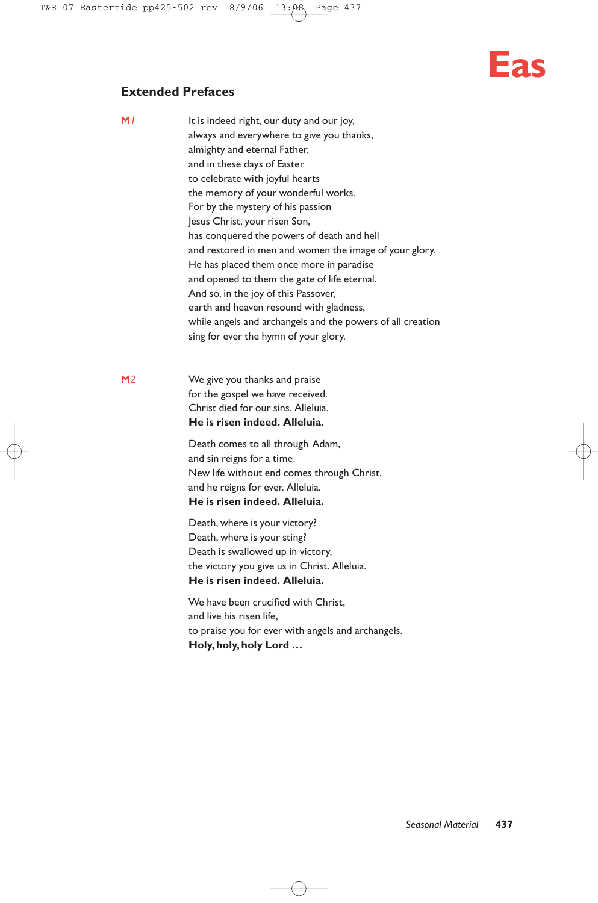## **Extended Prefaces**

**M***1* It is indeed right, our duty and our joy, always and everywhere to give you thanks, almighty and eternal Father, and in these days of Easter to celebrate with joyful hearts the memory of your wonderful works. For by the mystery of his passion Jesus Christ, your risen Son, has conquered the powers of death and hell and restored in men and women the image of your glory. He has placed them once more in paradise and opened to them the gate of life eternal. And so, in the joy of this Passover, earth and heaven resound with gladness, while angels and archangels and the powers of all creation sing for ever the hymn of your glory.

**M***2* We give you thanks and praise for the gospel we have received. Christ died for our sins. Alleluia. **He is risen indeed. Alleluia.**

> Death comes to all through Adam, and sin reigns for a time. New life without end comes through Christ, and he reigns for ever. Alleluia. **He is risen indeed. Alleluia.**

Death, where is your victory? Death, where is your sting? Death is swallowed up in victory, the victory you give us in Christ. Alleluia. **He is risen indeed. Alleluia.**

We have been crucified with Christ and live his risen life, to praise you for ever with angels and archangels. **Holy, holy, holy Lord …**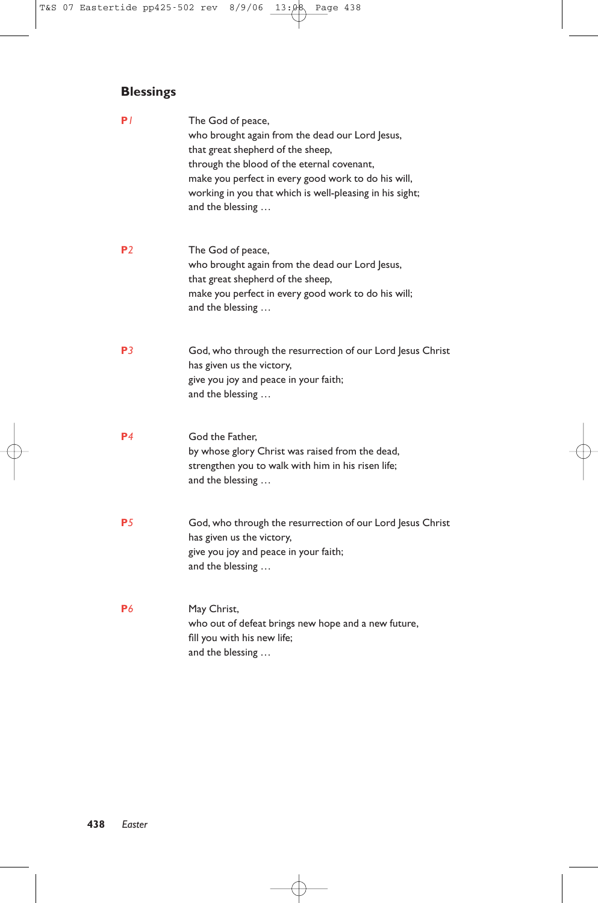# **Blessings**

| P I            | The God of peace,<br>who brought again from the dead our Lord Jesus,<br>that great shepherd of the sheep,<br>through the blood of the eternal covenant,<br>make you perfect in every good work to do his will,<br>working in you that which is well-pleasing in his sight;<br>and the blessing |
|----------------|------------------------------------------------------------------------------------------------------------------------------------------------------------------------------------------------------------------------------------------------------------------------------------------------|
| P2             | The God of peace,<br>who brought again from the dead our Lord Jesus,<br>that great shepherd of the sheep,<br>make you perfect in every good work to do his will;<br>and the blessing                                                                                                           |
| P <sub>3</sub> | God, who through the resurrection of our Lord Jesus Christ<br>has given us the victory,<br>give you joy and peace in your faith;<br>and the blessing                                                                                                                                           |
| P4             | God the Father,<br>by whose glory Christ was raised from the dead,<br>strengthen you to walk with him in his risen life;<br>and the blessing                                                                                                                                                   |
| P5             | God, who through the resurrection of our Lord Jesus Christ<br>has given us the victory,<br>give you joy and peace in your faith;<br>and the blessing                                                                                                                                           |
| P6             | May Christ,<br>who out of defeat brings new hope and a new future,<br>fill you with his new life;<br>and the blessing                                                                                                                                                                          |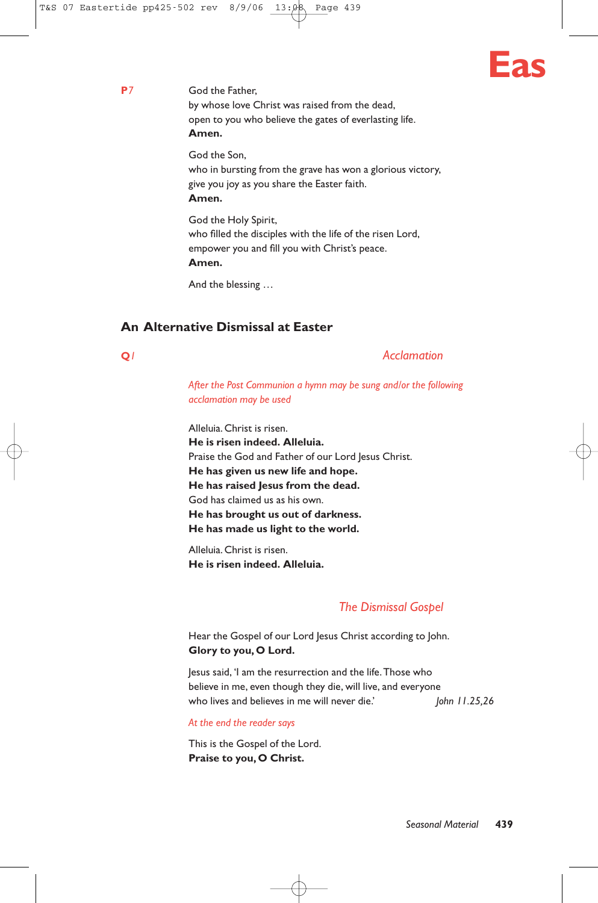

**P***7* God the Father, by whose love Christ was raised from the dead, open to you who believe the gates of everlasting life. **Amen.**

> God the Son, who in bursting from the grave has won a glorious victory, give you joy as you share the Easter faith. **Amen.**

God the Holy Spirit, who filled the disciples with the life of the risen Lord, empower you and fill you with Christ's peace. **Amen.**

And the blessing …

#### **An Alternative Dismissal at Easter**

**Q***1 Acclamation*

*After the Post Communion a hymn may be sung and/or the following acclamation may be used*

Alleluia. Christ is risen. **He is risen indeed. Alleluia.** Praise the God and Father of our Lord Jesus Christ. **He has given us new life and hope. He has raised Jesus from the dead.** God has claimed us as his own. **He has brought us out of darkness. He has made us light to the world.**

Alleluia. Christ is risen. **He is risen indeed. Alleluia.**

#### *The Dismissal Gospel*

Hear the Gospel of our Lord Jesus Christ according to John. **Glory to you, O Lord.**

Jesus said, 'I am the resurrection and the life.Those who believe in me, even though they die, will live, and everyone who lives and believes in me will never die.' *John 11.25,26* 

*At the end the reader says*

This is the Gospel of the Lord. **Praise to you, O Christ.**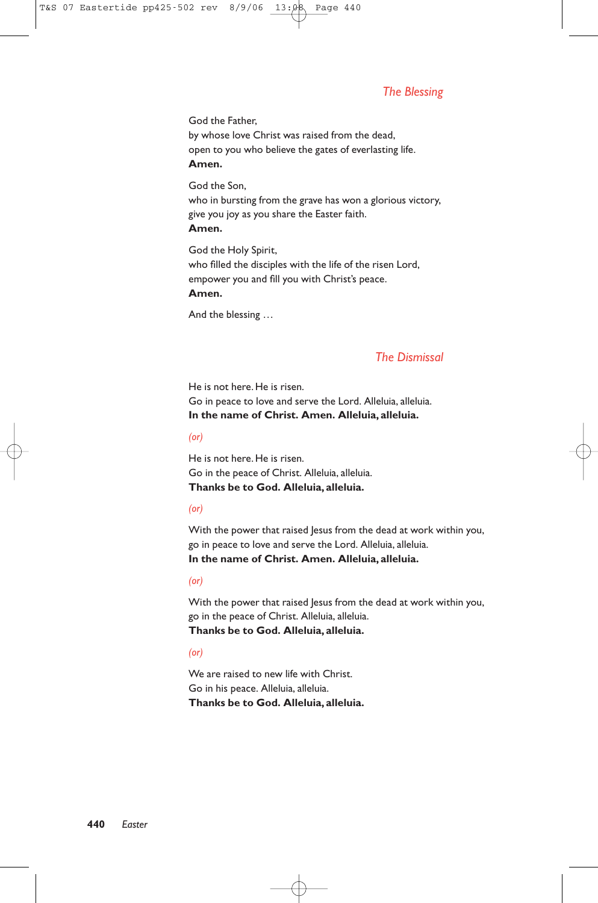#### *The Blessing*

God the Father, by whose love Christ was raised from the dead, open to you who believe the gates of everlasting life. **Amen.**

God the Son, who in bursting from the grave has won a glorious victory, give you joy as you share the Easter faith. **Amen.**

God the Holy Spirit, who filled the disciples with the life of the risen Lord, empower you and fill you with Christ's peace. **Amen.**

And the blessing …

## *The Dismissal*

He is not here. He is risen. Go in peace to love and serve the Lord. Alleluia, alleluia. **In the name of Christ. Amen. Alleluia, alleluia.**

#### *(or)*

He is not here. He is risen. Go in the peace of Christ. Alleluia, alleluia. **Thanks be to God. Alleluia, alleluia.**

#### *(or)*

With the power that raised Jesus from the dead at work within you, go in peace to love and serve the Lord. Alleluia, alleluia. **In the name of Christ. Amen. Alleluia, alleluia.**

#### *(or)*

With the power that raised Jesus from the dead at work within you, go in the peace of Christ. Alleluia, alleluia. **Thanks be to God. Alleluia, alleluia.**

#### *(or)*

We are raised to new life with Christ. Go in his peace. Alleluia, alleluia. **Thanks be to God. Alleluia, alleluia.**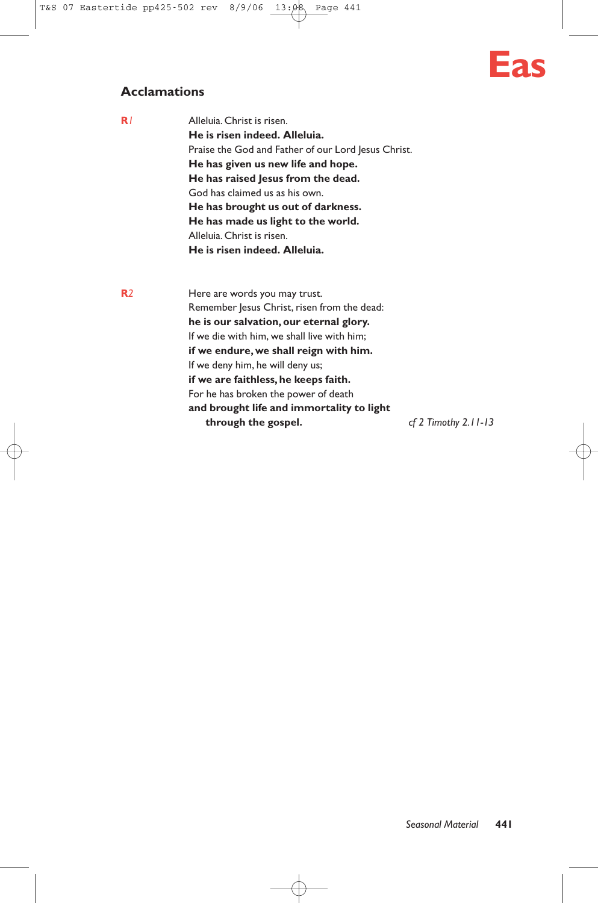## **Acclamations**

**R***1* Alleluia. Christ is risen. **He is risen indeed. Alleluia.** Praise the God and Father of our Lord Jesus Christ. **He has given us new life and hope. He has raised Jesus from the dead.** God has claimed us as his own. **He has brought us out of darkness. He has made us light to the world.** Alleluia. Christ is risen. **He is risen indeed. Alleluia.**

**R**<sup>2</sup> Here are words you may trust. Remember Jesus Christ, risen from the dead: **he is our salvation, our eternal glory.** If we die with him, we shall live with him; **if we endure, we shall reign with him.** If we deny him, he will deny us; **if we are faithless, he keeps faith.** For he has broken the power of death **and brought life and immortality to light through the gospel.** *cf 2 Timothy 2.11-13*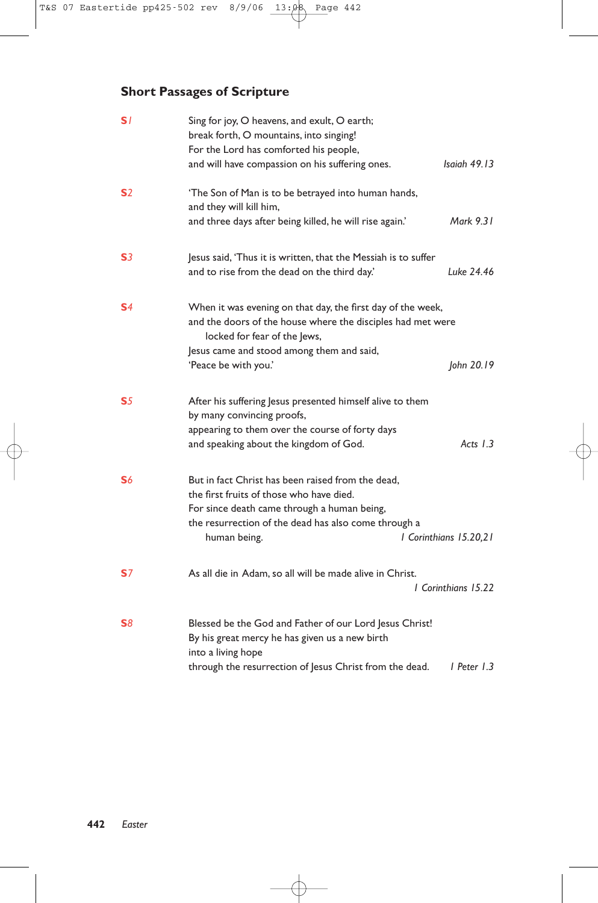# **Short Passages of Scripture**

| S/             | Sing for joy, O heavens, and exult, O earth;<br>break forth, O mountains, into singing!<br>For the Lord has comforted his people,<br>Isaiah 49.13<br>and will have compassion on his suffering ones.                                           |
|----------------|------------------------------------------------------------------------------------------------------------------------------------------------------------------------------------------------------------------------------------------------|
| S <sub>2</sub> | 'The Son of Man is to be betrayed into human hands,<br>and they will kill him,<br>Mark 9.31<br>and three days after being killed, he will rise again.'                                                                                         |
| S <sub>3</sub> | Jesus said, 'Thus it is written, that the Messiah is to suffer<br>Luke 24.46<br>and to rise from the dead on the third day.'                                                                                                                   |
| S <sub>4</sub> | When it was evening on that day, the first day of the week,<br>and the doors of the house where the disciples had met were<br>locked for fear of the Jews,<br>Jesus came and stood among them and said,<br>John 20.19<br>'Peace be with you.'  |
| S <sub>5</sub> | After his suffering Jesus presented himself alive to them<br>by many convincing proofs,<br>appearing to them over the course of forty days<br>Acts $1.3$<br>and speaking about the kingdom of God.                                             |
| S6             | But in fact Christ has been raised from the dead,<br>the first fruits of those who have died.<br>For since death came through a human being,<br>the resurrection of the dead has also come through a<br>I Corinthians 15.20,21<br>human being. |
| <b>S</b> 7     | As all die in Adam, so all will be made alive in Christ.<br>1 Corinthians 15.22                                                                                                                                                                |
| <b>S</b> 8     | Blessed be the God and Father of our Lord Jesus Christ!<br>By his great mercy he has given us a new birth<br>into a living hope<br>through the resurrection of Jesus Christ from the dead.<br>I Peter 1.3                                      |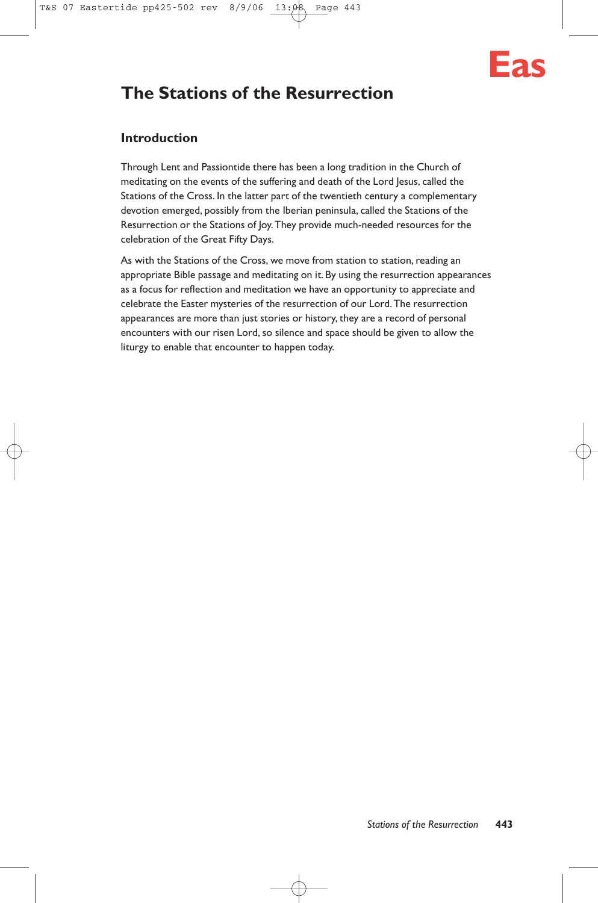

# **The Stations of the Resurrection**

# **Introduction**

Through Lent and Passiontide there has been a long tradition in the Church of meditating on the events of the suffering and death of the Lord Jesus, called the Stations of the Cross. In the latter part of the twentieth century a complementary devotion emerged, possibly from the Iberian peninsula, called the Stations of the Resurrection or the Stations of Joy.They provide much-needed resources for the celebration of the Great Fifty Days.

As with the Stations of the Cross, we move from station to station, reading an appropriate Bible passage and meditating on it. By using the resurrection appearances as a focus for reflection and meditation we have an opportunity to appreciate and celebrate the Easter mysteries of the resurrection of our Lord.The resurrection appearances are more than just stories or history, they are a record of personal encounters with our risen Lord, so silence and space should be given to allow the liturgy to enable that encounter to happen today.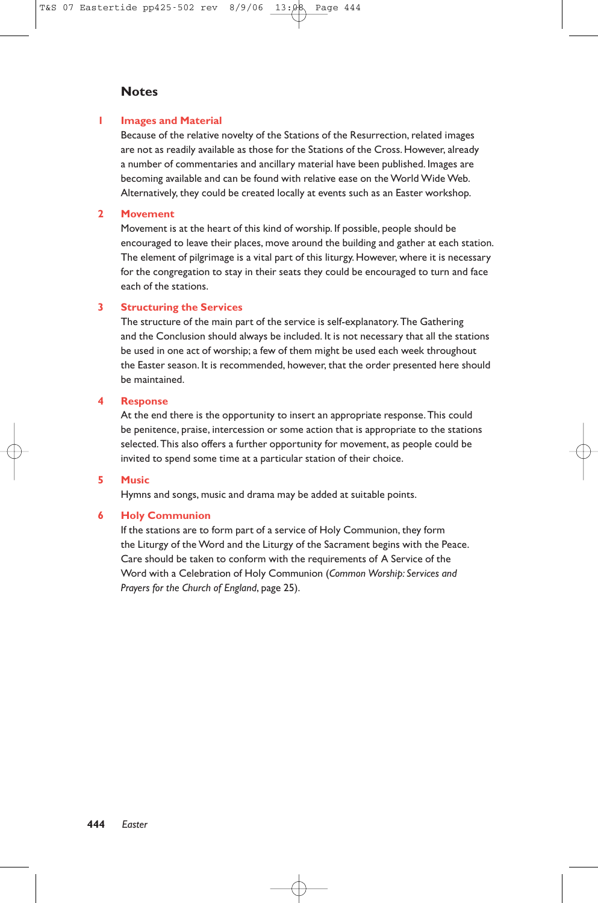#### **Notes**

#### **1 Images and Material**

Because of the relative novelty of the Stations of the Resurrection, related images are not as readily available as those for the Stations of the Cross. However, already a number of commentaries and ancillary material have been published. Images are becoming available and can be found with relative ease on the World Wide Web. Alternatively, they could be created locally at events such as an Easter workshop.

#### **2 Movement**

Movement is at the heart of this kind of worship. If possible, people should be encouraged to leave their places, move around the building and gather at each station. The element of pilgrimage is a vital part of this liturgy. However, where it is necessary for the congregation to stay in their seats they could be encouraged to turn and face each of the stations.

#### **3 Structuring the Services**

The structure of the main part of the service is self-explanatory.The Gathering and the Conclusion should always be included. It is not necessary that all the stations be used in one act of worship; a few of them might be used each week throughout the Easter season. It is recommended, however, that the order presented here should be maintained.

#### **4 Response**

At the end there is the opportunity to insert an appropriate response.This could be penitence, praise, intercession or some action that is appropriate to the stations selected.This also offers a further opportunity for movement, as people could be invited to spend some time at a particular station of their choice.

#### **5 Music**

Hymns and songs, music and drama may be added at suitable points.

#### **6 Holy Communion**

If the stations are to form part of a service of Holy Communion, they form the Liturgy of the Word and the Liturgy of the Sacrament begins with the Peace. Care should be taken to conform with the requirements of A Service of the Word with a Celebration of Holy Communion (*Common Worship: Services and Prayers for the Church of England*, page 25).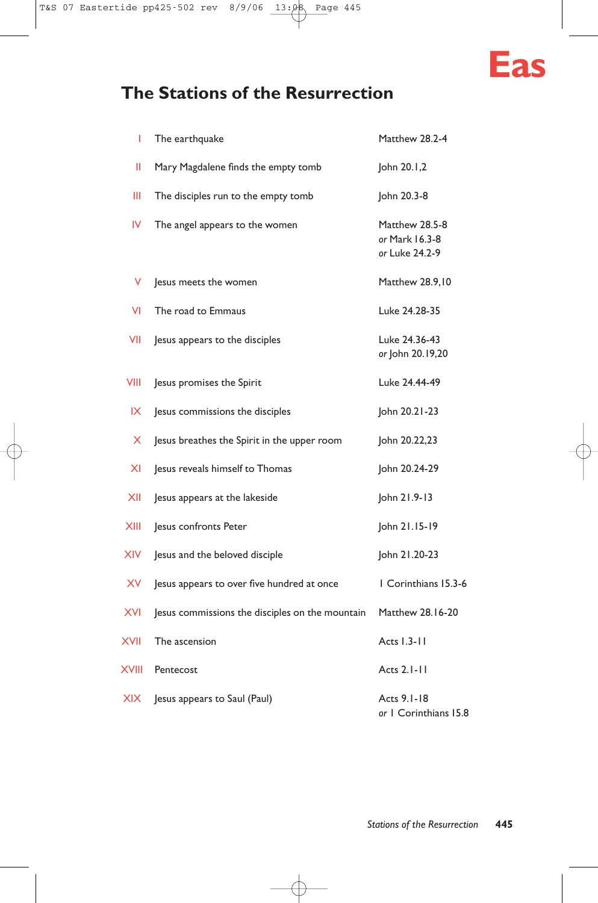# **The Stations of the Resurrection**

| T     | The earthquake                                  | Matthew 28.2-4                                     |
|-------|-------------------------------------------------|----------------------------------------------------|
| Ш     | Mary Magdalene finds the empty tomb             | John 20.1,2                                        |
| Ш     | The disciples run to the empty tomb             | John 20.3-8                                        |
| IV.   | The angel appears to the women                  | Matthew 28.5-8<br>or Mark 16.3-8<br>or Luke 24.2-9 |
| V     | Jesus meets the women                           | Matthew 28.9,10                                    |
| VI    | The road to Emmaus                              | Luke 24.28-35                                      |
| VII   | Jesus appears to the disciples                  | Luke 24.36-43<br>or John 20.19,20                  |
| VIII  | Jesus promises the Spirit                       | Luke 24.44-49                                      |
| IX.   | Jesus commissions the disciples                 | John 20.21-23                                      |
| X.    | Jesus breathes the Spirit in the upper room     | John 20.22,23                                      |
| ХI    | Jesus reveals himself to Thomas                 | John 20.24-29                                      |
| XII   | Jesus appears at the lakeside                   | John 21.9-13                                       |
| XIII  | Jesus confronts Peter                           | John 21.15-19                                      |
| XIV.  | Jesus and the beloved disciple                  | John 21.20-23                                      |
| XV    | Jesus appears to over five hundred at once      | Corinthians 15.3-6                                 |
| XVI   | Jesus commissions the disciples on the mountain | Matthew 28.16-20                                   |
| XVII  | The ascension                                   | Acts 1.3-11                                        |
| XVIII | Pentecost                                       | Acts 2.1-11                                        |
| XIX   | Jesus appears to Saul (Paul)                    | Acts 9.1-18<br>or I Corinthians 15.8               |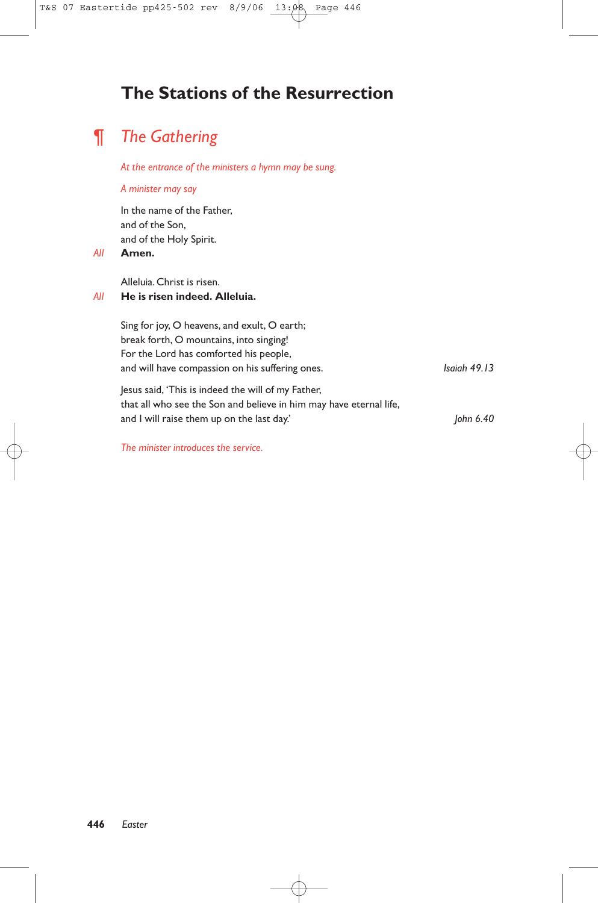# **The Stations of the Resurrection**

# ¶ *The Gathering*

*At the entrance of the ministers a hymn may be sung.*

#### *A minister may say*

In the name of the Father, and of the Son, and of the Holy Spirit.

#### *All* **Amen.**

Alleluia. Christ is risen.

#### *All* **He is risen indeed. Alleluia.**

Sing for joy, O heavens, and exult, O earth; break forth, O mountains, into singing! For the Lord has comforted his people, and will have compassion on his suffering ones. *Isaiah 49.13*

Jesus said, 'This is indeed the will of my Father, that all who see the Son and believe in him may have eternal life, and I will raise them up on the last day.' *John 6.40*

*The minister introduces the service.*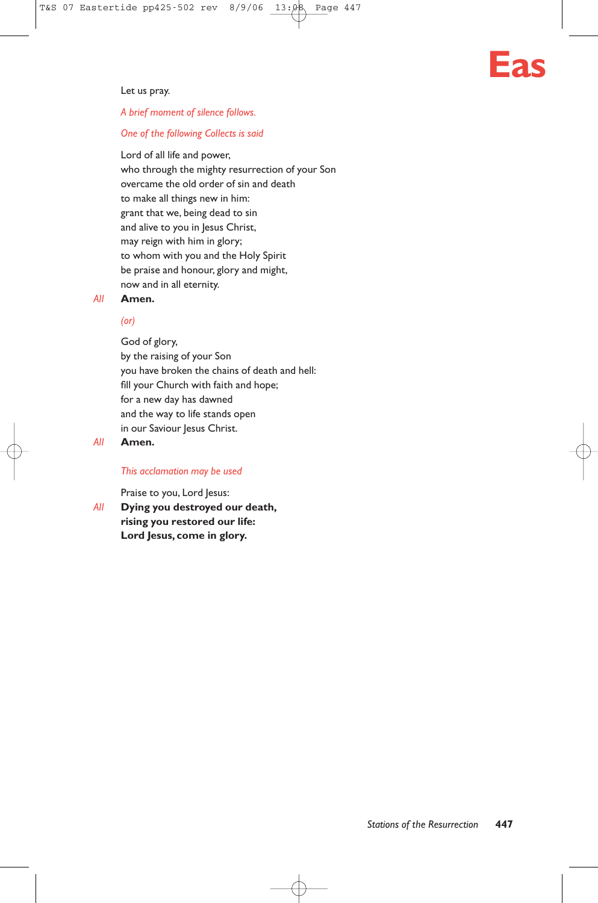

Let us pray.

#### *A brief moment of silence follows.*

#### *One of the following Collects is said*

Lord of all life and power, who through the mighty resurrection of your Son overcame the old order of sin and death to make all things new in him: grant that we, being dead to sin and alive to you in Jesus Christ, may reign with him in glory; to whom with you and the Holy Spirit be praise and honour, glory and might, now and in all eternity.

#### *All* **Amen.**

#### *(or)*

God of glory,

by the raising of your Son you have broken the chains of death and hell: fill your Church with faith and hope; for a new day has dawned and the way to life stands open in our Saviour Jesus Christ.

*All* **Amen.**

#### *This acclamation may be used*

Praise to you, Lord Jesus: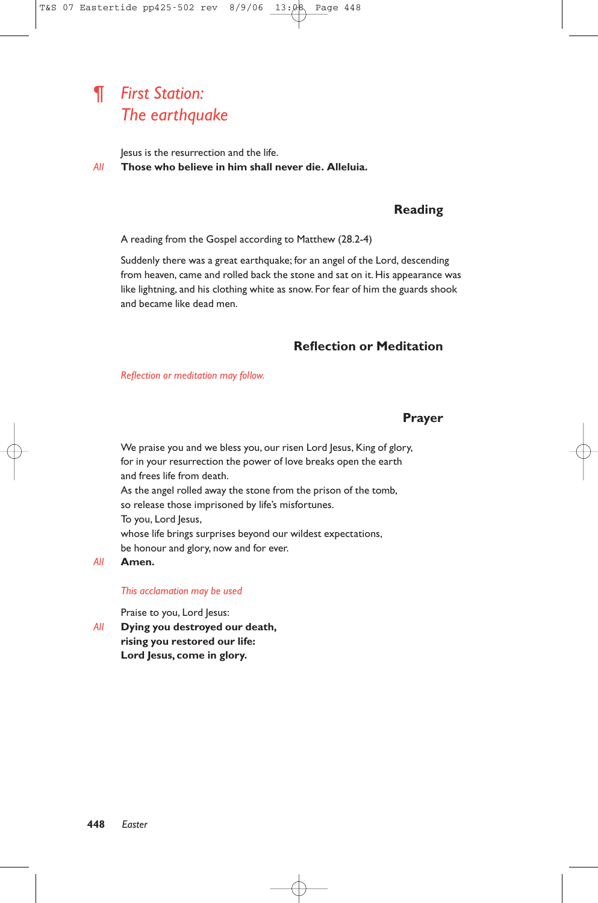

Jesus is the resurrection and the life.

*All* **Those who believe in him shall never die. Alleluia.**

### **Reading**

A reading from the Gospel according to Matthew (28.2-4)

Suddenly there was a great earthquake; for an angel of the Lord, descending from heaven, came and rolled back the stone and sat on it. His appearance was like lightning, and his clothing white as snow. For fear of him the guards shook and became like dead men.

## **Reflection or Meditation**

*Reflection or meditation may follow.*

### **Prayer**

We praise you and we bless you, our risen Lord Jesus, King of glory, for in your resurrection the power of love breaks open the earth and frees life from death. As the angel rolled away the stone from the prison of the tomb, so release those imprisoned by life's misfortunes. To you, Lord Jesus, whose life brings surprises beyond our wildest expectations, be honour and glory, now and for ever.

*All* **Amen.**

#### *This acclamation may be used*

Praise to you, Lord Jesus: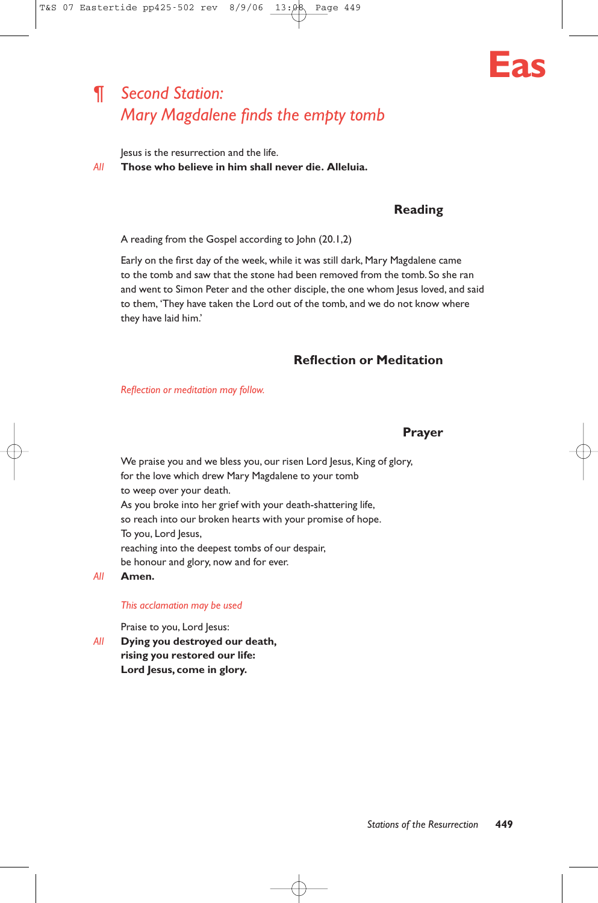# ¶ *Second Station: Mary Magdalene finds the empty tomb*

Jesus is the resurrection and the life.

*All* **Those who believe in him shall never die. Alleluia.**

## **Reading**

A reading from the Gospel according to John (20.1,2)

Early on the first day of the week, while it was still dark, Mary Magdalene came to the tomb and saw that the stone had been removed from the tomb. So she ran and went to Simon Peter and the other disciple, the one whom Jesus loved, and said to them, 'They have taken the Lord out of the tomb, and we do not know where they have laid him.'

# **Reflection or Meditation**

*Reflection or meditation may follow.*

### **Prayer**

We praise you and we bless you, our risen Lord Jesus, King of glory, for the love which drew Mary Magdalene to your tomb to weep over your death. As you broke into her grief with your death-shattering life, so reach into our broken hearts with your promise of hope. To you, Lord Jesus, reaching into the deepest tombs of our despair, be honour and glory, now and for ever.

#### *All* **Amen.**

#### *This acclamation may be used*

Praise to you, Lord Jesus: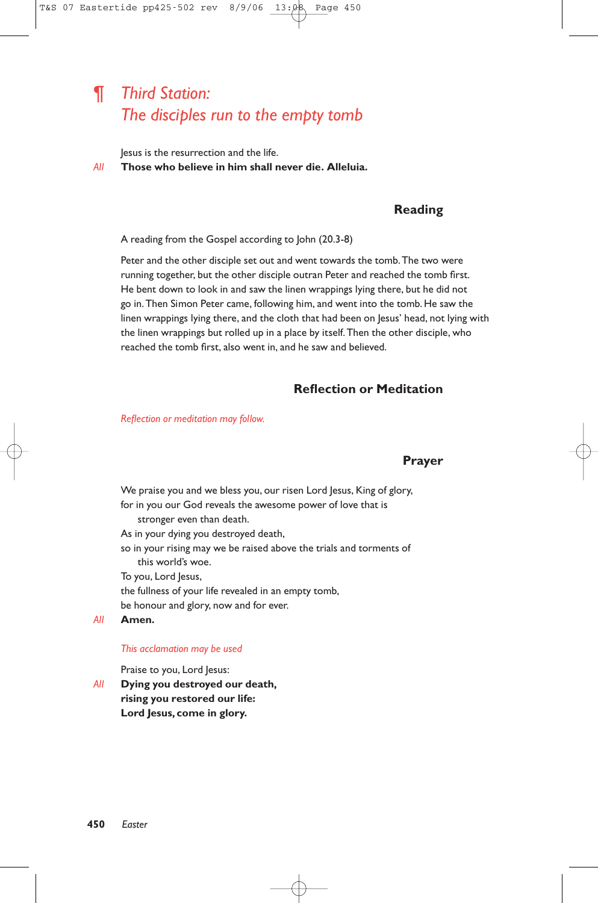# ¶ *Third Station: The disciples run to the empty tomb*

Jesus is the resurrection and the life. *All* **Those who believe in him shall never die. Alleluia.**

#### **Reading**

A reading from the Gospel according to John (20.3-8)

Peter and the other disciple set out and went towards the tomb.The two were running together, but the other disciple outran Peter and reached the tomb first. He bent down to look in and saw the linen wrappings lying there, but he did not go in.Then Simon Peter came, following him, and went into the tomb. He saw the linen wrappings lying there, and the cloth that had been on Jesus' head, not lying with the linen wrappings but rolled up in a place by itself.Then the other disciple, who reached the tomb first, also went in, and he saw and believed.

## **Reflection or Meditation**

*Reflection or meditation may follow.*

### **Prayer**

We praise you and we bless you, our risen Lord Jesus, King of glory, for in you our God reveals the awesome power of love that is stronger even than death. As in your dying you destroyed death, so in your rising may we be raised above the trials and torments of this world's woe. To you, Lord Jesus, the fullness of your life revealed in an empty tomb, be honour and glory, now and for ever. *All* **Amen.**

#### *This acclamation may be used*

Praise to you, Lord Jesus: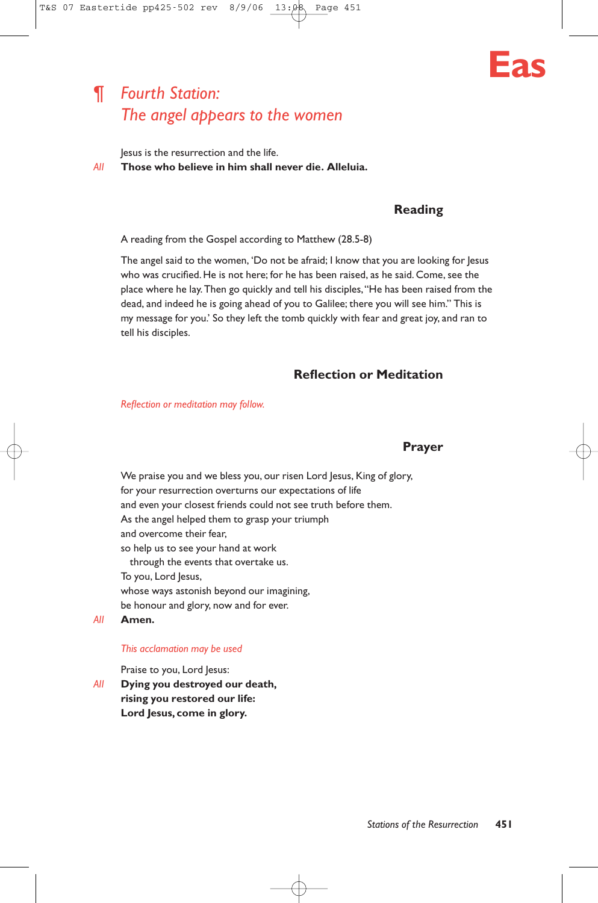# ¶ *Fourth Station: The angel appears to the women*

Jesus is the resurrection and the life.

*All* **Those who believe in him shall never die. Alleluia.**

## **Reading**

A reading from the Gospel according to Matthew (28.5-8)

The angel said to the women, 'Do not be afraid; I know that you are looking for Jesus who was crucified. He is not here; for he has been raised, as he said. Come, see the place where he lay.Then go quickly and tell his disciples,"He has been raised from the dead, and indeed he is going ahead of you to Galilee; there you will see him." This is my message for you.' So they left the tomb quickly with fear and great joy, and ran to tell his disciples.

# **Reflection or Meditation**

*Reflection or meditation may follow.*

## **Prayer**

We praise you and we bless you, our risen Lord Jesus, King of glory, for your resurrection overturns our expectations of life and even your closest friends could not see truth before them. As the angel helped them to grasp your triumph and overcome their fear, so help us to see your hand at work through the events that overtake us. To you, Lord Jesus, whose ways astonish beyond our imagining, be honour and glory, now and for ever. *All* **Amen.**

#### *This acclamation may be used*

Praise to you, Lord Jesus: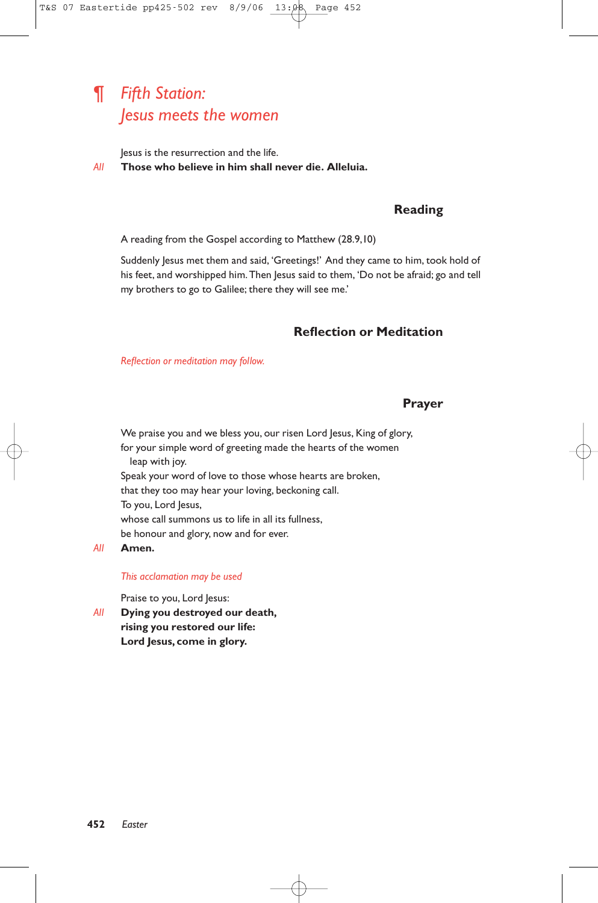# ¶ *Fifth Station: Jesus meets the women*

Jesus is the resurrection and the life. *All* **Those who believe in him shall never die. Alleluia.**

## **Reading**

A reading from the Gospel according to Matthew (28.9,10)

Suddenly Jesus met them and said, 'Greetings!' And they came to him, took hold of his feet, and worshipped him.Then Jesus said to them, 'Do not be afraid; go and tell my brothers to go to Galilee; there they will see me.'

# **Reflection or Meditation**

*Reflection or meditation may follow.*

## **Prayer**

We praise you and we bless you, our risen Lord Jesus, King of glory, for your simple word of greeting made the hearts of the women leap with joy. Speak your word of love to those whose hearts are broken, that they too may hear your loving, beckoning call. To you, Lord Jesus, whose call summons us to life in all its fullness, be honour and glory, now and for ever.

*All* **Amen.**

*This acclamation may be used*

Praise to you, Lord Jesus: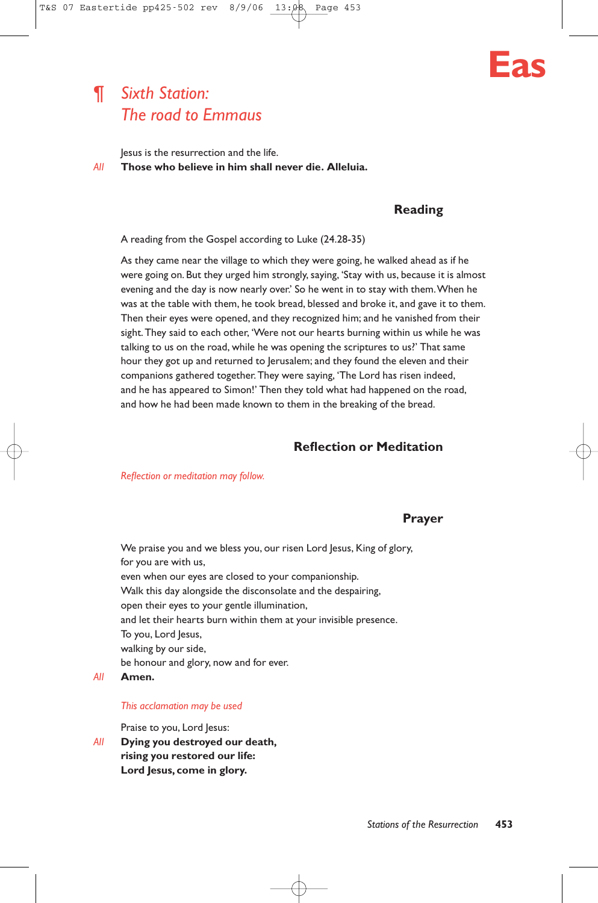# ¶ *Sixth Station: The road to Emmaus*

Jesus is the resurrection and the life. *All* **Those who believe in him shall never die. Alleluia.**

## **Reading**

A reading from the Gospel according to Luke (24.28-35)

As they came near the village to which they were going, he walked ahead as if he were going on. But they urged him strongly, saying, 'Stay with us, because it is almost evening and the day is now nearly over.' So he went in to stay with them.When he was at the table with them, he took bread, blessed and broke it, and gave it to them. Then their eyes were opened, and they recognized him; and he vanished from their sight.They said to each other, 'Were not our hearts burning within us while he was talking to us on the road, while he was opening the scriptures to us?' That same hour they got up and returned to Jerusalem; and they found the eleven and their companions gathered together.They were saying, 'The Lord has risen indeed, and he has appeared to Simon!' Then they told what had happened on the road, and how he had been made known to them in the breaking of the bread.

## **Reflection or Meditation**

*Reflection or meditation may follow.*

### **Prayer**

We praise you and we bless you, our risen Lord Jesus, King of glory, for you are with us, even when our eyes are closed to your companionship. Walk this day alongside the disconsolate and the despairing, open their eyes to your gentle illumination, and let their hearts burn within them at your invisible presence. To you, Lord Jesus, walking by our side, be honour and glory, now and for ever.

*All* **Amen.**

#### *This acclamation may be used*

Praise to you, Lord Jesus: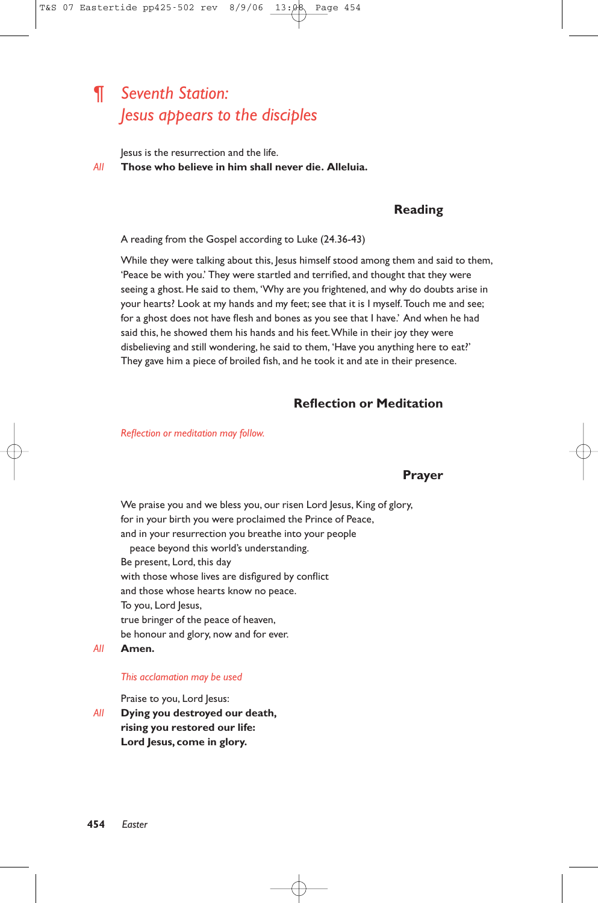# ¶ *Seventh Station: Jesus appears to the disciples*

Jesus is the resurrection and the life. *All* **Those who believe in him shall never die. Alleluia.**

#### **Reading**

A reading from the Gospel according to Luke (24.36-43)

While they were talking about this, Jesus himself stood among them and said to them, 'Peace be with you.' They were startled and terrified, and thought that they were seeing a ghost. He said to them, 'Why are you frightened, and why do doubts arise in your hearts? Look at my hands and my feet; see that it is I myself.Touch me and see; for a ghost does not have flesh and bones as you see that I have.' And when he had said this, he showed them his hands and his feet.While in their joy they were disbelieving and still wondering, he said to them, 'Have you anything here to eat?' They gave him a piece of broiled fish, and he took it and ate in their presence.

## **Reflection or Meditation**

*Reflection or meditation may follow.*

#### **Prayer**

We praise you and we bless you, our risen Lord Jesus, King of glory, for in your birth you were proclaimed the Prince of Peace, and in your resurrection you breathe into your people peace beyond this world's understanding. Be present, Lord, this day with those whose lives are disfigured by conflict and those whose hearts know no peace. To you, Lord Jesus, true bringer of the peace of heaven, be honour and glory, now and for ever.

*All* **Amen.**

#### *This acclamation may be used*

Praise to you, Lord Jesus: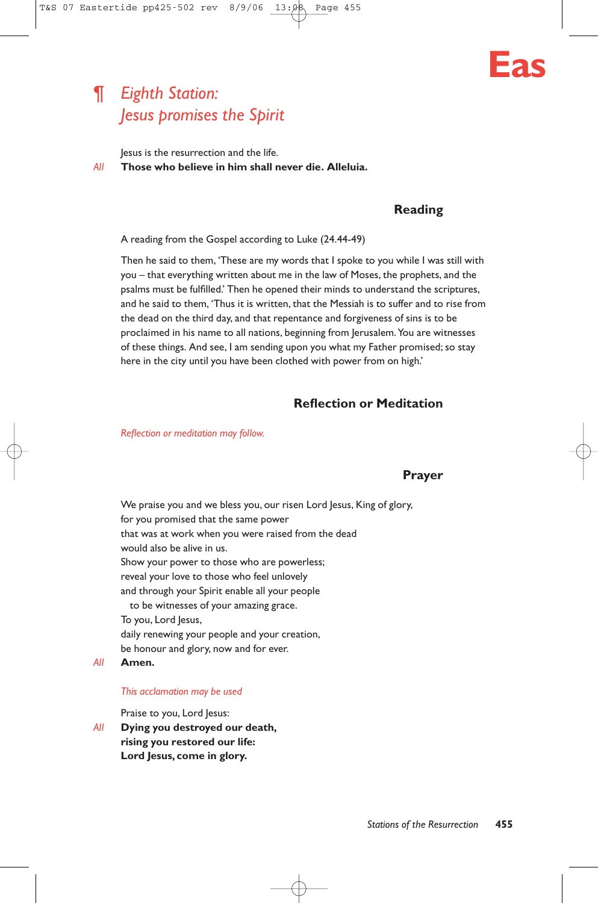# ¶ *Eighth Station: Jesus promises the Spirit*

Jesus is the resurrection and the life. *All* **Those who believe in him shall never die. Alleluia.**

## **Reading**

A reading from the Gospel according to Luke (24.44-49)

Then he said to them, 'These are my words that I spoke to you while I was still with you – that everything written about me in the law of Moses, the prophets, and the psalms must be fulfilled.' Then he opened their minds to understand the scriptures, and he said to them, 'Thus it is written, that the Messiah is to suffer and to rise from the dead on the third day, and that repentance and forgiveness of sins is to be proclaimed in his name to all nations, beginning from Jerusalem. You are witnesses of these things. And see, I am sending upon you what my Father promised; so stay here in the city until you have been clothed with power from on high.'

# **Reflection or Meditation**

*Reflection or meditation may follow.*

### **Prayer**

We praise you and we bless you, our risen Lord Jesus, King of glory, for you promised that the same power that was at work when you were raised from the dead would also be alive in us. Show your power to those who are powerless; reveal your love to those who feel unlovely and through your Spirit enable all your people to be witnesses of your amazing grace. To you, Lord Jesus, daily renewing your people and your creation, be honour and glory, now and for ever.

*All* **Amen.**

#### *This acclamation may be used*

Praise to you, Lord Jesus: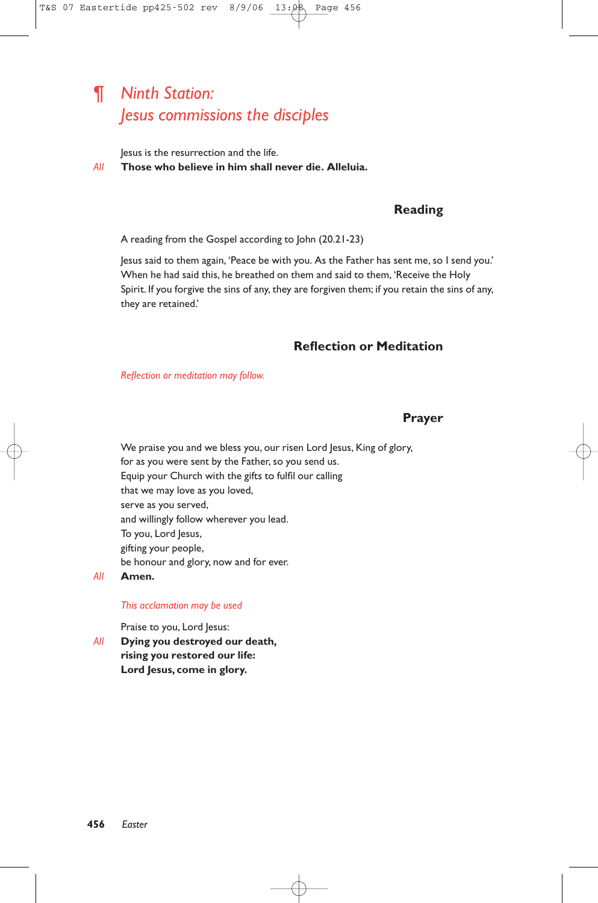# ¶ *Ninth Station: Jesus commissions the disciples*

Jesus is the resurrection and the life.

*All* **Those who believe in him shall never die. Alleluia.**

## **Reading**

A reading from the Gospel according to John (20.21-23)

Jesus said to them again, 'Peace be with you. As the Father has sent me, so I send you.' When he had said this, he breathed on them and said to them, 'Receive the Holy Spirit. If you forgive the sins of any, they are forgiven them; if you retain the sins of any, they are retained.'

# **Reflection or Meditation**

*Reflection or meditation may follow.*

### **Prayer**

We praise you and we bless you, our risen Lord Jesus, King of glory, for as you were sent by the Father, so you send us. Equip your Church with the gifts to fulfil our calling that we may love as you loved, serve as you served, and willingly follow wherever you lead. To you, Lord Jesus, gifting your people, be honour and glory, now and for ever.

*All* **Amen.**

#### *This acclamation may be used*

Praise to you, Lord Jesus: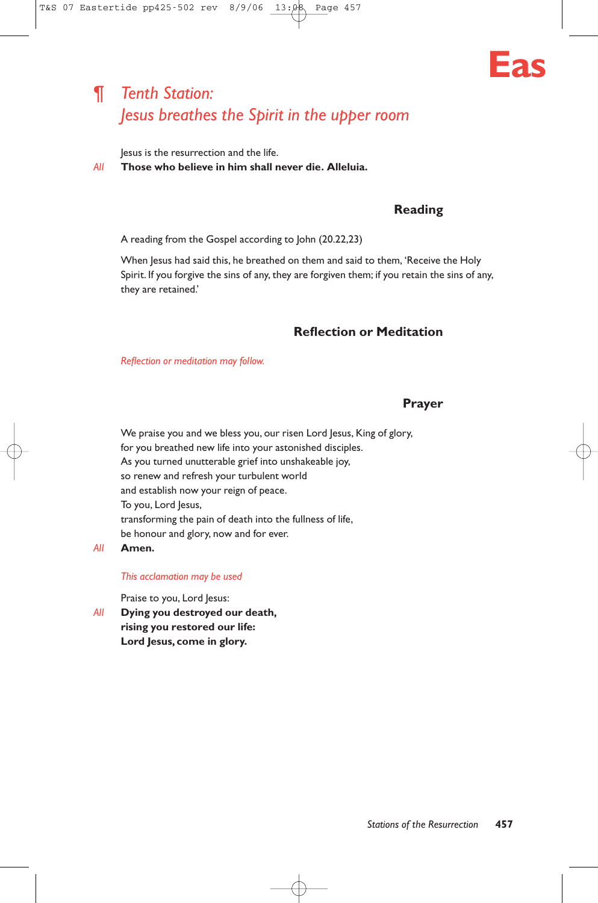# ¶ *Tenth Station: Jesus breathes the Spirit in the upper room*

Jesus is the resurrection and the life.

*All* **Those who believe in him shall never die. Alleluia.**

# **Reading**

A reading from the Gospel according to John (20.22,23)

When Jesus had said this, he breathed on them and said to them, 'Receive the Holy Spirit. If you forgive the sins of any, they are forgiven them; if you retain the sins of any, they are retained.'

# **Reflection or Meditation**

*Reflection or meditation may follow.*

## **Prayer**

We praise you and we bless you, our risen Lord Jesus, King of glory, for you breathed new life into your astonished disciples. As you turned unutterable grief into unshakeable joy, so renew and refresh your turbulent world and establish now your reign of peace. To you, Lord Jesus, transforming the pain of death into the fullness of life, be honour and glory, now and for ever.

*All* **Amen.**

*This acclamation may be used*

Praise to you, Lord Jesus: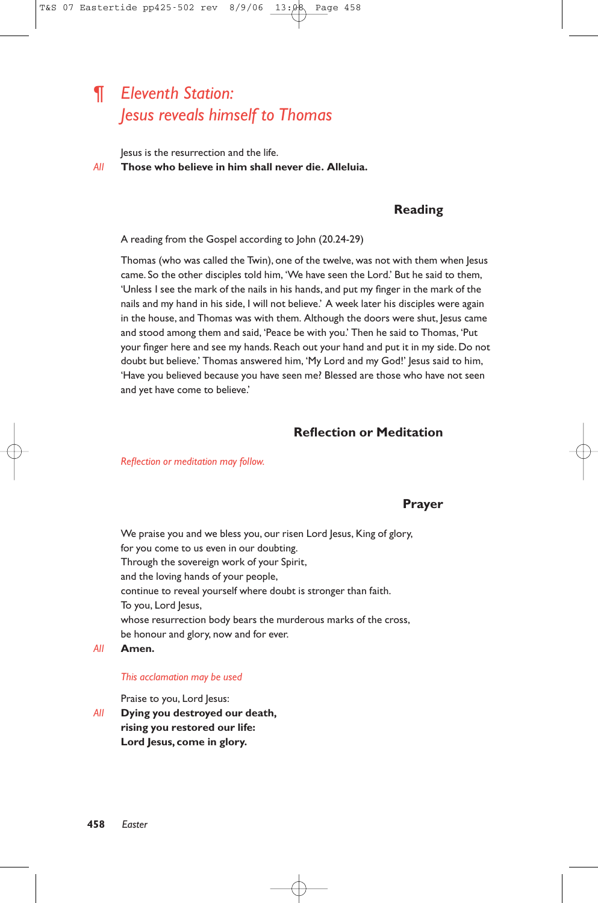# ¶ *Eleventh Station: Jesus reveals himself to Thomas*

Jesus is the resurrection and the life. *All* **Those who believe in him shall never die. Alleluia.**

#### **Reading**

A reading from the Gospel according to John (20.24-29)

Thomas (who was called the Twin), one of the twelve, was not with them when Jesus came. So the other disciples told him, 'We have seen the Lord.' But he said to them, 'Unless I see the mark of the nails in his hands, and put my finger in the mark of the nails and my hand in his side, I will not believe.' A week later his disciples were again in the house, and Thomas was with them. Although the doors were shut, Jesus came and stood among them and said, 'Peace be with you.' Then he said to Thomas, 'Put your finger here and see my hands. Reach out your hand and put it in my side. Do not doubt but believe.' Thomas answered him, 'My Lord and my God!' Jesus said to him, 'Have you believed because you have seen me? Blessed are those who have not seen and yet have come to believe.'

#### **Reflection or Meditation**

*Reflection or meditation may follow.*

### **Prayer**

We praise you and we bless you, our risen Lord Jesus, King of glory, for you come to us even in our doubting. Through the sovereign work of your Spirit, and the loving hands of your people, continue to reveal yourself where doubt is stronger than faith. To you, Lord Jesus, whose resurrection body bears the murderous marks of the cross, be honour and glory, now and for ever.

*All* **Amen.**

#### *This acclamation may be used*

Praise to you, Lord Jesus: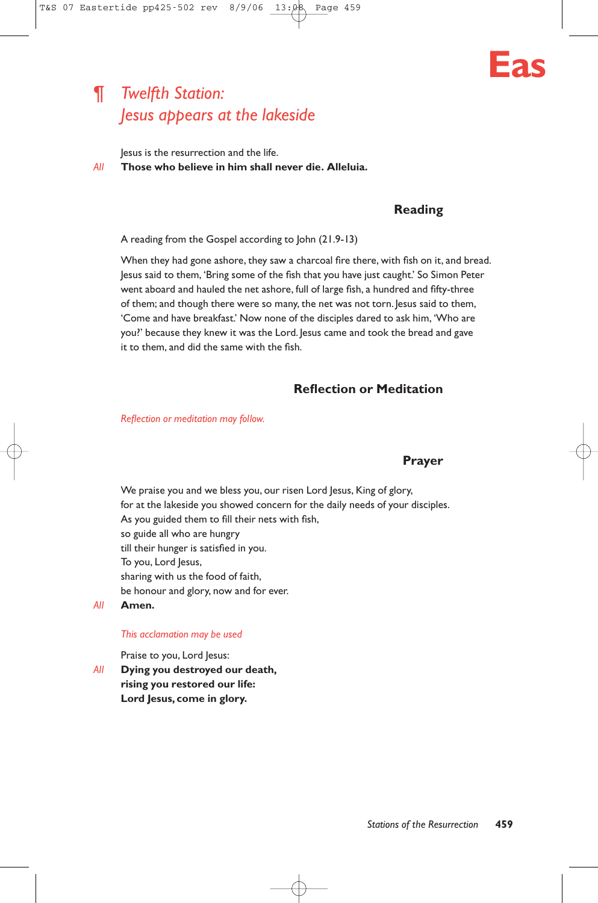# ¶ *Twelfth Station: Jesus appears at the lakeside*

Jesus is the resurrection and the life. *All* **Those who believe in him shall never die. Alleluia.**

## **Reading**

A reading from the Gospel according to John (21.9-13)

When they had gone ashore, they saw a charcoal fire there, with fish on it, and bread. Jesus said to them, 'Bring some of the fish that you have just caught.' So Simon Peter went aboard and hauled the net ashore, full of large fish, a hundred and fifty-three of them; and though there were so many, the net was not torn. Jesus said to them, 'Come and have breakfast.' Now none of the disciples dared to ask him, 'Who are you?' because they knew it was the Lord. Jesus came and took the bread and gave it to them, and did the same with the fish.

# **Reflection or Meditation**

*Reflection or meditation may follow.*

### **Prayer**

We praise you and we bless you, our risen Lord Jesus, King of glory, for at the lakeside you showed concern for the daily needs of your disciples. As you guided them to fill their nets with fish, so guide all who are hungry till their hunger is satisfied in you. To you, Lord Jesus, sharing with us the food of faith, be honour and glory, now and for ever.

*All* **Amen.**

#### *This acclamation may be used*

Praise to you, Lord Jesus: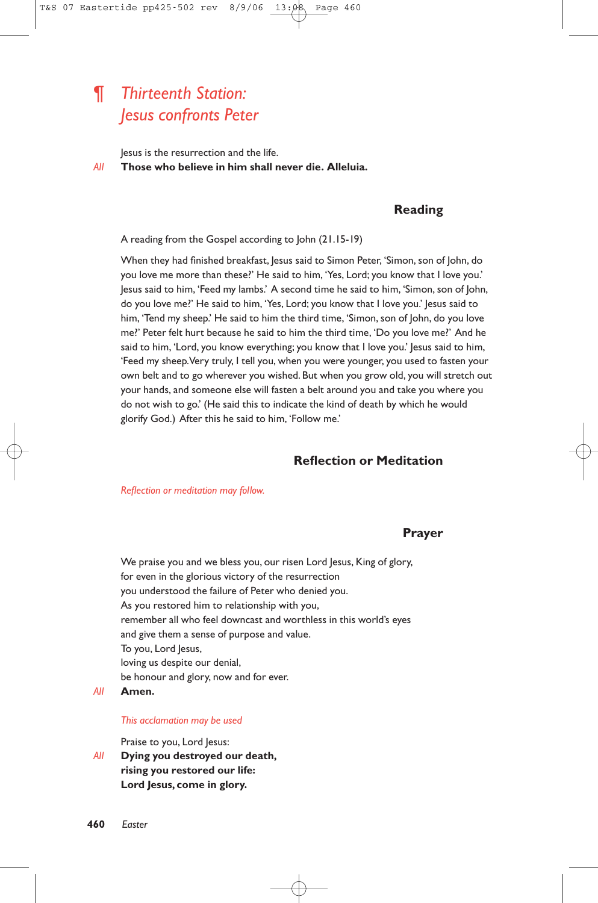# ¶ *Thirteenth Station: Jesus confronts Peter*

Jesus is the resurrection and the life. *All* **Those who believe in him shall never die. Alleluia.**

#### **Reading**

A reading from the Gospel according to John (21.15-19)

When they had finished breakfast, Jesus said to Simon Peter, 'Simon, son of John, do you love me more than these?' He said to him, 'Yes, Lord; you know that I love you.' Jesus said to him, 'Feed my lambs.' A second time he said to him, 'Simon, son of John, do you love me?' He said to him, 'Yes, Lord; you know that I love you.' Jesus said to him, 'Tend my sheep.' He said to him the third time, 'Simon, son of John, do you love me?' Peter felt hurt because he said to him the third time, 'Do you love me?' And he said to him, 'Lord, you know everything; you know that I love you.' Jesus said to him, 'Feed my sheep.Very truly, I tell you, when you were younger, you used to fasten your own belt and to go wherever you wished. But when you grow old, you will stretch out your hands, and someone else will fasten a belt around you and take you where you do not wish to go.' (He said this to indicate the kind of death by which he would glorify God.) After this he said to him, 'Follow me.'

#### **Reflection or Meditation**

*Reflection or meditation may follow.*

#### **Prayer**

We praise you and we bless you, our risen Lord Jesus, King of glory, for even in the glorious victory of the resurrection you understood the failure of Peter who denied you. As you restored him to relationship with you, remember all who feel downcast and worthless in this world's eyes and give them a sense of purpose and value. To you, Lord Jesus, loving us despite our denial, be honour and glory, now and for ever.

*All* **Amen.**

#### *This acclamation may be used*

Praise to you, Lord Jesus: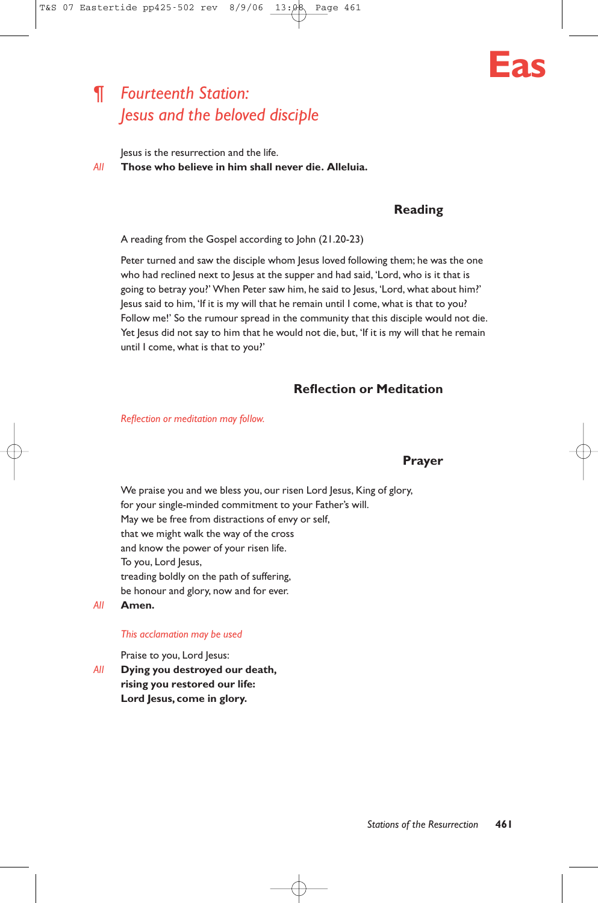# **Eas**

# ¶ *Fourteenth Station: Jesus and the beloved disciple*

Jesus is the resurrection and the life. *All* **Those who believe in him shall never die. Alleluia.**

# **Reading**

A reading from the Gospel according to John (21.20-23)

Peter turned and saw the disciple whom Jesus loved following them; he was the one who had reclined next to Jesus at the supper and had said, 'Lord, who is it that is going to betray you?' When Peter saw him, he said to Jesus, 'Lord, what about him?' Jesus said to him, 'If it is my will that he remain until I come, what is that to you? Follow me!' So the rumour spread in the community that this disciple would not die. Yet Jesus did not say to him that he would not die, but, 'If it is my will that he remain until I come, what is that to you?'

# **Reflection or Meditation**

*Reflection or meditation may follow.*

# **Prayer**

We praise you and we bless you, our risen Lord Jesus, King of glory, for your single-minded commitment to your Father's will. May we be free from distractions of envy or self, that we might walk the way of the cross and know the power of your risen life. To you, Lord Jesus, treading boldly on the path of suffering, be honour and glory, now and for ever.

*All* **Amen.**

## *This acclamation may be used*

Praise to you, Lord Jesus: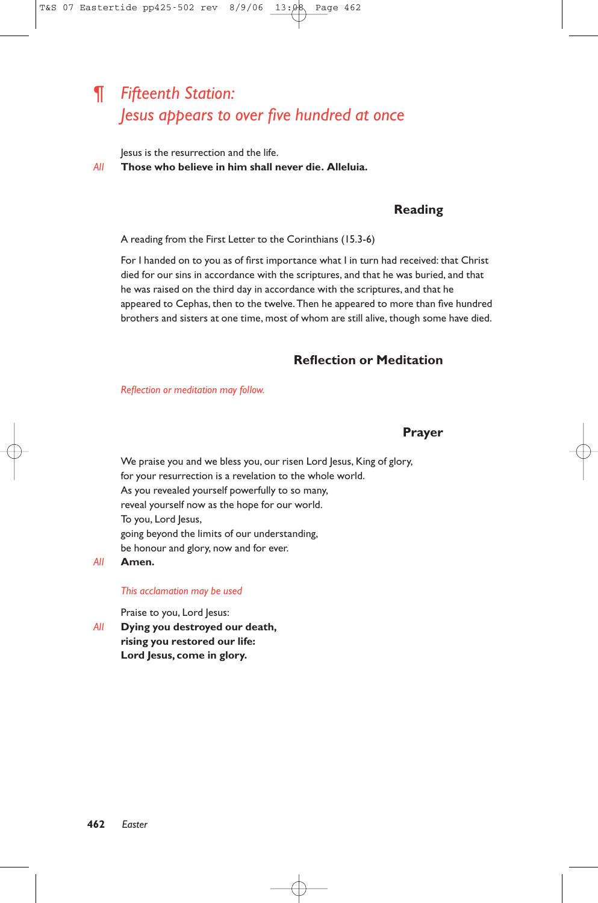# ¶ *Fifteenth Station: Jesus appears to over five hundred at once*

Jesus is the resurrection and the life.

*All* **Those who believe in him shall never die. Alleluia.**

# **Reading**

A reading from the First Letter to the Corinthians (15.3-6)

For I handed on to you as of first importance what I in turn had received: that Christ died for our sins in accordance with the scriptures, and that he was buried, and that he was raised on the third day in accordance with the scriptures, and that he appeared to Cephas, then to the twelve.Then he appeared to more than five hundred brothers and sisters at one time, most of whom are still alive, though some have died.

# **Reflection or Meditation**

*Reflection or meditation may follow.*

# **Prayer**

We praise you and we bless you, our risen Lord Jesus, King of glory, for your resurrection is a revelation to the whole world. As you revealed yourself powerfully to so many, reveal yourself now as the hope for our world. To you, Lord Jesus, going beyond the limits of our understanding, be honour and glory, now and for ever.

*All* **Amen.**

## *This acclamation may be used*

Praise to you, Lord Jesus: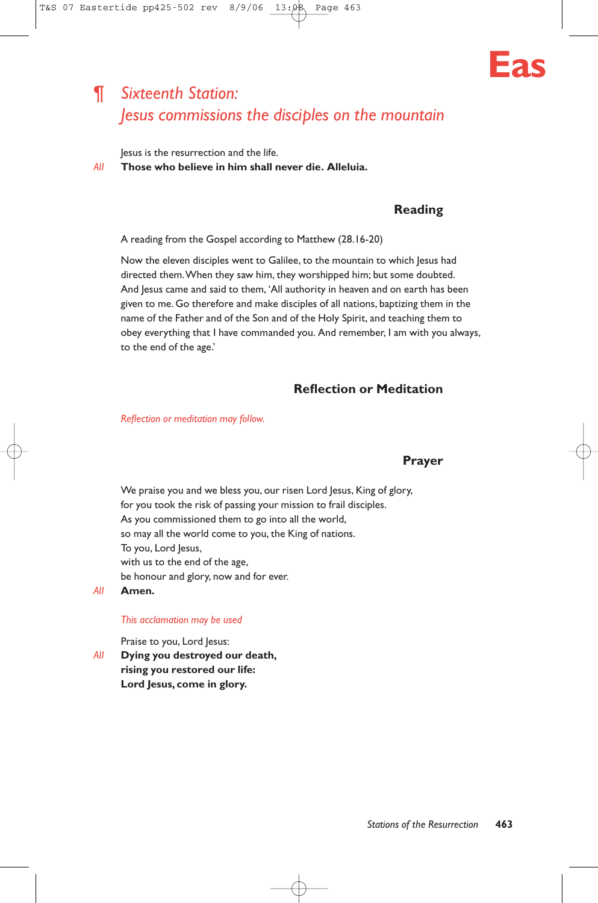# **Eas**

# ¶ *Sixteenth Station: Jesus commissions the disciples on the mountain*

Jesus is the resurrection and the life. *All* **Those who believe in him shall never die. Alleluia.**

# **Reading**

A reading from the Gospel according to Matthew (28.16-20)

Now the eleven disciples went to Galilee, to the mountain to which Jesus had directed them.When they saw him, they worshipped him; but some doubted. And Jesus came and said to them, 'All authority in heaven and on earth has been given to me. Go therefore and make disciples of all nations, baptizing them in the name of the Father and of the Son and of the Holy Spirit, and teaching them to obey everything that I have commanded you. And remember, I am with you always, to the end of the age.'

# **Reflection or Meditation**

*Reflection or meditation may follow.*

# **Prayer**

We praise you and we bless you, our risen Lord Jesus, King of glory, for you took the risk of passing your mission to frail disciples. As you commissioned them to go into all the world, so may all the world come to you, the King of nations. To you, Lord Jesus, with us to the end of the age, be honour and glory, now and for ever.

*All* **Amen.**

## *This acclamation may be used*

Praise to you, Lord Jesus: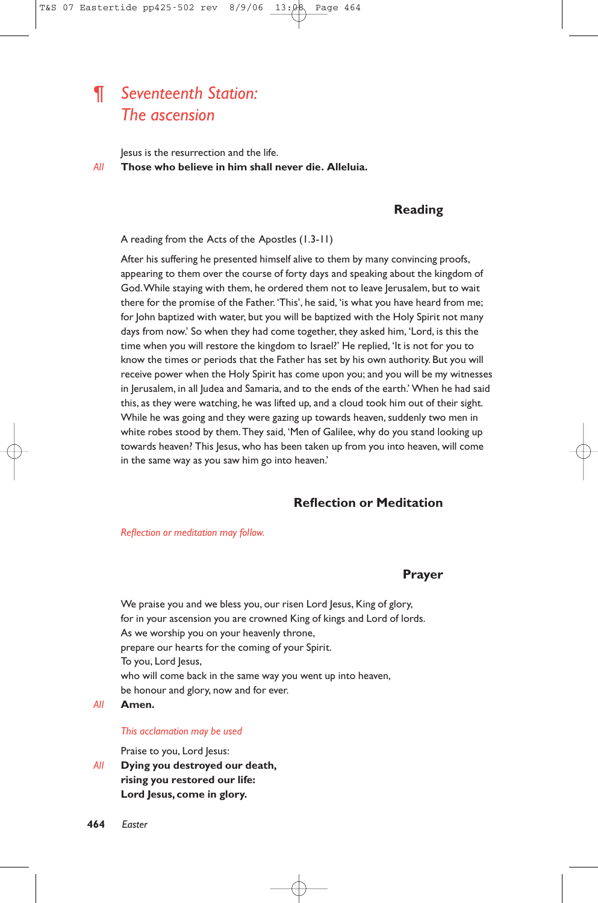# ¶ *Seventeenth Station: The ascension*

Jesus is the resurrection and the life. *All* **Those who believe in him shall never die. Alleluia.**

## **Reading**

A reading from the Acts of the Apostles (1.3-11)

After his suffering he presented himself alive to them by many convincing proofs, appearing to them over the course of forty days and speaking about the kingdom of God. While staying with them, he ordered them not to leave lerusalem, but to wait there for the promise of the Father. 'This', he said, 'is what you have heard from me; for John baptized with water, but you will be baptized with the Holy Spirit not many days from now.' So when they had come together, they asked him, 'Lord, is this the time when you will restore the kingdom to Israel?' He replied, 'It is not for you to know the times or periods that the Father has set by his own authority. But you will receive power when the Holy Spirit has come upon you; and you will be my witnesses in Jerusalem, in all Judea and Samaria, and to the ends of the earth.' When he had said this, as they were watching, he was lifted up, and a cloud took him out of their sight. While he was going and they were gazing up towards heaven, suddenly two men in white robes stood by them.They said, 'Men of Galilee, why do you stand looking up towards heaven? This Jesus, who has been taken up from you into heaven, will come in the same way as you saw him go into heaven.'

# **Reflection or Meditation**

*Reflection or meditation may follow.*

# **Prayer**

We praise you and we bless you, our risen Lord Jesus, King of glory, for in your ascension you are crowned King of kings and Lord of lords. As we worship you on your heavenly throne, prepare our hearts for the coming of your Spirit. To you, Lord Jesus, who will come back in the same way you went up into heaven, be honour and glory, now and for ever.

*All* **Amen.**

### *This acclamation may be used*

Praise to you, Lord Jesus: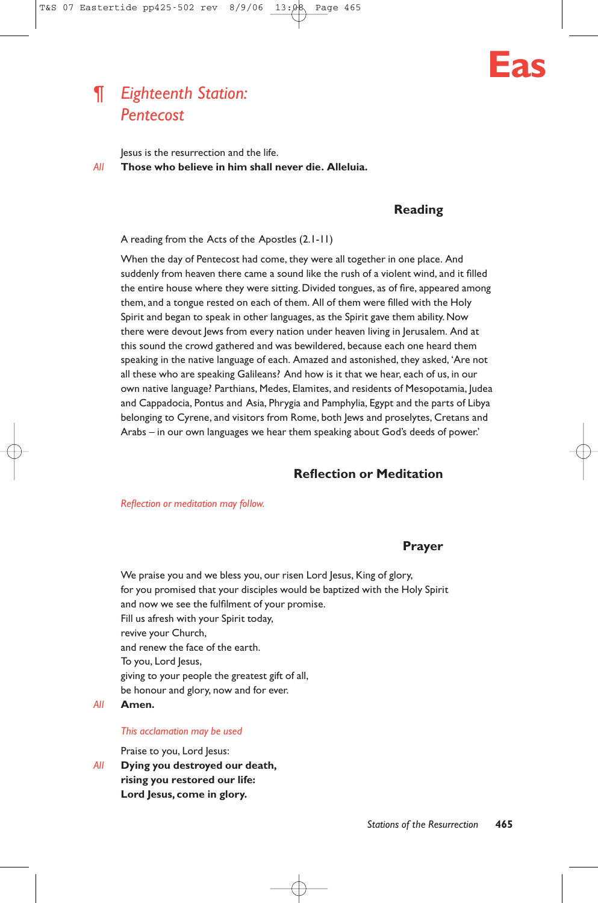# **Eas**

# ¶ *Eighteenth Station: Pentecost*

Jesus is the resurrection and the life. *All* **Those who believe in him shall never die. Alleluia.**

# **Reading**

A reading from the Acts of the Apostles (2.1-11)

When the day of Pentecost had come, they were all together in one place. And suddenly from heaven there came a sound like the rush of a violent wind, and it filled the entire house where they were sitting. Divided tongues, as of fire, appeared among them, and a tongue rested on each of them. All of them were filled with the Holy Spirit and began to speak in other languages, as the Spirit gave them ability. Now there were devout lews from every nation under heaven living in Jerusalem. And at this sound the crowd gathered and was bewildered, because each one heard them speaking in the native language of each. Amazed and astonished, they asked, 'Are not all these who are speaking Galileans? And how is it that we hear, each of us, in our own native language? Parthians, Medes, Elamites, and residents of Mesopotamia, Judea and Cappadocia, Pontus and Asia, Phrygia and Pamphylia, Egypt and the parts of Libya belonging to Cyrene, and visitors from Rome, both Jews and proselytes, Cretans and Arabs – in our own languages we hear them speaking about God's deeds of power.'

# **Reflection or Meditation**

*Reflection or meditation may follow.*

## **Prayer**

We praise you and we bless you, our risen Lord Jesus, King of glory, for you promised that your disciples would be baptized with the Holy Spirit and now we see the fulfilment of your promise. Fill us afresh with your Spirit today, revive your Church, and renew the face of the earth. To you, Lord Jesus, giving to your people the greatest gift of all, be honour and glory, now and for ever.

*All* **Amen.**

### *This acclamation may be used*

Praise to you, Lord Jesus: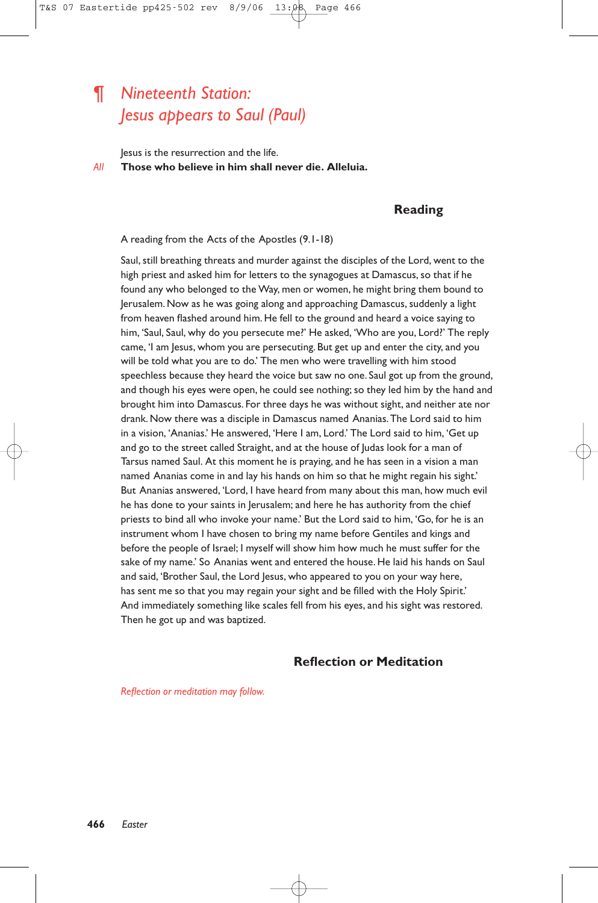# ¶ *Nineteenth Station: Jesus appears to Saul (Paul)*

Jesus is the resurrection and the life. *All* **Those who believe in him shall never die. Alleluia.**

# **Reading**

A reading from the Acts of the Apostles (9.1-18)

Saul, still breathing threats and murder against the disciples of the Lord, went to the high priest and asked him for letters to the synagogues at Damascus, so that if he found any who belonged to the Way, men or women, he might bring them bound to Jerusalem. Now as he was going along and approaching Damascus, suddenly a light from heaven flashed around him. He fell to the ground and heard a voice saying to him, 'Saul, Saul, why do you persecute me?' He asked, 'Who are you, Lord?' The reply came, 'I am Jesus, whom you are persecuting. But get up and enter the city, and you will be told what you are to do.' The men who were travelling with him stood speechless because they heard the voice but saw no one. Saul got up from the ground, and though his eyes were open, he could see nothing; so they led him by the hand and brought him into Damascus. For three days he was without sight, and neither ate nor drank. Now there was a disciple in Damascus named Ananias.The Lord said to him in a vision, 'Ananias.' He answered, 'Here I am, Lord.' The Lord said to him, 'Get up and go to the street called Straight, and at the house of Judas look for a man of Tarsus named Saul. At this moment he is praying, and he has seen in a vision a man named Ananias come in and lay his hands on him so that he might regain his sight.' But Ananias answered, 'Lord, I have heard from many about this man, how much evil he has done to your saints in Jerusalem; and here he has authority from the chief priests to bind all who invoke your name.' But the Lord said to him, 'Go, for he is an instrument whom I have chosen to bring my name before Gentiles and kings and before the people of Israel; I myself will show him how much he must suffer for the sake of my name.' So Ananias went and entered the house. He laid his hands on Saul and said, 'Brother Saul, the Lord Jesus, who appeared to you on your way here, has sent me so that you may regain your sight and be filled with the Holy Spirit.' And immediately something like scales fell from his eyes, and his sight was restored. Then he got up and was baptized.

# **Reflection or Meditation**

*Reflection or meditation may follow.*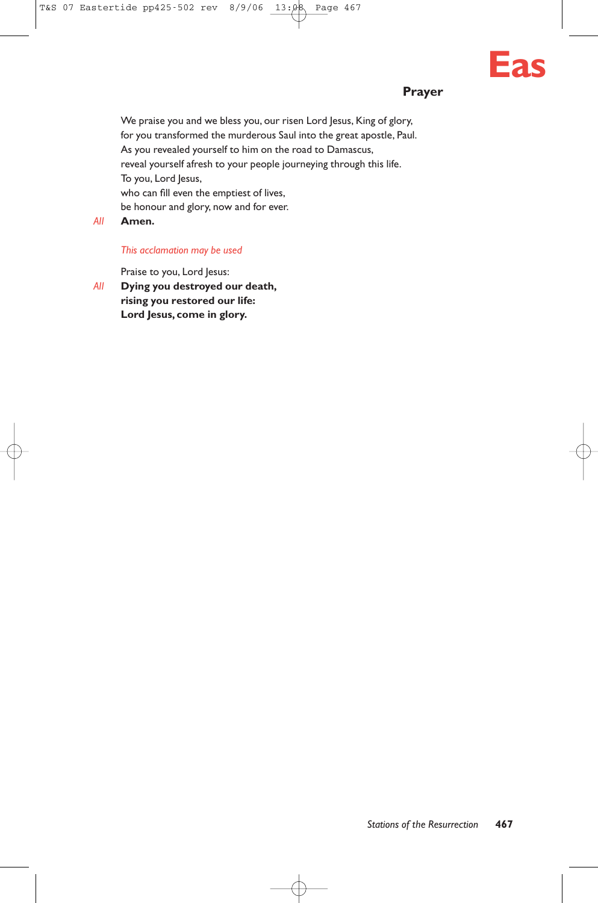

# **Prayer**

We praise you and we bless you, our risen Lord Jesus, King of glory, for you transformed the murderous Saul into the great apostle, Paul. As you revealed yourself to him on the road to Damascus, reveal yourself afresh to your people journeying through this life. To you, Lord Jesus, who can fill even the emptiest of lives, be honour and glory, now and for ever.

*All* **Amen.**

### *This acclamation may be used*

Praise to you, Lord Jesus: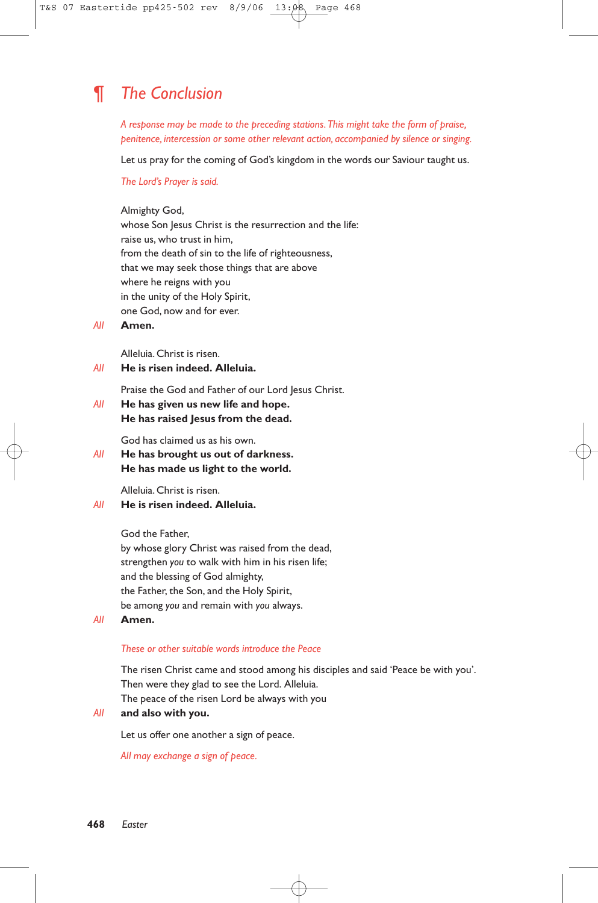# ¶ *The Conclusion*

*A response may be made to the preceding stations.This might take the form of praise, penitence, intercession or some other relevant action, accompanied by silence or singing.*

Let us pray for the coming of God's kingdom in the words our Saviour taught us.

### *The Lord's Prayer is said.*

Almighty God,

whose Son Jesus Christ is the resurrection and the life: raise us, who trust in him, from the death of sin to the life of righteousness, that we may seek those things that are above where he reigns with you in the unity of the Holy Spirit, one God, now and for ever.

### *All* **Amen.**

Alleluia. Christ is risen.

### *All* **He is risen indeed. Alleluia.**

Praise the God and Father of our Lord Jesus Christ.

*All* **He has given us new life and hope. He has raised Jesus from the dead.**

God has claimed us as his own.

*All* **He has brought us out of darkness. He has made us light to the world.**

Alleluia. Christ is risen.

*All* **He is risen indeed. Alleluia.**

God the Father,

by whose glory Christ was raised from the dead, strengthen *you* to walk with him in his risen life; and the blessing of God almighty, the Father, the Son, and the Holy Spirit, be among *you* and remain with *you* always.

*All* **Amen.**

#### *These or other suitable words introduce the Peace*

The risen Christ came and stood among his disciples and said 'Peace be with you'. Then were they glad to see the Lord. Alleluia. The peace of the risen Lord be always with you

### *All* **and also with you.**

Let us offer one another a sign of peace.

*All may exchange a sign of peace.*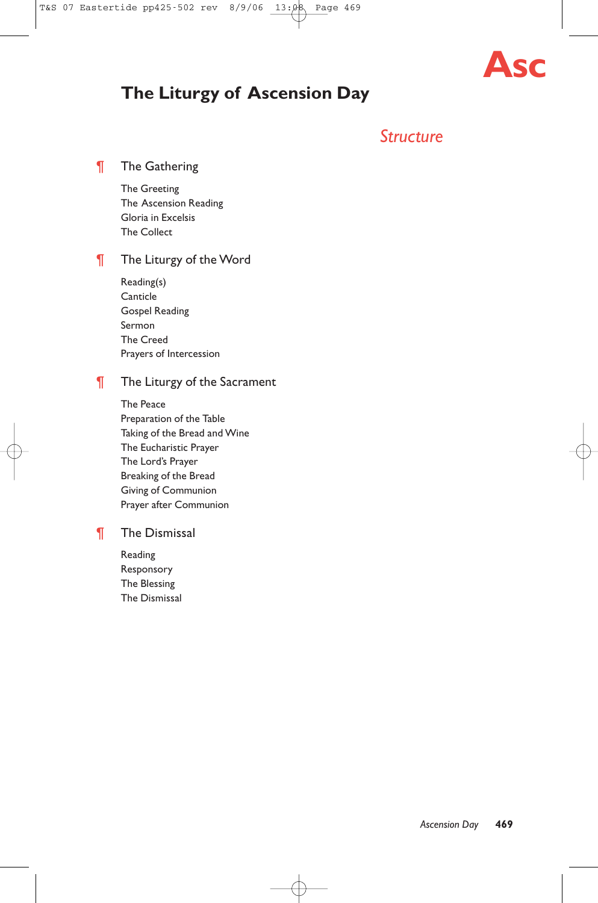# **The Liturgy of Ascension Day**

# *Structure*

**Asc**

# ¶ The Gathering

The Greeting The Ascension Reading Gloria in Excelsis The Collect

# **The Liturgy of the Word**

Reading(s) Canticle Gospel Reading Sermon The Creed Prayers of Intercession

# **The Liturgy of the Sacrament**

The Peace Preparation of the Table Taking of the Bread and Wine The Eucharistic Prayer The Lord's Prayer Breaking of the Bread Giving of Communion Prayer after Communion

# ¶ The Dismissal

Reading Responsory The Blessing The Dismissal

*Ascension Day* **469**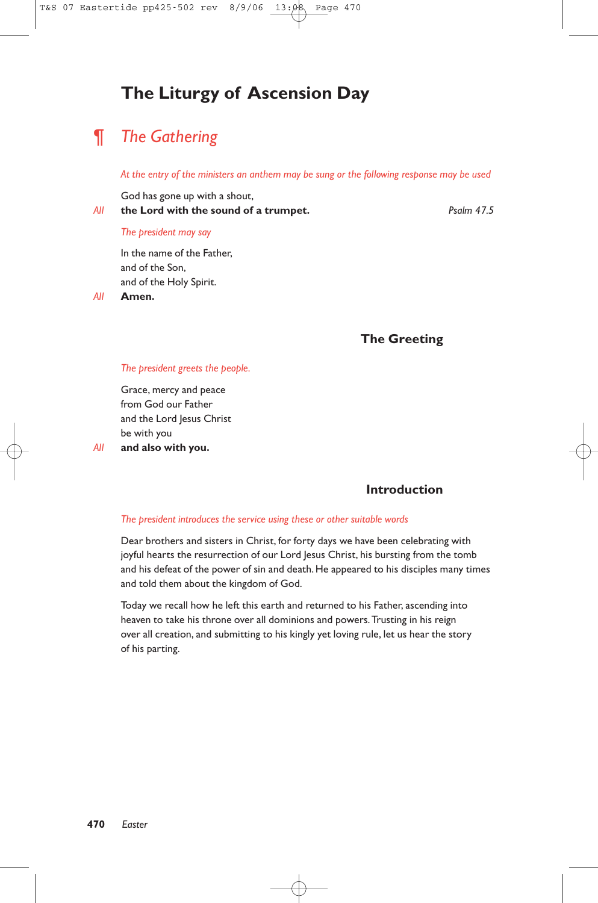# **The Liturgy of Ascension Day**

# ¶ *The Gathering*

*At the entry of the ministers an anthem may be sung or the following response may be used*

God has gone up with a shout,

*All* **the Lord with the sound of a trumpet.** *Psalm 47.5*

### *The president may say*

In the name of the Father, and of the Son, and of the Holy Spirit.

*All* **Amen.**

# **The Greeting**

### *The president greets the people.*

Grace, mercy and peace from God our Father and the Lord Jesus Christ be with you

*All* **and also with you.**

# **Introduction**

### *The president introduces the service using these or other suitable words*

Dear brothers and sisters in Christ, for forty days we have been celebrating with joyful hearts the resurrection of our Lord Jesus Christ, his bursting from the tomb and his defeat of the power of sin and death. He appeared to his disciples many times and told them about the kingdom of God.

Today we recall how he left this earth and returned to his Father, ascending into heaven to take his throne over all dominions and powers.Trusting in his reign over all creation, and submitting to his kingly yet loving rule, let us hear the story of his parting.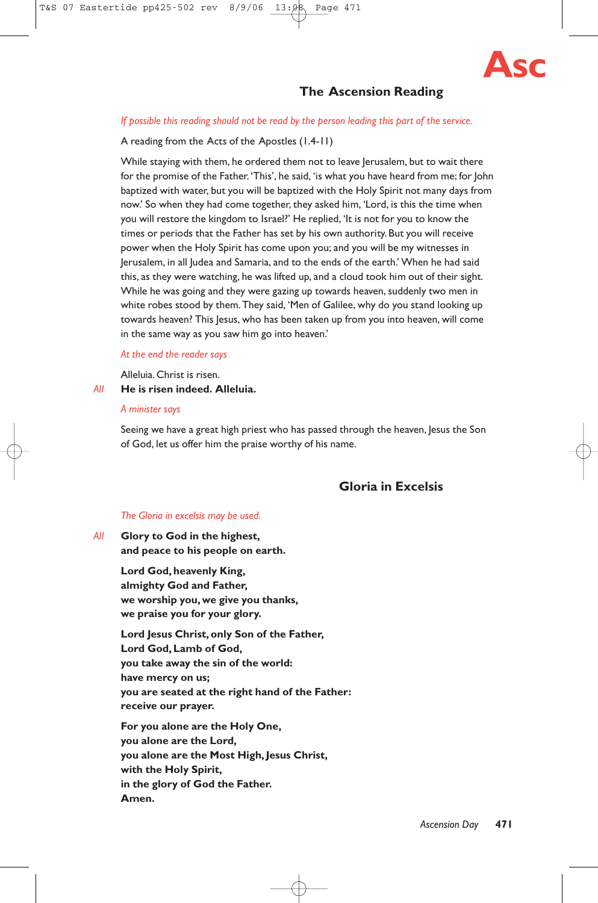

# **The Ascension Reading**

### *If possible this reading should not be read by the person leading this part of the service.*

## A reading from the Acts of the Apostles (1.4-11)

While staying with them, he ordered them not to leave Jerusalem, but to wait there for the promise of the Father. 'This', he said, 'is what you have heard from me; for John baptized with water, but you will be baptized with the Holy Spirit not many days from now.' So when they had come together, they asked him, 'Lord, is this the time when you will restore the kingdom to Israel?' He replied, 'It is not for you to know the times or periods that the Father has set by his own authority. But you will receive power when the Holy Spirit has come upon you; and you will be my witnesses in Jerusalem, in all Judea and Samaria, and to the ends of the earth.' When he had said this, as they were watching, he was lifted up, and a cloud took him out of their sight. While he was going and they were gazing up towards heaven, suddenly two men in white robes stood by them.They said, 'Men of Galilee, why do you stand looking up towards heaven? This Jesus, who has been taken up from you into heaven, will come in the same way as you saw him go into heaven.'

### *At the end the reader says*

Alleluia. Christ is risen.

### *All* **He is risen indeed. Alleluia.**

### *A minister says*

Seeing we have a great high priest who has passed through the heaven, Jesus the Son of God, let us offer him the praise worthy of his name.

# **Gloria in Excelsis**

### *The Gloria in excelsis may be used.*

# *All* **Glory to God in the highest, and peace to his people on earth.**

**Lord God, heavenly King, almighty God and Father, we worship you,we give you thanks, we praise you for your glory.**

**Lord Jesus Christ, only Son of the Father, Lord God, Lamb of God, you take away the sin of the world: have mercy on us; you are seated at the right hand of the Father: receive our prayer.**

**For you alone are the Holy One, you alone are the Lord, you alone are the Most High, Jesus Christ, with the Holy Spirit, in the glory of God the Father. Amen.**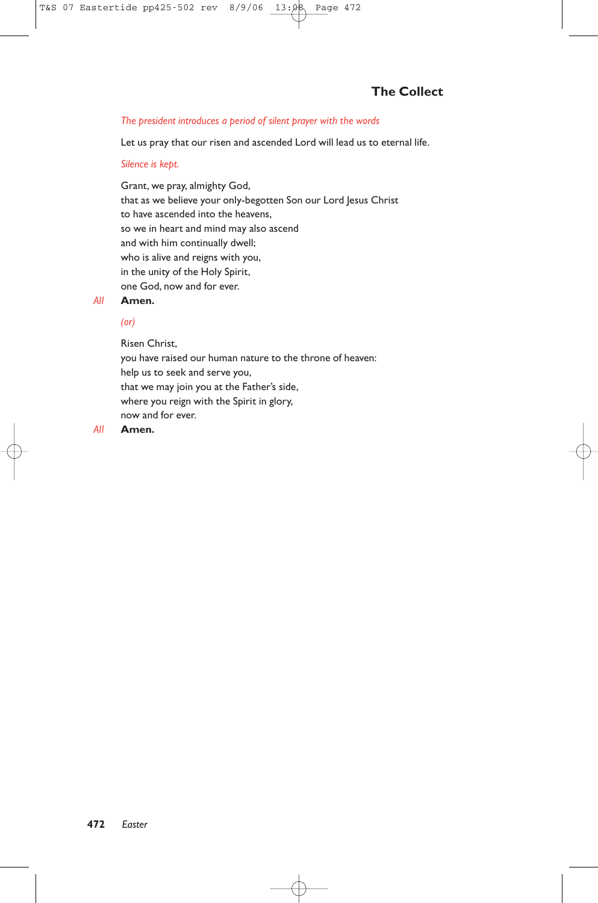### *The president introduces a period of silent prayer with the words*

Let us pray that our risen and ascended Lord will lead us to eternal life.

### *Silence is kept.*

Grant, we pray, almighty God, that as we believe your only-begotten Son our Lord Jesus Christ to have ascended into the heavens, so we in heart and mind may also ascend and with him continually dwell; who is alive and reigns with you, in the unity of the Holy Spirit, one God, now and for ever.

*All* **Amen.**

### *(or)*

Risen Christ,

you have raised our human nature to the throne of heaven: help us to seek and serve you, that we may join you at the Father's side, where you reign with the Spirit in glory, now and for ever.

### *All* **Amen.**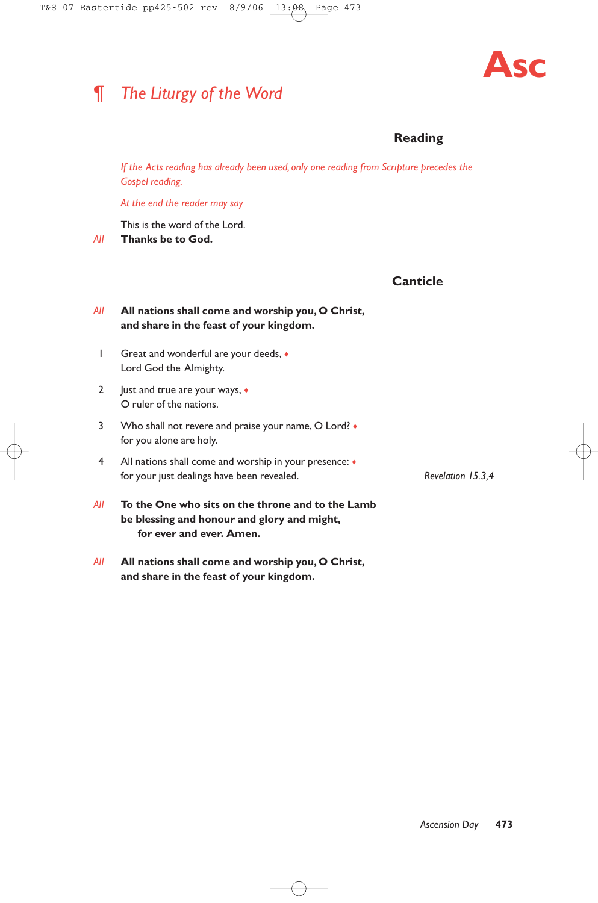# ¶ *The Liturgy of the Word*



# **Reading**

*If the Acts reading has already been used, only one reading from Scripture precedes the Gospel reading.*

*At the end the reader may say*

This is the word of the Lord.

*All* **Thanks be to God.**

# **Canticle**

- *All* **All nations shall come and worship you, O Christ, and share in the feast of your kingdom.**
	- 1 Great and wonderful are your deeds, ♦ Lord God the Almighty.
	- 2 Just and true are your ways,  $\triangleleft$ O ruler of the nations.
- 3 Who shall not revere and praise your name, O Lord? ♦ for you alone are holy.
- 4 All nations shall come and worship in your presence: ♦ for your just dealings have been revealed. *Revelation 15.3,4*
- *All* **To the One who sits on the throne and to the Lamb be blessing and honour and glory and might, for ever and ever. Amen.**
- *All* **All nations shall come and worship you, O Christ, and share in the feast of your kingdom.**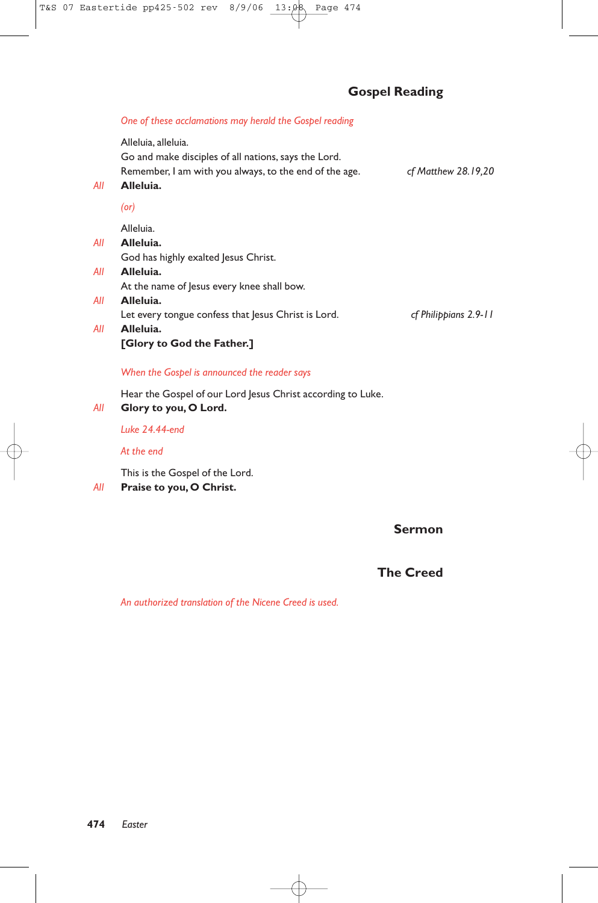*One of these acclamations may herald the Gospel reading*

| All | Alleluia, alleluia.<br>Go and make disciples of all nations, says the Lord.<br>Remember, I am with you always, to the end of the age.<br>Alleluia. | cf Matthew 28.19,20   |
|-----|----------------------------------------------------------------------------------------------------------------------------------------------------|-----------------------|
|     | (                                                                                                                                                  |                       |
|     | Alleluia.                                                                                                                                          |                       |
| All | Alleluia.                                                                                                                                          |                       |
|     | God has highly exalted Jesus Christ.                                                                                                               |                       |
| All | Alleluia.                                                                                                                                          |                       |
|     | At the name of Jesus every knee shall bow.                                                                                                         |                       |
| All | Alleluia.                                                                                                                                          |                       |
|     | Let every tongue confess that Jesus Christ is Lord.                                                                                                | cf Philippians 2.9-11 |
| All | Alleluia.                                                                                                                                          |                       |
|     | <b>[Glory to God the Father.]</b>                                                                                                                  |                       |
|     | When the Gospel is announced the reader says                                                                                                       |                       |
|     | Hear the Gospel of our Lord Jesus Christ according to Luke.                                                                                        |                       |
| All | Glory to you, O Lord.                                                                                                                              |                       |

*Luke 24.44-end*

*At the end*

This is the Gospel of the Lord.

*All* **Praise to you, O Christ.**

**Sermon**

**The Creed**

*An authorized translation of the Nicene Creed is used.*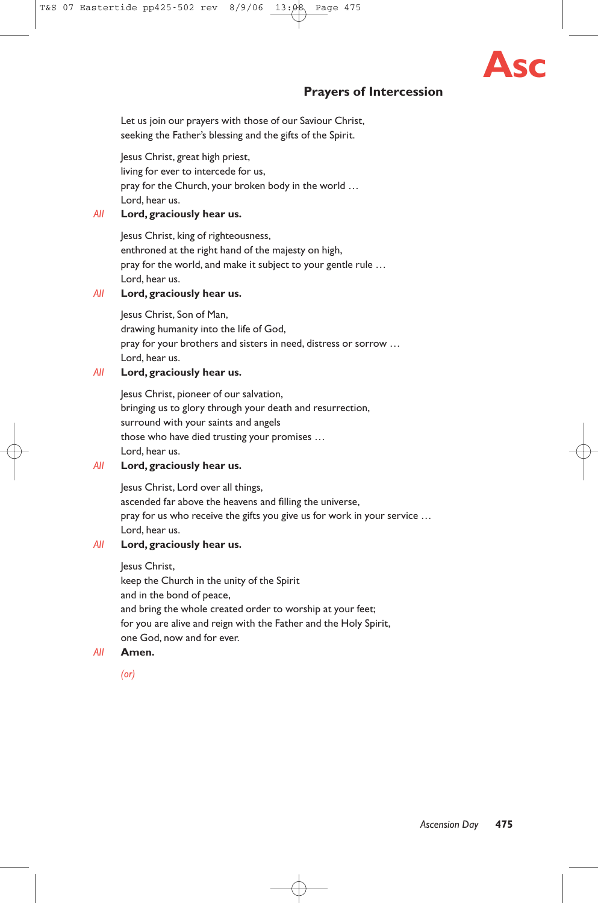# **Prayers of Intercession**



Let us join our prayers with those of our Saviour Christ, seeking the Father's blessing and the gifts of the Spirit.

Jesus Christ, great high priest, living for ever to intercede for us, pray for the Church, your broken body in the world … Lord, hear us.

# *All* **Lord, graciously hear us.**

Jesus Christ, king of righteousness, enthroned at the right hand of the majesty on high, pray for the world, and make it subject to your gentle rule ... Lord, hear us.

## *All* **Lord, graciously hear us.**

Jesus Christ, Son of Man, drawing humanity into the life of God, pray for your brothers and sisters in need, distress or sorrow … Lord, hear us.

## *All* **Lord, graciously hear us.**

Jesus Christ, pioneer of our salvation, bringing us to glory through your death and resurrection, surround with your saints and angels those who have died trusting your promises … Lord, hear us.

## *All* **Lord, graciously hear us.**

Jesus Christ, Lord over all things, ascended far above the heavens and filling the universe, pray for us who receive the gifts you give us for work in your service … Lord, hear us.

## *All* **Lord, graciously hear us.**

Jesus Christ, keep the Church in the unity of the Spirit and in the bond of peace, and bring the whole created order to worship at your feet; for you are alive and reign with the Father and the Holy Spirit, one God, now and for ever.

## *All* **Amen.**

*(or)*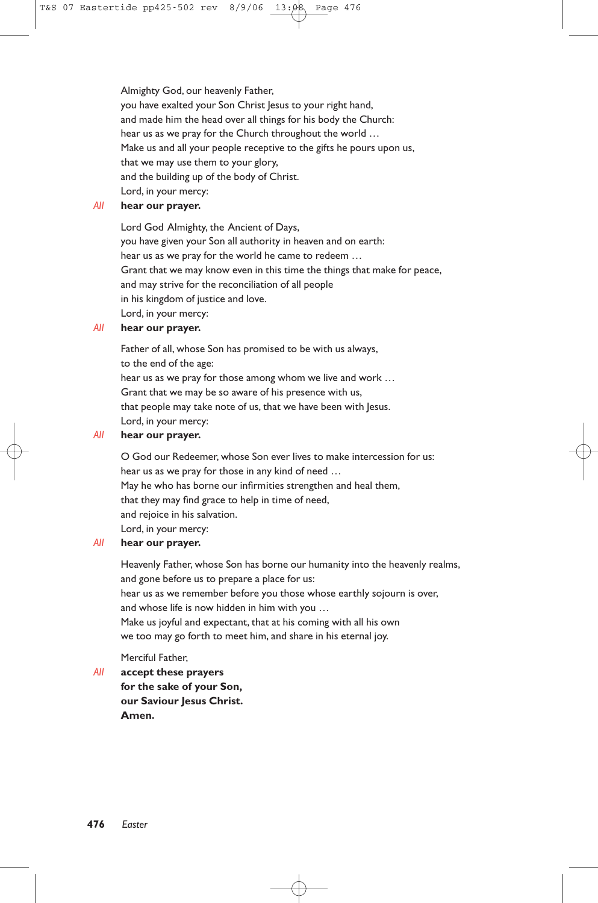Almighty God, our heavenly Father, you have exalted your Son Christ Jesus to your right hand, and made him the head over all things for his body the Church: hear us as we pray for the Church throughout the world … Make us and all your people receptive to the gifts he pours upon us, that we may use them to your glory, and the building up of the body of Christ. Lord, in your mercy:

## *All* **hear our prayer.**

Lord God Almighty, the Ancient of Days, you have given your Son all authority in heaven and on earth: hear us as we pray for the world he came to redeem … Grant that we may know even in this time the things that make for peace, and may strive for the reconciliation of all people in his kingdom of justice and love. Lord, in your mercy:

### *All* **hear our prayer.**

Father of all, whose Son has promised to be with us always, to the end of the age: hear us as we pray for those among whom we live and work … Grant that we may be so aware of his presence with us, that people may take note of us, that we have been with Jesus. Lord, in your mercy:

### *All* **hear our prayer.**

O God our Redeemer, whose Son ever lives to make intercession for us: hear us as we pray for those in any kind of need … May he who has borne our infirmities strengthen and heal them, that they may find grace to help in time of need, and rejoice in his salvation. Lord, in your mercy:

### *All* **hear our prayer.**

Heavenly Father, whose Son has borne our humanity into the heavenly realms, and gone before us to prepare a place for us: hear us as we remember before you those whose earthly sojourn is over, and whose life is now hidden in him with you … Make us joyful and expectant, that at his coming with all his own we too may go forth to meet him, and share in his eternal joy.

## Merciful Father,

*All* **accept these prayers for the sake of your Son, our Saviour Jesus Christ. Amen.**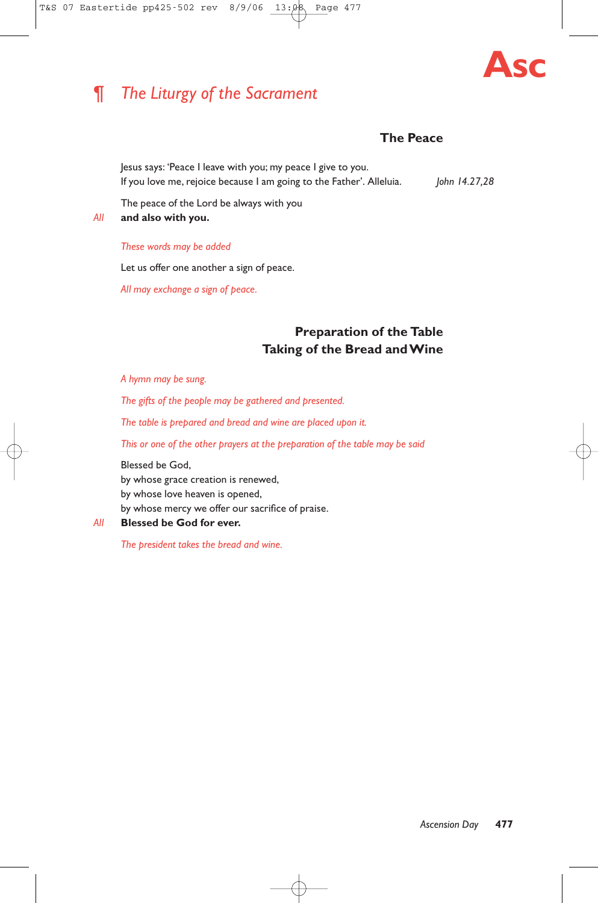# ¶ *The Liturgy of the Sacrament*



# **The Peace**

Jesus says: 'Peace I leave with you; my peace I give to you. If you love me, rejoice because I am going to the Father'. Alleluia. *John 14.27,28*

The peace of the Lord be always with you

*All* **and also with you.**

### *These words may be added*

Let us offer one another a sign of peace.

*All may exchange a sign of peace.*

# **Preparation of the Table Taking of the Bread and Wine**

*A hymn may be sung.*

*The gifts of the people may be gathered and presented.*

*The table is prepared and bread and wine are placed upon it.*

*This or one of the other prayers at the preparation of the table may be said*

Blessed be God,

by whose grace creation is renewed,

by whose love heaven is opened,

by whose mercy we offer our sacrifice of praise.

## *All* **Blessed be God for ever.**

*The president takes the bread and wine.*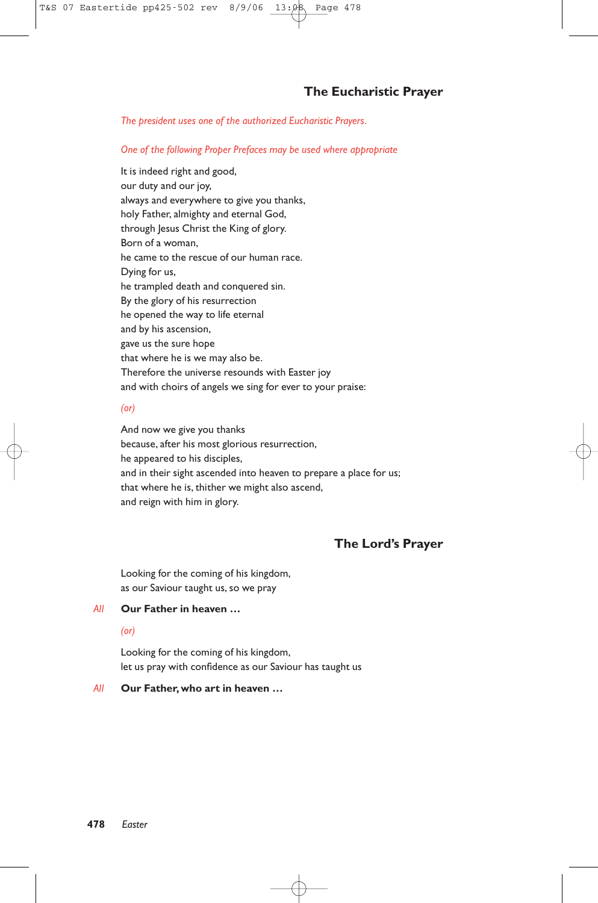*The president uses one of the authorized Eucharistic Prayers.*

### *One of the following Proper Prefaces may be used where appropriate*

It is indeed right and good, our duty and our joy, always and everywhere to give you thanks, holy Father, almighty and eternal God, through Jesus Christ the King of glory. Born of a woman, he came to the rescue of our human race. Dying for us, he trampled death and conquered sin. By the glory of his resurrection he opened the way to life eternal and by his ascension, gave us the sure hope that where he is we may also be. Therefore the universe resounds with Easter joy and with choirs of angels we sing for ever to your praise:

### *(or)*

And now we give you thanks because, after his most glorious resurrection, he appeared to his disciples, and in their sight ascended into heaven to prepare a place for us; that where he is, thither we might also ascend, and reign with him in glory.

# **The Lord's Prayer**

Looking for the coming of his kingdom, as our Saviour taught us, so we pray

## *All* **Our Father in heaven …**

### *(or)*

Looking for the coming of his kingdom, let us pray with confidence as our Saviour has taught us

## *All* **Our Father, who art in heaven …**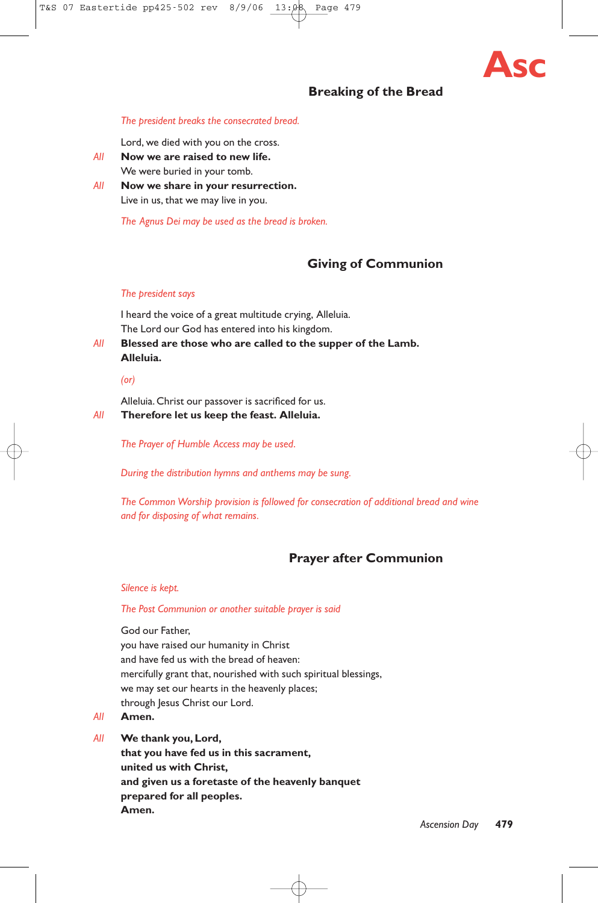

# **Asc**

### *The president breaks the consecrated bread.*

Lord, we died with you on the cross.

- *All* **Now we are raised to new life.**
- We were buried in your tomb. *All* **Now we share in your resurrection.** Live in us, that we may live in you.

*The Agnus Dei may be used as the bread is broken.*

# **Giving of Communion**

### *The president says*

I heard the voice of a great multitude crying, Alleluia. The Lord our God has entered into his kingdom.

*All* **Blessed are those who are called to the supper of the Lamb. Alleluia.**

*(or)*

Alleluia. Christ our passover is sacrificed for us.

# *All* **Therefore let us keep the feast. Alleluia.**

*The Prayer of Humble Access may be used*.

*During the distribution hymns and anthems may be sung.*

*The Common Worship provision is followed for consecration of additional bread and wine and for disposing of what remains.*

# **Prayer after Communion**

### *Silence is kept.*

### *The Post Communion or another suitable prayer is said*

God our Father, you have raised our humanity in Christ and have fed us with the bread of heaven: mercifully grant that, nourished with such spiritual blessings, we may set our hearts in the heavenly places; through Jesus Christ our Lord.

*All* **Amen.**

*All* **We thank you,Lord, that you have fed us in this sacrament, united us with Christ, and given us a foretaste of the heavenly banquet prepared for all peoples. Amen.**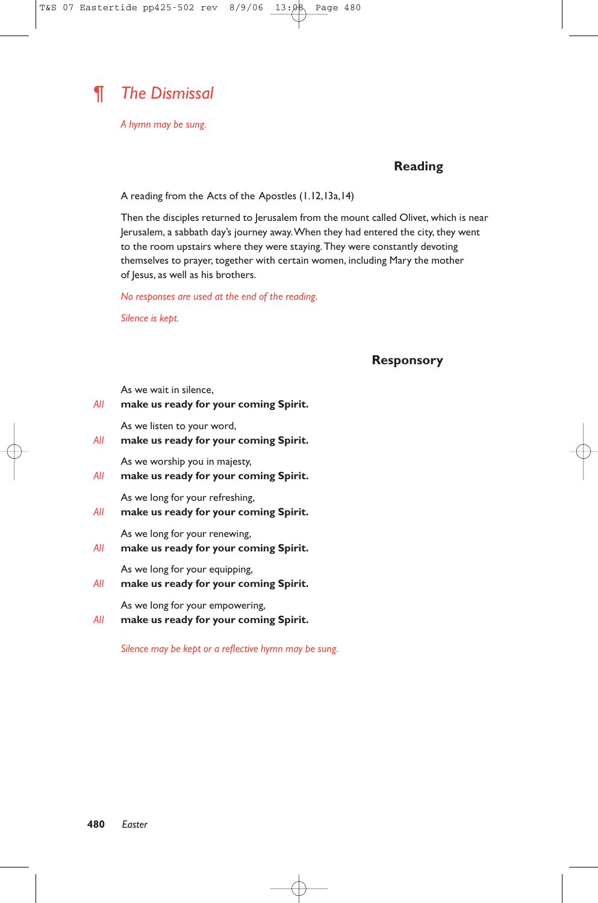

*A hymn may be sung.*

# **Reading**

A reading from the Acts of the Apostles (1.12,13a,14)

Then the disciples returned to Jerusalem from the mount called Olivet, which is near Jerusalem, a sabbath day's journey away.When they had entered the city, they went to the room upstairs where they were staying.They were constantly devoting themselves to prayer, together with certain women, including Mary the mother of Jesus, as well as his brothers.

*No responses are used at the end of the reading.*

*Silence is kept.*

## **Responsory**

As we wait in silence,

### *All* **make us ready for your coming Spirit.**

As we listen to your word,

### *All* **make us ready for your coming Spirit.**

As we worship you in majesty,

*All* **make us ready for your coming Spirit.**

As we long for your refreshing,

*All* **make us ready for your coming Spirit.**

As we long for your renewing,

*All* **make us ready for your coming Spirit.**

As we long for your equipping,

*All* **make us ready for your coming Spirit.**

As we long for your empowering,

*All* **make us ready for your coming Spirit.**

*Silence may be kept or a reflective hymn may be sung.*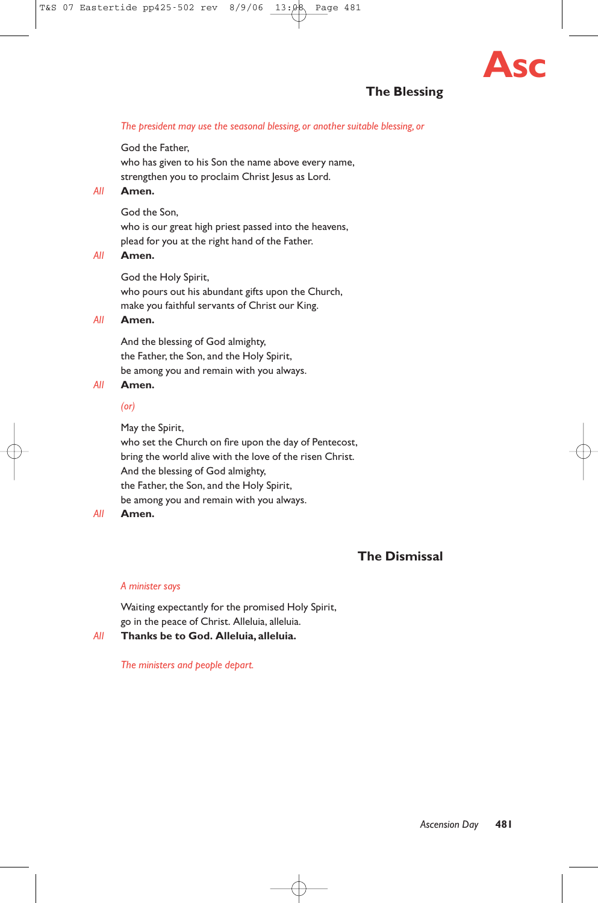

# **The Blessing**

### *The president may use the seasonal blessing, or another suitable blessing, or*

God the Father,

who has given to his Son the name above every name, strengthen you to proclaim Christ Jesus as Lord.

# *All* **Amen.**

God the Son,

who is our great high priest passed into the heavens, plead for you at the right hand of the Father.

### *All* **Amen.**

God the Holy Spirit, who pours out his abundant gifts upon the Church, make you faithful servants of Christ our King.

## *All* **Amen.**

And the blessing of God almighty, the Father, the Son, and the Holy Spirit, be among you and remain with you always.

## *All* **Amen.**

*(or)*

May the Spirit,

who set the Church on fire upon the day of Pentecost, bring the world alive with the love of the risen Christ. And the blessing of God almighty, the Father, the Son, and the Holy Spirit, be among you and remain with you always.

*All* **Amen.**

# **The Dismissal**

### *A minister says*

Waiting expectantly for the promised Holy Spirit, go in the peace of Christ. Alleluia, alleluia.

*All* **Thanks be to God. Alleluia, alleluia.**

*The ministers and people depart.*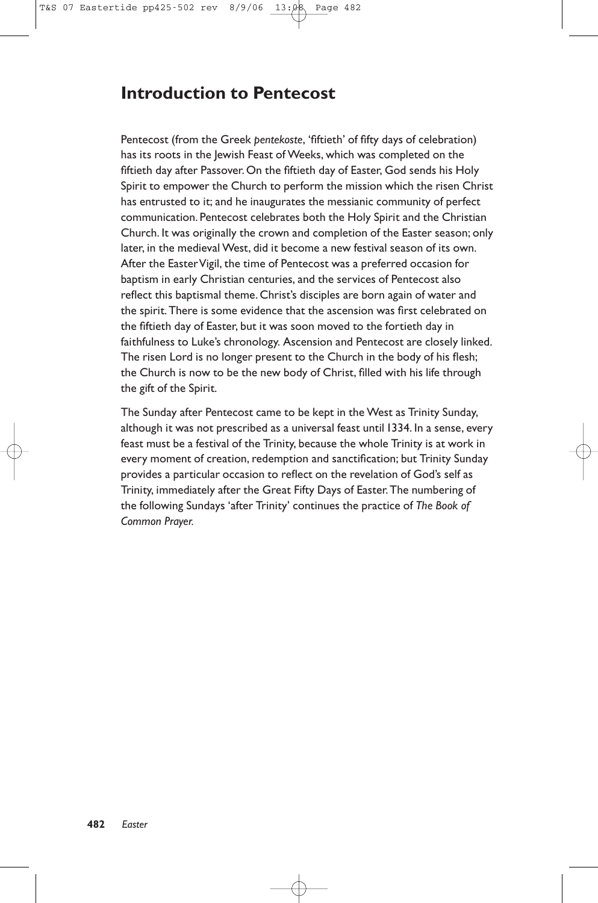# **Introduction to Pentecost**

Pentecost (from the Greek *pentekoste*, 'fiftieth' of fifty days of celebration) has its roots in the Jewish Feast of Weeks, which was completed on the fiftieth day after Passover. On the fiftieth day of Easter, God sends his Holy Spirit to empower the Church to perform the mission which the risen Christ has entrusted to it; and he inaugurates the messianic community of perfect communication. Pentecost celebrates both the Holy Spirit and the Christian Church. It was originally the crown and completion of the Easter season; only later, in the medieval West, did it become a new festival season of its own. After the Easter Vigil, the time of Pentecost was a preferred occasion for baptism in early Christian centuries, and the services of Pentecost also reflect this baptismal theme. Christ's disciples are born again of water and the spirit.There is some evidence that the ascension was first celebrated on the fiftieth day of Easter, but it was soon moved to the fortieth day in faithfulness to Luke's chronology. Ascension and Pentecost are closely linked. The risen Lord is no longer present to the Church in the body of his flesh; the Church is now to be the new body of Christ, filled with his life through the gift of the Spirit.

The Sunday after Pentecost came to be kept in the West as Trinity Sunday, although it was not prescribed as a universal feast until 1334. In a sense, every feast must be a festival of the Trinity, because the whole Trinity is at work in every moment of creation, redemption and sanctification; but Trinity Sunday provides a particular occasion to reflect on the revelation of God's self as Trinity, immediately after the Great Fifty Days of Easter.The numbering of the following Sundays 'after Trinity' continues the practice of *The Book of Common Prayer.*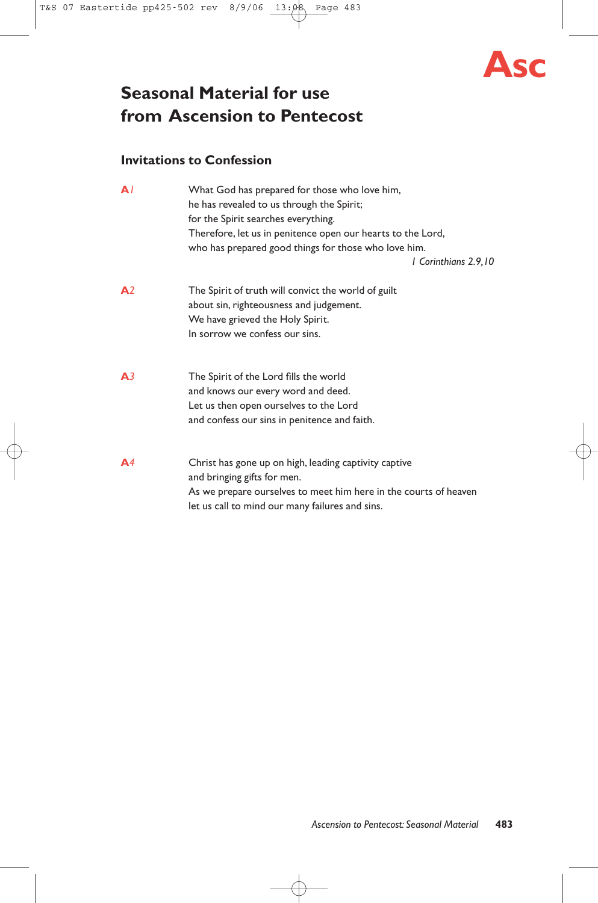

# **Seasonal Material for use from Ascension to Pentecost**

# **Invitations to Confession**

| $\mathbf{A}$   | What God has prepared for those who love him,<br>he has revealed to us through the Spirit;<br>for the Spirit searches everything.<br>Therefore, let us in penitence open our hearts to the Lord,<br>who has prepared good things for those who love him. |
|----------------|----------------------------------------------------------------------------------------------------------------------------------------------------------------------------------------------------------------------------------------------------------|
|                | I Corinthians 2.9,10                                                                                                                                                                                                                                     |
| A <sub>2</sub> | The Spirit of truth will convict the world of guilt<br>about sin, righteousness and judgement.<br>We have grieved the Holy Spirit.<br>In sorrow we confess our sins.                                                                                     |
| A <sub>3</sub> | The Spirit of the Lord fills the world<br>and knows our every word and deed.<br>Let us then open ourselves to the Lord<br>and confess our sins in penitence and faith.                                                                                   |
| $\mathbf{A}4$  | Christ has gone up on high, leading captivity captive<br>and bringing gifts for men.<br>As we prepare ourselves to meet him here in the courts of heaven<br>let us call to mind our many failures and sins.                                              |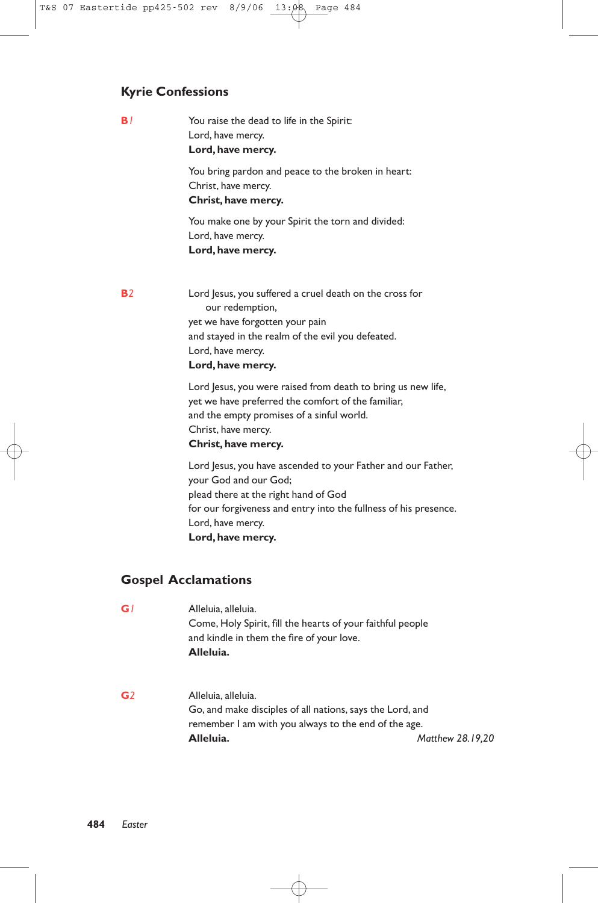# **Kyrie Confessions**

**B**<sup>1</sup> You raise the dead to life in the Spirit: Lord, have mercy. **Lord, have mercy.** You bring pardon and peace to the broken in heart: Christ, have mercy. **Christ, have mercy.** You make one by your Spirit the torn and divided: Lord, have mercy. **Lord, have mercy. B**<sup>2</sup> Lord Jesus, you suffered a cruel death on the cross for our redemption, yet we have forgotten your pain and stayed in the realm of the evil you defeated. Lord, have mercy. **Lord, have mercy.** Lord Jesus, you were raised from death to bring us new life, yet we have preferred the comfort of the familiar, and the empty promises of a sinful world. Christ, have mercy. **Christ, have mercy.** Lord Jesus, you have ascended to your Father and our Father, your God and our God; plead there at the right hand of God for our forgiveness and entry into the fullness of his presence.

# Lord, have mercy.

# **Lord, have mercy.**

# **Gospel Acclamations**

- **G***1* Alleluia, alleluia. Come, Holy Spirit, fill the hearts of your faithful people and kindle in them the fire of your love. **Alleluia.**
- **G***2* Alleluia, alleluia. Go, and make disciples of all nations, says the Lord, and remember I am with you always to the end of the age. **Alleluia.** *Matthew 28.19,20*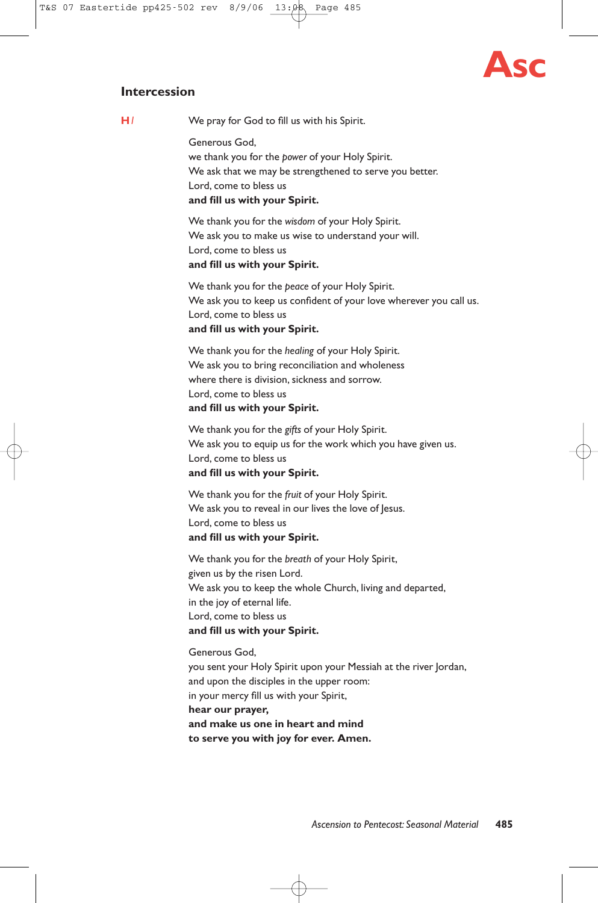

## **Intercession**

**H***1* We pray for God to fill us with his Spirit.

Generous God, we thank you for the *power* of your Holy Spirit. We ask that we may be strengthened to serve you better. Lord, come to bless us **and fill us with your Spirit.**

We thank you for the *wisdom* of your Holy Spirit. We ask you to make us wise to understand your will. Lord, come to bless us **and fill us with your Spirit.**

We thank you for the *peace* of your Holy Spirit. We ask you to keep us confident of your love wherever you call us. Lord, come to bless us **and fill us with your Spirit.**

We thank you for the *healing* of your Holy Spirit. We ask you to bring reconciliation and wholeness where there is division, sickness and sorrow. Lord, come to bless us **and fill us with your Spirit.**

We thank you for the *gifts* of your Holy Spirit. We ask you to equip us for the work which you have given us. Lord, come to bless us **and fill us with your Spirit.**

We thank you for the *fruit* of your Holy Spirit. We ask you to reveal in our lives the love of Jesus. Lord, come to bless us **and fill us with your Spirit.**

We thank you for the *breath* of your Holy Spirit, given us by the risen Lord. We ask you to keep the whole Church, living and departed, in the joy of eternal life. Lord, come to bless us **and fill us with your Spirit.**

Generous God, you sent your Holy Spirit upon your Messiah at the river Jordan, and upon the disciples in the upper room: in your mercy fill us with your Spirit, **hear our prayer, and make us one in heart and mind to serve you with joy for ever. Amen.**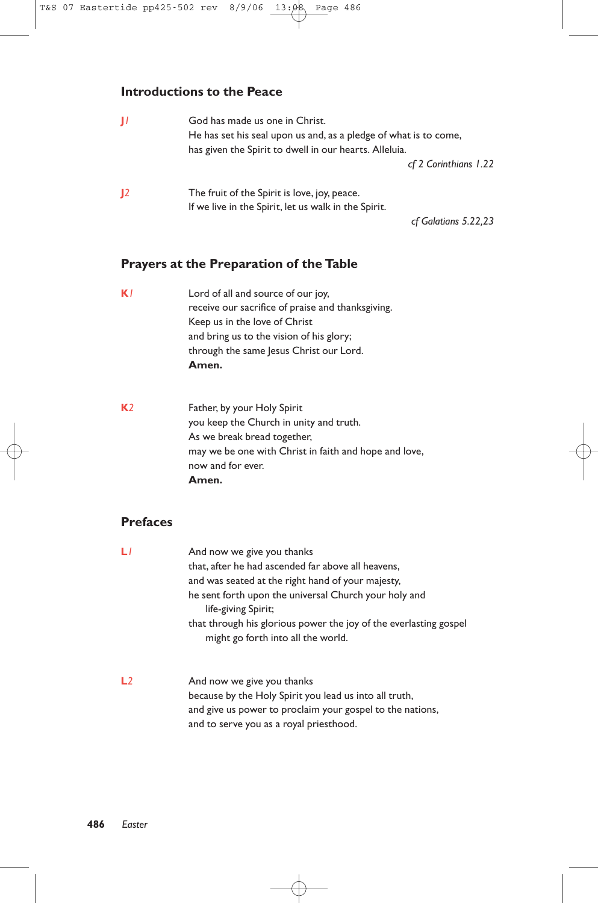# **Introductions to the Peace**

| Ħ              | God has made us one in Christ.                                   |  |  |
|----------------|------------------------------------------------------------------|--|--|
|                | He has set his seal upon us and, as a pledge of what is to come, |  |  |
|                | has given the Spirit to dwell in our hearts. Alleluia.           |  |  |
|                | cf 2 Corinthians 1.22                                            |  |  |
| $\mathbf{I}^2$ | The fruit of the Spirit is love, joy, peace.                     |  |  |
|                | If we live in the Spirit, let us walk in the Spirit.             |  |  |
|                | cf Galatians 5.22,23                                             |  |  |

# **Prayers at the Preparation of the Table**

- **K***1* Lord of all and source of our joy, receive our sacrifice of praise and thanksgiving. Keep us in the love of Christ and bring us to the vision of his glory; through the same Jesus Christ our Lord. **Amen.**
- **K***2* Father, by your Holy Spirit you keep the Church in unity and truth. As we break bread together, may we be one with Christ in faith and hope and love, now and for ever. **Amen.**

# **Prefaces**

|              | And now we give you thanks                                                                              |
|--------------|---------------------------------------------------------------------------------------------------------|
|              | that, after he had ascended far above all heavens,                                                      |
|              | and was seated at the right hand of your majesty,                                                       |
|              | he sent forth upon the universal Church your holy and                                                   |
|              | life-giving Spirit;                                                                                     |
|              | that through his glorious power the joy of the everlasting gospel<br>might go forth into all the world. |
|              |                                                                                                         |
| $\mathbf{L}$ | And now we give you thanks                                                                              |

because by the Holy Spirit you lead us into all truth, and give us power to proclaim your gospel to the nations, and to serve you as a royal priesthood.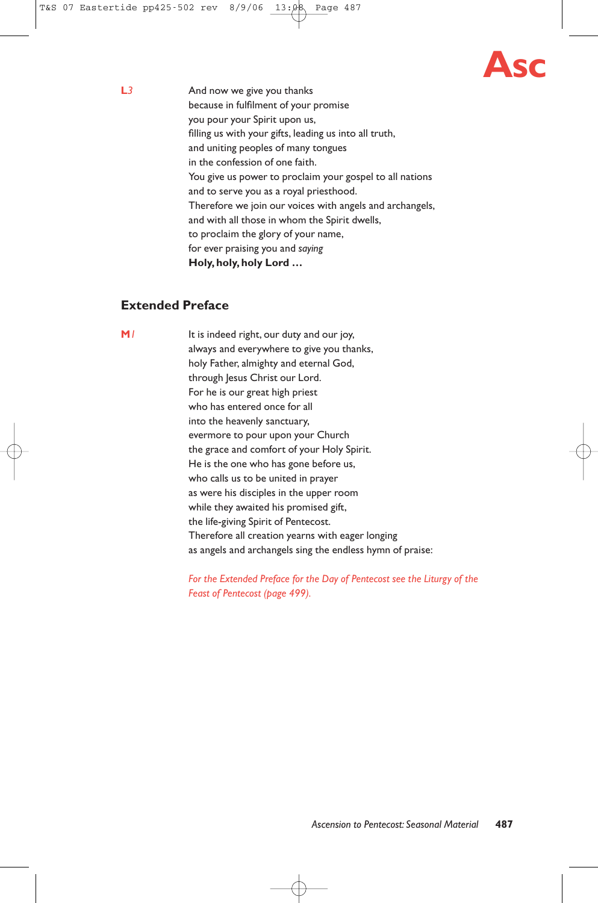

**L**<sup>3</sup> And now we give you thanks because in fulfilment of your promise you pour your Spirit upon us, filling us with your gifts, leading us into all truth, and uniting peoples of many tongues in the confession of one faith. You give us power to proclaim your gospel to all nations and to serve you as a royal priesthood. Therefore we join our voices with angels and archangels, and with all those in whom the Spirit dwells, to proclaim the glory of your name, for ever praising you and *saying* **Holy, holy, holy Lord …**

# **Extended Preface**

**M***1* It is indeed right, our duty and our joy, always and everywhere to give you thanks, holy Father, almighty and eternal God, through Jesus Christ our Lord. For he is our great high priest who has entered once for all into the heavenly sanctuary, evermore to pour upon your Church the grace and comfort of your Holy Spirit. He is the one who has gone before us, who calls us to be united in prayer as were his disciples in the upper room while they awaited his promised gift, the life-giving Spirit of Pentecost. Therefore all creation yearns with eager longing as angels and archangels sing the endless hymn of praise:

> *For the Extended Preface for the Day of Pentecost see the Liturgy of the Feast of Pentecost (page 499).*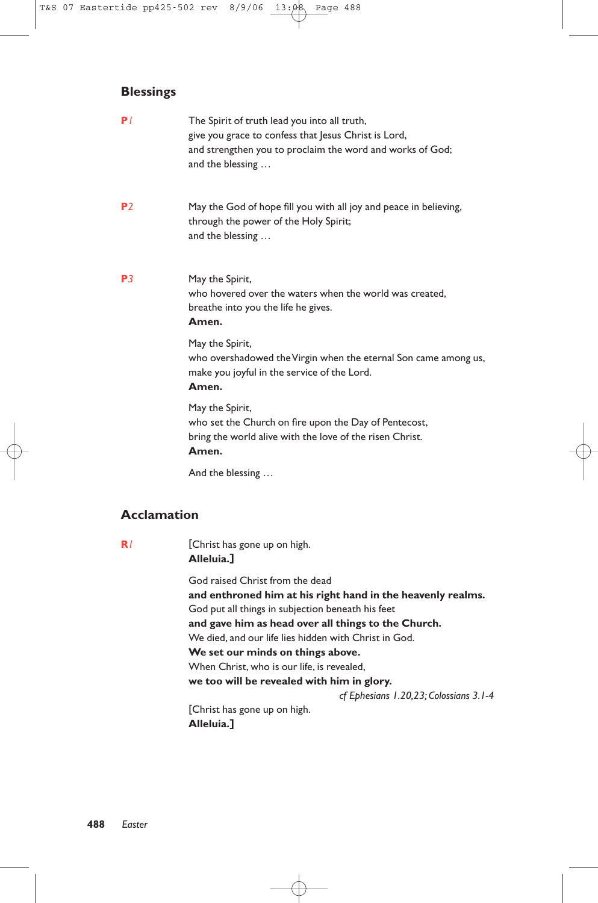# **Blessings**

| P/                 | The Spirit of truth lead you into all truth,<br>give you grace to confess that Jesus Christ is Lord,<br>and strengthen you to proclaim the word and works of God;<br>and the blessing |
|--------------------|---------------------------------------------------------------------------------------------------------------------------------------------------------------------------------------|
| P <sub>2</sub>     | May the God of hope fill you with all joy and peace in believing,<br>through the power of the Holy Spirit;<br>and the blessing                                                        |
| P <sub>3</sub>     | May the Spirit,<br>who hovered over the waters when the world was created,<br>breathe into you the life he gives.<br>Amen.                                                            |
|                    | May the Spirit,<br>who overshadowed the Virgin when the eternal Son came among us,<br>make you joyful in the service of the Lord.<br>Amen.                                            |
|                    | May the Spirit,<br>who set the Church on fire upon the Day of Pentecost,<br>bring the world alive with the love of the risen Christ.<br>Amen.                                         |
|                    | And the blessing                                                                                                                                                                      |
| <b>Acclamation</b> |                                                                                                                                                                                       |
| R/                 | [Christ has gone up on high.<br>Alleluia.1                                                                                                                                            |
|                    | God raised Christ from the dead                                                                                                                                                       |

**and enthroned him at his right hand in the heavenly realms.** God put all things in subjection beneath his feet **and gave him as head over all things to the Church.** We died, and our life lies hidden with Christ in God. **We set our minds on things above.** When Christ, who is our life, is revealed, **we too will be revealed with him in glory.** *cf Ephesians 1.20,23; Colossians 3.1-4*

[Christ has gone up on high. **Alleluia.]**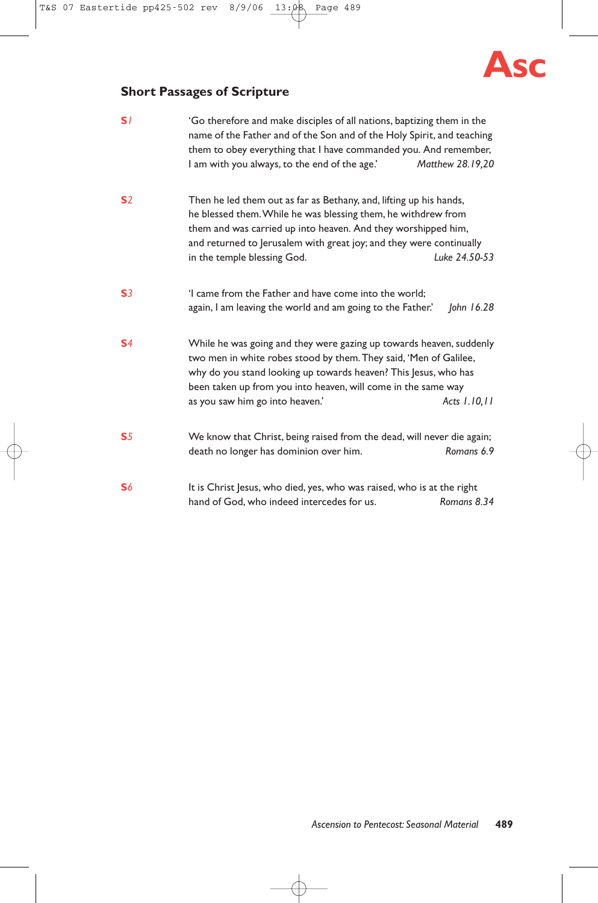

# **Short Passages of Scripture**

| S1             | 'Go therefore and make disciples of all nations, baptizing them in the<br>name of the Father and of the Son and of the Holy Spirit, and teaching<br>them to obey everything that I have commanded you. And remember,<br>I am with you always, to the end of the age.'<br>Matthew 28.19,20                                       |               |  |
|----------------|---------------------------------------------------------------------------------------------------------------------------------------------------------------------------------------------------------------------------------------------------------------------------------------------------------------------------------|---------------|--|
| S <sub>2</sub> | Then he led them out as far as Bethany, and, lifting up his hands,<br>he blessed them. While he was blessing them, he withdrew from<br>them and was carried up into heaven. And they worshipped him,<br>and returned to Jerusalem with great joy; and they were continually<br>in the temple blessing God.                      | Luke 24.50-53 |  |
| S <sub>3</sub> | 'I came from the Father and have come into the world;<br>again, I am leaving the world and am going to the Father.'                                                                                                                                                                                                             | John $16.28$  |  |
| S <sub>4</sub> | While he was going and they were gazing up towards heaven, suddenly<br>two men in white robes stood by them. They said, 'Men of Galilee,<br>why do you stand looking up towards heaven? This Jesus, who has<br>been taken up from you into heaven, will come in the same way<br>as you saw him go into heaven.'<br>Acts 1.10,11 |               |  |
| S <sub>5</sub> | We know that Christ, being raised from the dead, will never die again;<br>death no longer has dominion over him.                                                                                                                                                                                                                | Romans 6.9    |  |
| S <sub>6</sub> | It is Christ Jesus, who died, yes, who was raised, who is at the right<br>hand of God, who indeed intercedes for us.                                                                                                                                                                                                            | Romans 8.34   |  |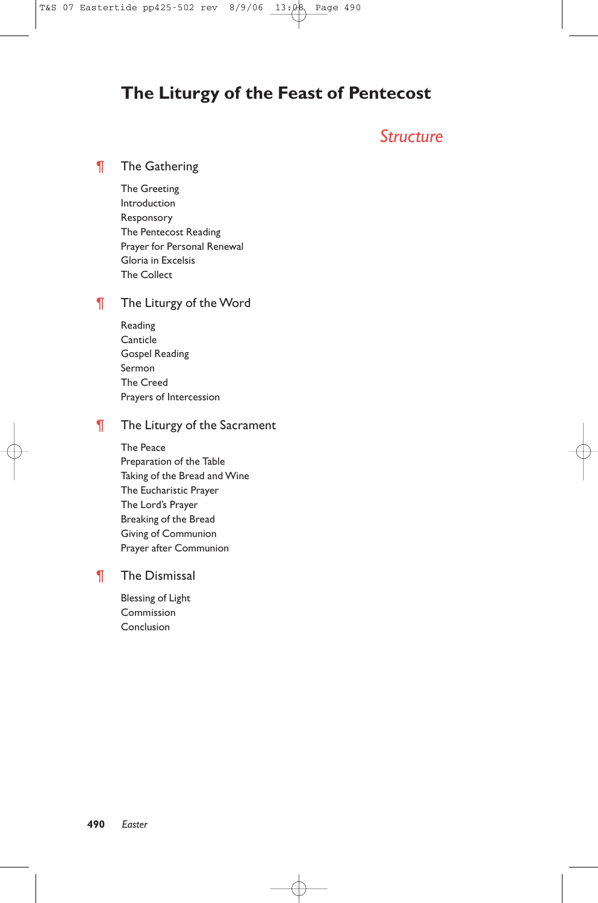# **The Liturgy of the Feast of Pentecost**

# *Structure*

## ¶ The Gathering

The Greeting Introduction Responsory The Pentecost Reading Prayer for Personal Renewal Gloria in Excelsis The Collect

# ¶ The Liturgy of the Word

Reading **Canticle** Gospel Reading Sermon The Creed Prayers of Intercession

# **The Liturgy of the Sacrament**

### The Peace

Preparation of the Table Taking of the Bread and Wine The Eucharistic Prayer The Lord's Prayer Breaking of the Bread Giving of Communion Prayer after Communion

# ¶ The Dismissal

Blessing of Light Commission Conclusion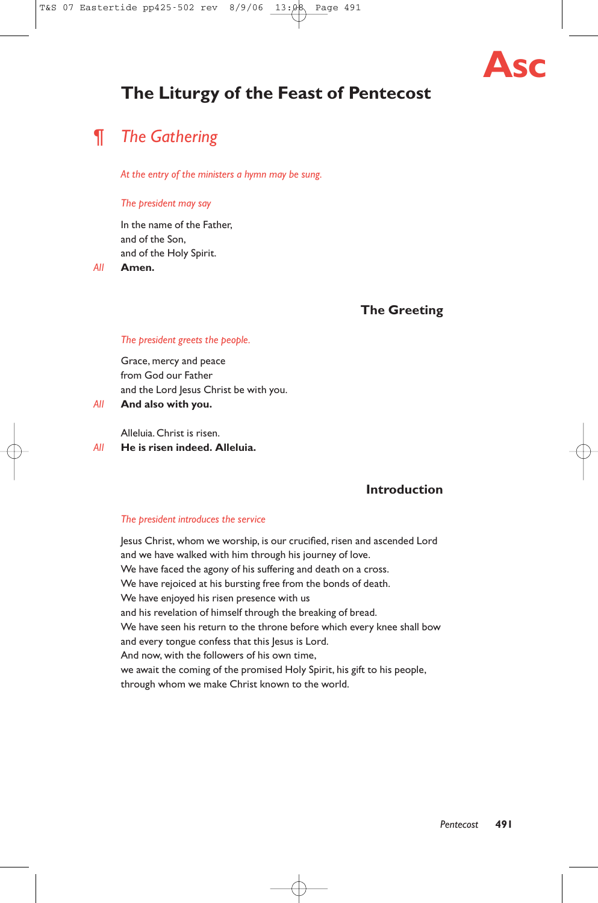

# **The Liturgy of the Feast of Pentecost**

# ¶ *The Gathering*

### *At the entry of the ministers a hymn may be sung.*

### *The president may say*

In the name of the Father, and of the Son, and of the Holy Spirit.

*All* **Amen.**

## **The Greeting**

### *The president greets the people.*

Grace, mercy and peace from God our Father and the Lord Jesus Christ be with you.

### *All* **And also with you.**

Alleluia. Christ is risen.

*All* **He is risen indeed. Alleluia.**

# **Introduction**

### *The president introduces the service*

Jesus Christ, whom we worship, is our crucified, risen and ascended Lord and we have walked with him through his journey of love. We have faced the agony of his suffering and death on a cross. We have rejoiced at his bursting free from the bonds of death. We have enjoyed his risen presence with us and his revelation of himself through the breaking of bread. We have seen his return to the throne before which every knee shall bow and every tongue confess that this Jesus is Lord. And now, with the followers of his own time, we await the coming of the promised Holy Spirit, his gift to his people, through whom we make Christ known to the world.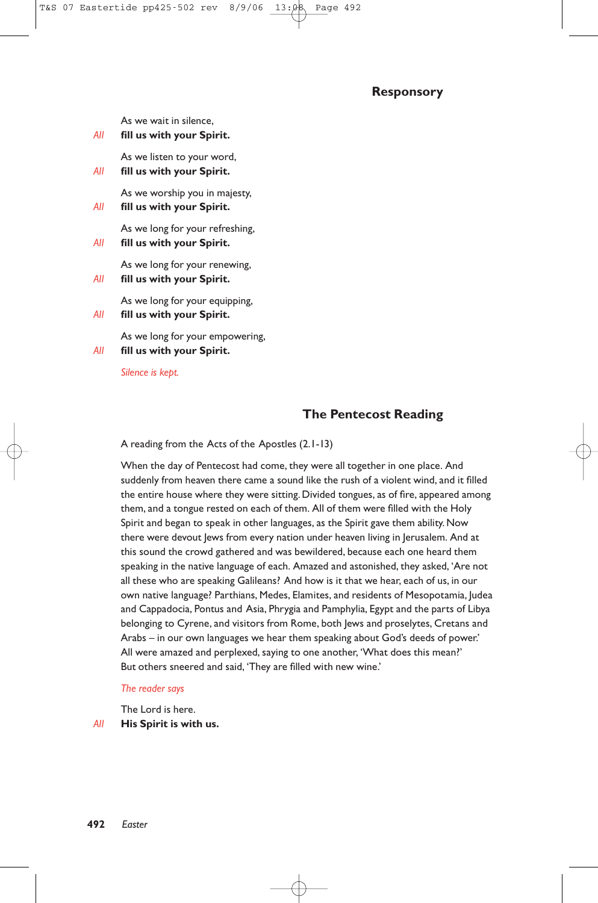# **Responsory**

As we wait in silence,

## *All* **fill us with your Spirit.**

As we listen to your word,

*All* **fill us with your Spirit.**

As we worship you in majesty,

*All* **fill us with your Spirit.**

As we long for your refreshing,

*All* **fill us with your Spirit.**

As we long for your renewing,

*All* **fill us with your Spirit.**

As we long for your equipping,

*All* **fill us with your Spirit.**

As we long for your empowering,

*All* **fill us with your Spirit.**

*Silence is kept.*

# **The Pentecost Reading**

A reading from the Acts of the Apostles (2.1-13)

When the day of Pentecost had come, they were all together in one place. And suddenly from heaven there came a sound like the rush of a violent wind, and it filled the entire house where they were sitting. Divided tongues, as of fire, appeared among them, and a tongue rested on each of them. All of them were filled with the Holy Spirit and began to speak in other languages, as the Spirit gave them ability. Now there were devout lews from every nation under heaven living in Jerusalem. And at this sound the crowd gathered and was bewildered, because each one heard them speaking in the native language of each. Amazed and astonished, they asked, 'Are not all these who are speaking Galileans? And how is it that we hear, each of us, in our own native language? Parthians, Medes, Elamites, and residents of Mesopotamia, Judea and Cappadocia, Pontus and Asia, Phrygia and Pamphylia, Egypt and the parts of Libya belonging to Cyrene, and visitors from Rome, both Jews and proselytes, Cretans and Arabs – in our own languages we hear them speaking about God's deeds of power.' All were amazed and perplexed, saying to one another, 'What does this mean?' But others sneered and said, 'They are filled with new wine.'

### *The reader says*

The Lord is here.

### *All* **His Spirit is with us.**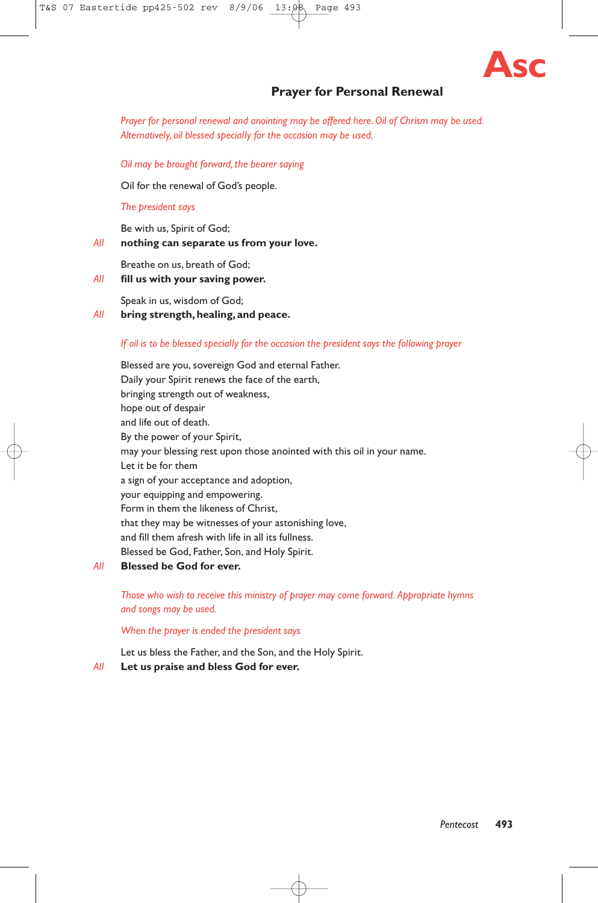

# **Prayer for Personal Renewal**

*Prayer for personal renewal and anointing may be offered here. Oil of Chrism may be used. Alternatively, oil blessed specially for the occasion may be used.*

*Oil may be brought forward, the bearer saying*

Oil for the renewal of God's people.

### *The president says*

Be with us, Spirit of God;

*All* **nothing can separate us from your love.**

Breathe on us, breath of God;

*All* **fill us with your saving power.**

Speak in us, wisdom of God;

*All* **bring strength, healing, and peace.**

### *If oil is to be blessed specially for the occasion the president says the following prayer*

Blessed are you, sovereign God and eternal Father. Daily your Spirit renews the face of the earth, bringing strength out of weakness, hope out of despair and life out of death. By the power of your Spirit, may your blessing rest upon those anointed with this oil in your name. Let it be for them a sign of your acceptance and adoption, your equipping and empowering. Form in them the likeness of Christ, that they may be witnesses of your astonishing love, and fill them afresh with life in all its fullness. Blessed be God, Father, Son, and Holy Spirit.

*All* **Blessed be God for ever.**

*Those who wish to receive this ministry of prayer may come forward. Appropriate hymns and songs may be used.*

*When the prayer is ended the president says*

Let us bless the Father, and the Son, and the Holy Spirit.

*All* **Let us praise and bless God for ever.**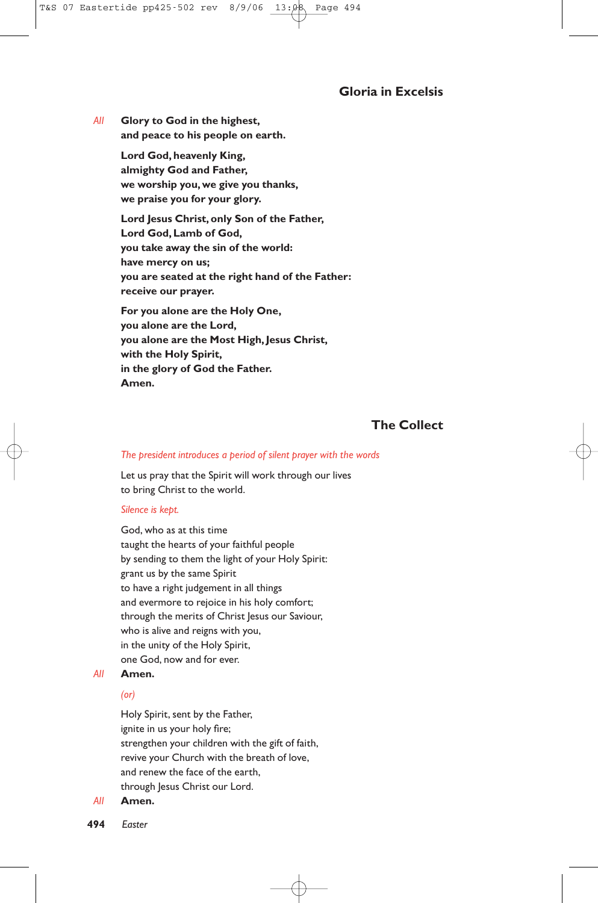# **Gloria in Excelsis**

*All* **Glory to God in the highest, and peace to his people on earth.**

> **Lord God, heavenly King, almighty God and Father, we worship you, we give you thanks, we praise you for your glory.**

**Lord Jesus Christ, only Son of the Father, Lord God, Lamb of God, you take away the sin of the world: have mercy on us; you are seated at the right hand of the Father: receive our prayer.**

**For you alone are the Holy One, you alone are the Lord, you alone are the Most High, Jesus Christ, with the Holy Spirit, in the glory of God the Father. Amen.**

# **The Collect**

### *The president introduces a period of silent prayer with the words*

Let us pray that the Spirit will work through our lives to bring Christ to the world.

### *Silence is kept.*

God, who as at this time taught the hearts of your faithful people by sending to them the light of your Holy Spirit: grant us by the same Spirit to have a right judgement in all things and evermore to rejoice in his holy comfort; through the merits of Christ Jesus our Saviour, who is alive and reigns with you, in the unity of the Holy Spirit, one God, now and for ever.

### *All* **Amen.**

### *(or)*

Holy Spirit, sent by the Father, ignite in us your holy fire; strengthen your children with the gift of faith, revive your Church with the breath of love, and renew the face of the earth, through Jesus Christ our Lord.

*All* **Amen.**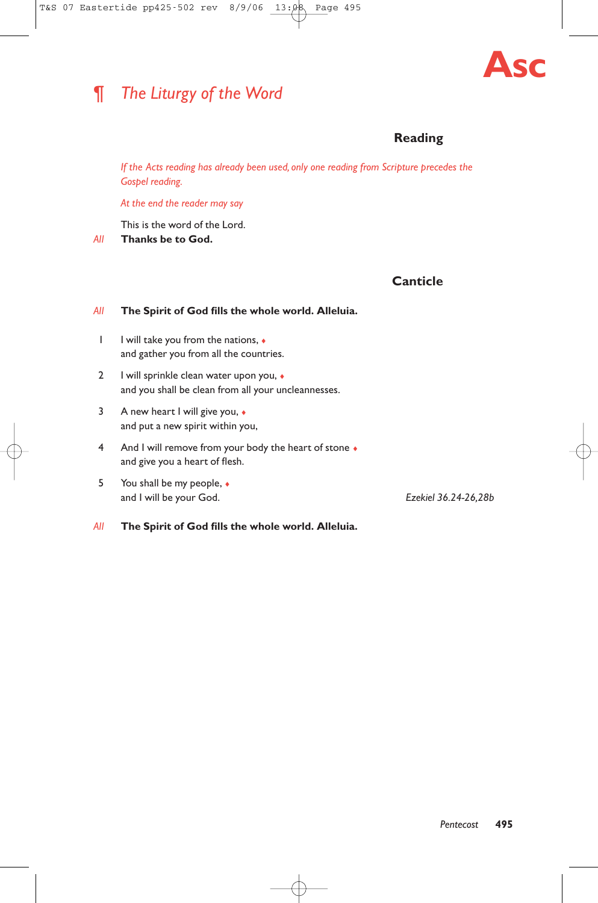# ¶ *The Liturgy of the Word*



# **Reading**

*If the Acts reading has already been used, only one reading from Scripture precedes the Gospel reading.*

*At the end the reader may say*

This is the word of the Lord.

*All* **Thanks be to God.**

# **Canticle**

# *All* **The Spirit of God fills the whole world. Alleluia.**

- 1 I will take you from the nations,  $\bullet$ and gather you from all the countries.
- 2 I will sprinkle clean water upon you, ♦ and you shall be clean from all your uncleannesses.
- 3 A new heart I will give you, ♦ and put a new spirit within you,
- 4 And I will remove from your body the heart of stone  $\bullet$ and give you a heart of flesh.
- 5 You shall be my people, ♦ and I will be your God. *Ezekiel 36.24-26,28b*

### *All* **The Spirit of God fills the whole world. Alleluia.**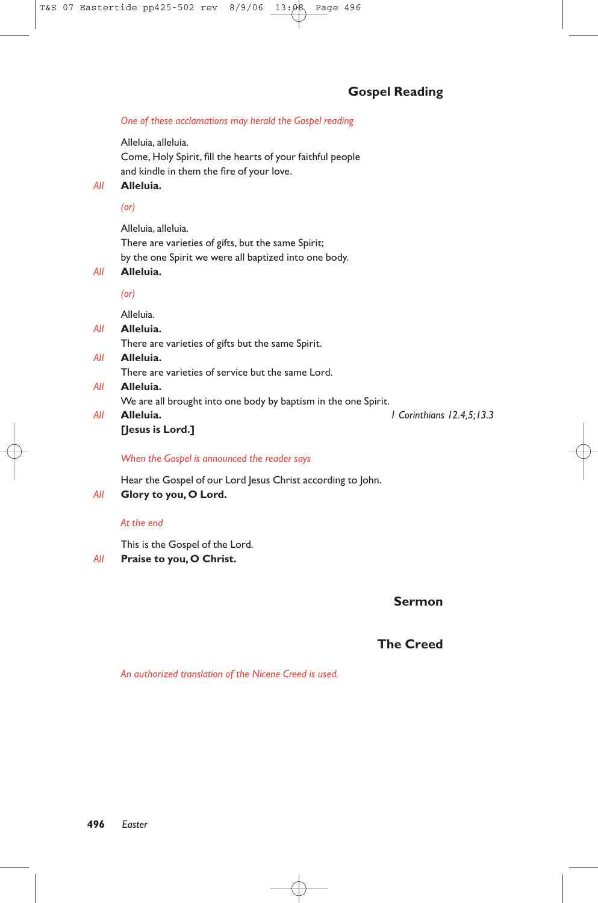### *One of these acclamations may herald the Gospel reading*

Alleluia, alleluia.

Come, Holy Spirit, fill the hearts of your faithful people and kindle in them the fire of your love.

## *All* **Alleluia.**

*(or)*

Alleluia, alleluia. There are varieties of gifts, but the same Spirit; by the one Spirit we were all baptized into one body.

*All* **Alleluia.**

*(or)*

Alleluia.

*All* **Alleluia.**

There are varieties of gifts but the same Spirit.

- *All* **Alleluia.** There are varieties of service but the same Lord.
- *All* **Alleluia.** We are all brought into one body by baptism in the one Spirit.
- 

*All* **Alleluia.** *1 Corinthians 12.4,5;13.3*

## **[Jesus is Lord.]**

## *When the Gospel is announced the reader says*

Hear the Gospel of our Lord Jesus Christ according to John.

*All* **Glory to you, O Lord.**

## *At the end*

This is the Gospel of the Lord.

*All* **Praise to you, O Christ.**

## **Sermon**

# **The Creed**

*An authorized translation of the Nicene Creed is used.*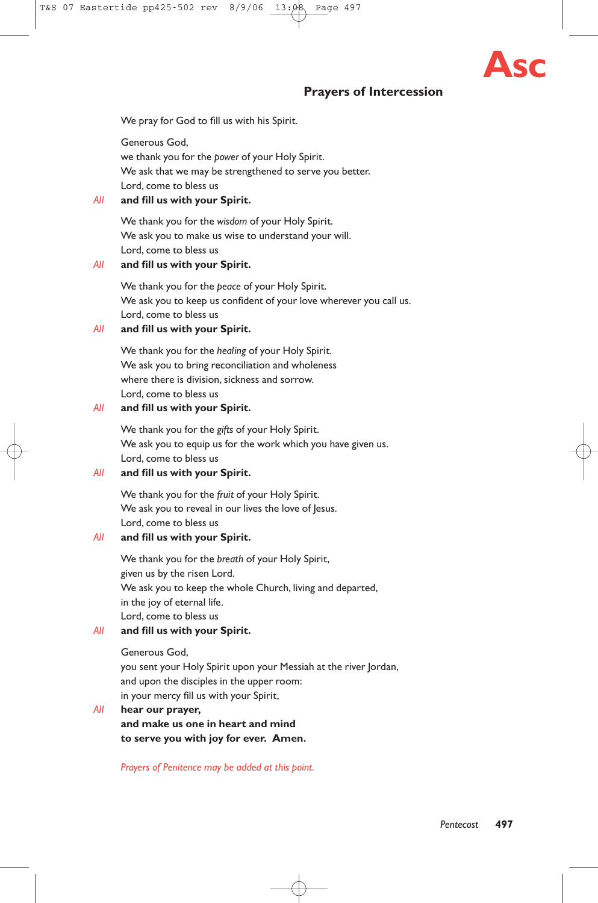# **Asc**

## **Prayers of Intercession**

We pray for God to fill us with his Spirit.

Generous God,

we thank you for the *power* of your Holy Spirit. We ask that we may be strengthened to serve you better. Lord, come to bless us

#### *All* **and fill us with your Spirit.**

We thank you for the *wisdom* of your Holy Spirit. We ask you to make us wise to understand your will. Lord, come to bless us

#### *All* **and fill us with your Spirit.**

We thank you for the *peace* of your Holy Spirit. We ask you to keep us confident of your love wherever you call us. Lord, come to bless us

#### *All* **and fill us with your Spirit.**

We thank you for the *healing* of your Holy Spirit. We ask you to bring reconciliation and wholeness where there is division, sickness and sorrow. Lord, come to bless us

#### *All* **and fill us with your Spirit.**

We thank you for the *gifts* of your Holy Spirit. We ask you to equip us for the work which you have given us. Lord, come to bless us

#### *All* **and fill us with your Spirit.**

We thank you for the *fruit* of your Holy Spirit. We ask you to reveal in our lives the love of Jesus. Lord, come to bless us

#### *All* **and fill us with your Spirit.**

We thank you for the *breath* of your Holy Spirit, given us by the risen Lord. We ask you to keep the whole Church, living and departed, in the joy of eternal life. Lord, come to bless us

#### *All* **and fill us with your Spirit.**

Generous God,

you sent your Holy Spirit upon your Messiah at the river Jordan, and upon the disciples in the upper room: in your mercy fill us with your Spirit,

#### *All* **hear our prayer,**

**and make us one in heart and mind to serve you with joy for ever. Amen.**

*Prayers of Penitence may be added at this point.*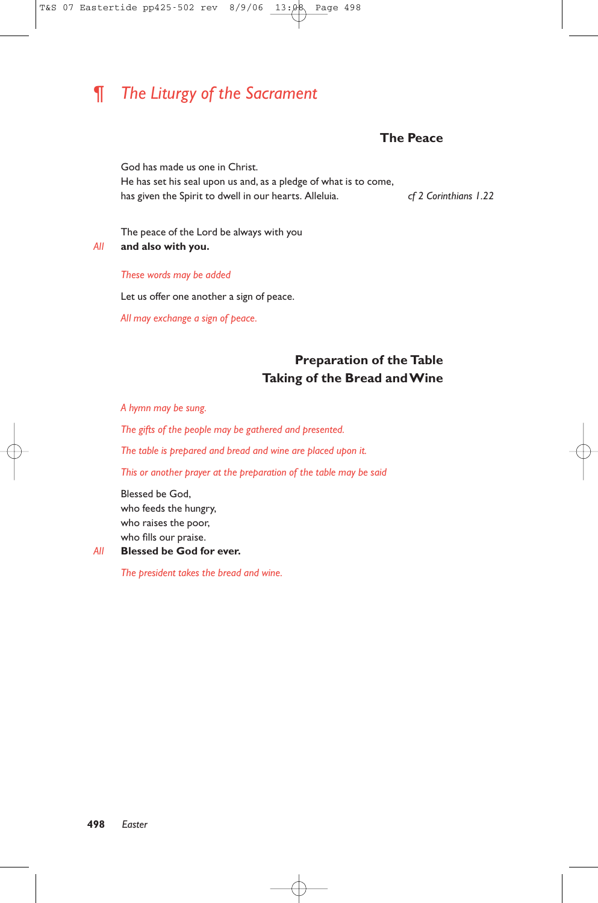## ¶ *The Liturgy of the Sacrament*

### **The Peace**

God has made us one in Christ. He has set his seal upon us and, as a pledge of what is to come, has given the Spirit to dwell in our hearts. Alleluia. *cf 2 Corinthians 1.22*

The peace of the Lord be always with you *All* **and also with you.**

#### *These words may be added*

Let us offer one another a sign of peace.

*All may exchange a sign of peace.*

## **Preparation of the Table Taking of the Bread and Wine**

#### *A hymn may be sung.*

*The gifts of the people may be gathered and presented.*

*The table is prepared and bread and wine are placed upon it.*

*This or another prayer at the preparation of the table may be said*

Blessed be God, who feeds the hungry, who raises the poor, who fills our praise.

#### *All* **Blessed be God for ever.**

*The president takes the bread and wine.*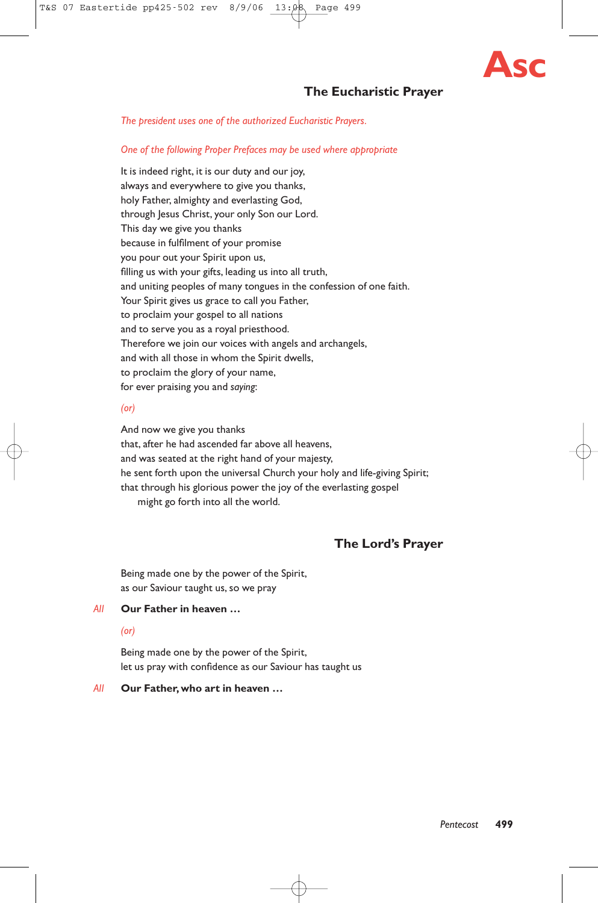

## **The Eucharistic Prayer**

*The president uses one of the authorized Eucharistic Prayers.*

#### *One of the following Proper Prefaces may be used where appropriate*

It is indeed right, it is our duty and our joy, always and everywhere to give you thanks, holy Father, almighty and everlasting God, through Jesus Christ, your only Son our Lord. This day we give you thanks because in fulfilment of your promise you pour out your Spirit upon us, filling us with your gifts, leading us into all truth, and uniting peoples of many tongues in the confession of one faith. Your Spirit gives us grace to call you Father, to proclaim your gospel to all nations and to serve you as a royal priesthood. Therefore we join our voices with angels and archangels, and with all those in whom the Spirit dwells, to proclaim the glory of your name, for ever praising you and *saying*:

#### *(or)*

And now we give you thanks that, after he had ascended far above all heavens, and was seated at the right hand of your majesty, he sent forth upon the universal Church your holy and life-giving Spirit; that through his glorious power the joy of the everlasting gospel might go forth into all the world.

## **The Lord's Prayer**

Being made one by the power of the Spirit, as our Saviour taught us, so we pray

#### *All* **Our Father in heaven …**

#### *(or)*

Being made one by the power of the Spirit, let us pray with confidence as our Saviour has taught us

#### *All* **Our Father, who art in heaven …**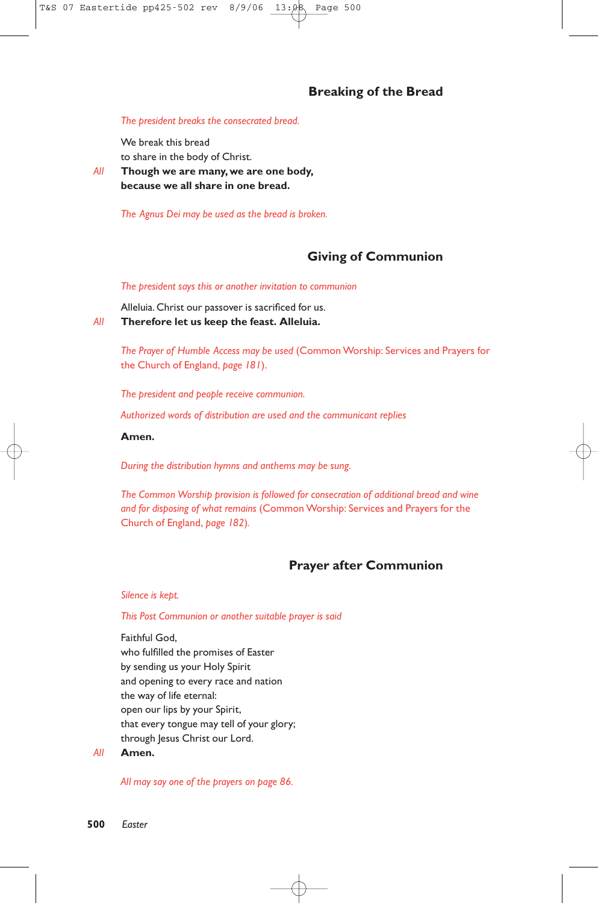## **Breaking of the Bread**

#### *The president breaks the consecrated bread.*

We break this bread to share in the body of Christ.

*All* **Though we are many, we are one body, because we all share in one bread.**

*The Agnus Dei may be used as the bread is broken.*

## **Giving of Communion**

*The president says this or another invitation to communion*

Alleluia. Christ our passover is sacrificed for us.

*All* **Therefore let us keep the feast. Alleluia.**

*The Prayer of Humble Access may be used* (Common Worship: Services and Prayers for the Church of England, *page 181*).

*The president and people receive communion.*

*Authorized words of distribution are used and the communicant replies*

**Amen.**

*During the distribution hymns and anthems may be sung.*

*The Common Worship provision is followed for consecration of additional bread and wine and for disposing of what remains* (Common Worship: Services and Prayers for the Church of England, *page 182*)*.*

## **Prayer after Communion**

*Silence is kept.*

*This Post Communion or another suitable prayer is said*

Faithful God, who fulfilled the promises of Easter by sending us your Holy Spirit and opening to every race and nation the way of life eternal: open our lips by your Spirit, that every tongue may tell of your glory; through Jesus Christ our Lord.

*All* **Amen.**

*All may say one of the prayers on page 86.*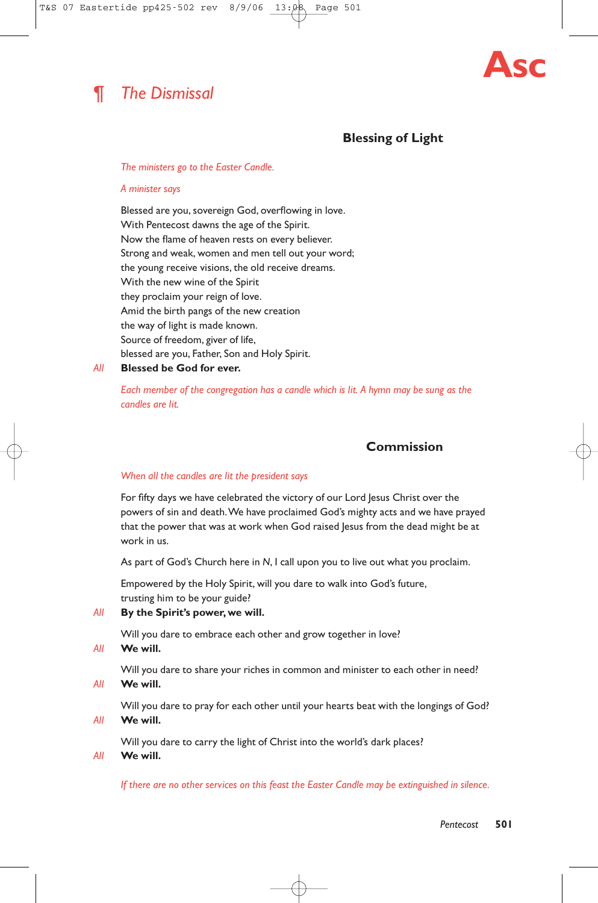



## **Blessing of Light**

#### *The ministers go to the Easter Candle.*

#### *A minister says*

Blessed are you, sovereign God, overflowing in love. With Pentecost dawns the age of the Spirit. Now the flame of heaven rests on every believer. Strong and weak, women and men tell out your word; the young receive visions, the old receive dreams. With the new wine of the Spirit they proclaim your reign of love. Amid the birth pangs of the new creation the way of light is made known. Source of freedom, giver of life, blessed are you, Father, Son and Holy Spirit.

*All* **Blessed be God for ever.**

*Each member of the congregation has a candle which is lit. A hymn may be sung as the candles are lit.*

## **Commission**

#### *When all the candles are lit the president says*

For fifty days we have celebrated the victory of our Lord Jesus Christ over the powers of sin and death.We have proclaimed God's mighty acts and we have prayed that the power that was at work when God raised Jesus from the dead might be at work in us.

As part of God's Church here in *N*, I call upon you to live out what you proclaim.

Empowered by the Holy Spirit, will you dare to walk into God's future, trusting him to be your guide?

#### *All* **By the Spirit's power, we will.**

Will you dare to embrace each other and grow together in love?

*All* **We will.**

Will you dare to share your riches in common and minister to each other in need?

*All* **We will.**

Will you dare to pray for each other until your hearts beat with the longings of God?

*All* **We will.**

Will you dare to carry the light of Christ into the world's dark places?

*All* **We will.**

*If there are no other services on this feast the Easter Candle may be extinguished in silence.*